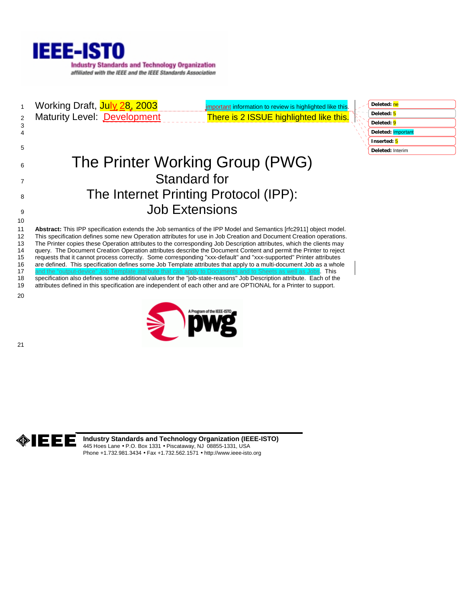

1 Working Draft, July 28, 2003 important information to review is highlighted like this 2 Maturity Level: Development There is 2 ISSUE highlighted like this. 6 The Printer Working Group (PWG) 7 Standard for 8 The Internet Printing Protocol (IPP): 9 Job Extensions 11 **Abstract:** This IPP specification extends the Job semantics of the IPP Model and Semantics [rfc2911] object model. 12 This specification defines some new Operation attributes for use in Job Creation and Document Creation operations. 13 The Printer copies these Operation attributes to the corresponding Job Description attributes, which the clients may 14 query. The Document Creation Operation attributes describe the Document Content and permit the Printer to reject<br>15 requests that it cannot process correctly. Some corresponding "xxx-default" and "xxx-supported" Printer 15 requests that it cannot process correctly. Some corresponding "xxx-default" and "xxx-supported" Printer attributes 16 are defined. This specification defines some Job Template attributes that apply to a multi-document Job as a whole 17 and the "output-device" Job Template attribute that can apply to Documents and to Sheets as well as Jobs. This 18 specification also defines some additional values for the "job-state-reasons" Job Description attribute. Each of the<br>19 attributes defined in this specification are independent of each other and are OPTIONAL for a Print 19 attributes defined in this specification are independent of each other and are OPTIONAL for a Printer to support. **Deleted:** ne **Deleted:** 5 **Deleted:** 9 **Deleted:** Important **Inserted:** 5 **Deleted:** Interim

20

21

10

3 4 5



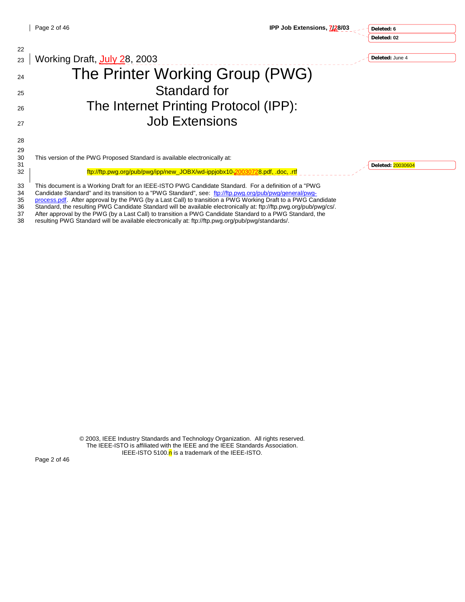**Deleted: 6 Deleted: 02**

| 22 |                                                                                                                    |                   |
|----|--------------------------------------------------------------------------------------------------------------------|-------------------|
| 23 | Working Draft, July 28, 2003                                                                                       | Deleted: June 4   |
| 24 | The Printer Working Group (PWG)                                                                                    |                   |
| 25 | Standard for                                                                                                       |                   |
| 26 | The Internet Printing Protocol (IPP):                                                                              |                   |
| 27 | <b>Job Extensions</b>                                                                                              |                   |
| 28 |                                                                                                                    |                   |
| 29 |                                                                                                                    |                   |
| 30 | This version of the PWG Proposed Standard is available electronically at:                                          |                   |
| 31 |                                                                                                                    | Deleted: 20030604 |
| 32 | ftp://ftp.pwg.org/pub/pwg/ipp/new_JOBX/wd-ippjobx10-20030728.pdf, .doc, .rtf                                       |                   |
| 33 | This document is a Working Draft for an IEEE-ISTO PWG Candidate Standard. For a definition of a "PWG               |                   |
| 34 | Candidate Standard" and its transition to a "PWG Standard", see: ftp://ftp.pwg.org/pub/pwg/general/pwg-            |                   |
| 35 | process.pdf. After approval by the PWG (by a Last Call) to transition a PWG Working Draft to a PWG Candidate       |                   |
| 36 | Standard, the resulting PWG Candidate Standard will be available electronically at: ftp://ftp.pwg.org/pub/pwg/cs/. |                   |
|    |                                                                                                                    |                   |

37 After approval by the PWG (by a Last Call) to transition a PWG Candidate Standard to a PWG Standard, the 38 resulting PWG Standard, the 38 resulting PWG Standard will be available electronically at: ftp://ftp.pwg.org/pub/pwg/standards/.

> © 2003, IEEE Industry Standards and Technology Organization. All rights reserved. The IEEE-ISTO is affiliated with the IEEE and the IEEE Standards Association. IEEE-ISTO 5100.<mark>n</mark> is a trademark of the IEEE-ISTO.

Page 2 of 46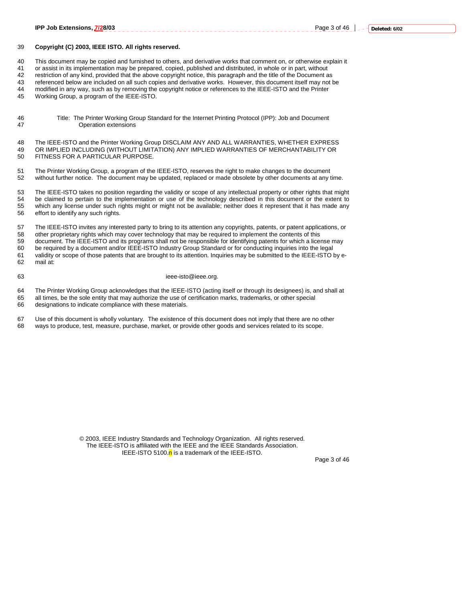#### 39 **Copyright (C) 2003, IEEE ISTO. All rights reserved.**

40 This document may be copied and furnished to others, and derivative works that comment on, or otherwise explain it

41 or assist in its implementation may be prepared, copied, published and distributed, in whole or in part, without

42 restriction of any kind, provided that the above copyright notice, this paragraph and the title of the Document as

43 referenced below are included on all such copies and derivative works. However, this document itself may not be<br>44 modified in any way, such as by removing the convright notice or references to the IFFF-ISTO and the Pri modified in any way, such as by removing the copyright notice or references to the IEEE-ISTO and the Printer

45 Working Group, a program of the IEEE-ISTO.

46 Title: The Printer Working Group Standard for the Internet Printing Protocol (IPP): Job and Document Operation extensions

48 The IEEE-ISTO and the Printer Working Group DISCLAIM ANY AND ALL WARRANTIES, WHETHER EXPRESS 49 OR IMPLIED INCLUDING (WITHOUT LIMITATION) ANY IMPLIED WARRANTIES OF MERCHANTABILITY OR 50 FITNESS FOR A PARTICULAR PURPOSE.

51 The Printer Working Group, a program of the IEEE-ISTO, reserves the right to make changes to the document 52 without further notice. The document may be updated, replaced or made obsolete by other documents at any time.

53 The IEEE-ISTO takes no position regarding the validity or scope of any intellectual property or other rights that might 54 be claimed to pertain to the implementation or use of the technology described in this document or the extent to 55 which any license under such rights might or might not be available; neither does it represent that it has made any<br>56 effort to identify any such rights. effort to identify any such rights.

57 The IEEE-ISTO invites any interested party to bring to its attention any copyrights, patents, or patent applications, or 58 other proprietary rights which may cover technology that may be required to implement the contents of this 59 document. The IEEE-ISTO and its programs shall not be responsible for identifying patents for which a license may 60 be required by a document and/or IEEE-ISTO Industry Group Standard or for conducting inquiries into the legal 61 validity or scope of those patents that are brought to its attention. Inquiries may be submitted to the IEEE-ISTO by e-62 mail at:

#### 63 ieee-isto@ieee.org.

64 The Printer Working Group acknowledges that the IEEE-ISTO (acting itself or through its designees) is, and shall at 65 all times, be the sole entity that may authorize the use of certification marks, trademarks, or other special designations to indicate compliance with these materials.

designations to indicate compliance with these materials.

| 67 | Use of this document is wholly voluntary. The existence of this document does not imply that there are no other |
|----|-----------------------------------------------------------------------------------------------------------------|
| 68 | ways to produce, test, measure, purchase, market, or provide other goods and services related to its scope.     |

© 2003, IEEE Industry Standards and Technology Organization. All rights reserved. The IEEE-ISTO is affiliated with the IEEE and the IEEE Standards Association. IEEE-ISTO 5100. $n$  is a trademark of the IEEE-ISTO.

Page 3 of 46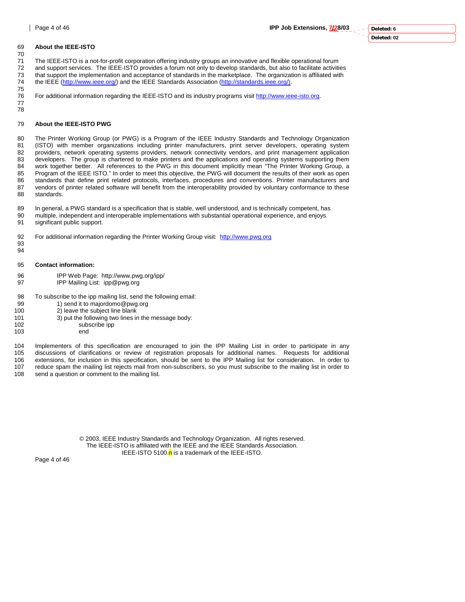### 69 **About the IEEE-ISTO**

70 71 The IEEE-ISTO is a not-for-profit corporation offering industry groups an innovative and flexible operational forum<br>72 and support services. The IEEE-ISTO provides a forum not only to develop standards, but also to faci

72 and support services. The IEEE-ISTO provides a forum not only to develop standards, but also to facilitate activities<br>73 that support the implementation and acceptance of standards in the marketplace. The organization i that support the implementation and acceptance of standards in the marketplace. The organization is affiliated with 74 the IEEE (http://www.ieee.org/) and the IEEE Standards Association (http://standards.ieee.org/).

75 For additional information regarding the IEEE-ISTO and its industry programs visit http://www.ieee-isto.org. 77

#### 79 **About the IEEE-ISTO PWG**

80 The Printer Working Group (or PWG) is a Program of the IEEE Industry Standards and Technology Organization 81 (ISTO) with member organizations including printer manufacturers, print server developers, operating system 82 providers, network operating systems providers, network connectivity vendors, and print management application 83 developers. The group is chartered to make printers and the applications and operating systems supporting them 84 work together better. All references to the PWG in this document implicitly mean "The Printer Working Group, a 85 Program of the IEEE ISTO." In order to meet this objective, the PWG will document the results of their work as open 86 standards that define print related protocols, interfaces, procedures and conventions. Printer manufacturers and<br>87 vendors of printer related software will benefit from the interoperability provided by voluntary confor vendors of printer related software will benefit from the interoperability provided by voluntary conformance to these 88 standards.

89 In general, a PWG standard is a specification that is stable, well understood, and is technically competent, has 90 multiple, independent and interoperable implementations with substantial operational experience, and enjoys 91 significant public support.

92 For additional information regarding the Printer Working Group visit: http://www.pwg.org

93 94

78

95 **Contact information:** 

- 96 IPP Web Page: http://www.pwg.org/ipp/
- 97 IPP Mailing List: ipp@pwg.org

98 To subscribe to the ipp mailing list, send the following email:

- 99 1) send it to majordomo@pwg.org
- 100 2) leave the subject line blank
- 101 3) put the following two lines in the message body:<br>102 subscribe ipp
	- subscribe ipp
- 103 end

104 Implementers of this specification are encouraged to join the IPP Mailing List in order to participate in any 105 discussions of clarifications or review of registration proposals for additional names. Requests for additional<br>106 extensions for inclusion in this specification, should be sent to the IPP Mailing list for considerati 106 extensions, for inclusion in this specification, should be sent to the IPP Mailing list for consideration. In order to 107 reduce spam the mailing list rejects mail from non-subscribers, so you must subscribe to the ma reduce spam the mailing list rejects mail from non-subscribers, so you must subscribe to the mailing list in order to 108 send a question or comment to the mailing list.

> © 2003, IEEE Industry Standards and Technology Organization. All rights reserved. The IEEE-ISTO is affiliated with the IEEE and the IEEE Standards Association. IEEE-ISTO 5100. $n$  is a trademark of the IEEE-ISTO.

Page 4 of 46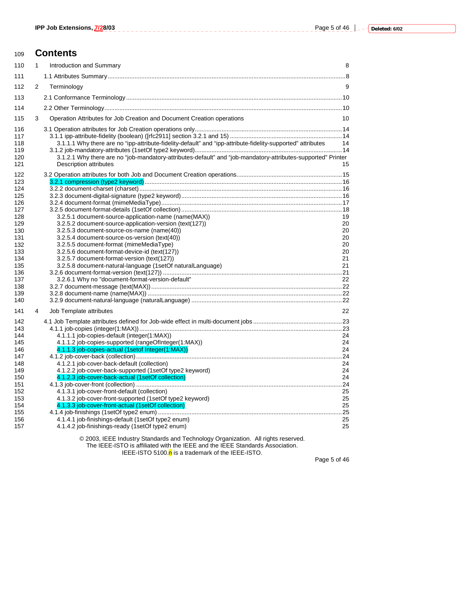# <sup>109</sup>**Contents** 110 1 Introduction and Summary 8 111 1.1 Attributes Summary..............................................................................................................................................8 112 2 Terminology 9 113 2.1 Conformance Terminology.................................................................................................................................10

| 114                                                                                                                               |   |                                                                                                                                                                                                                                                                                                                                                                                                                                                                                           |                                                    |
|-----------------------------------------------------------------------------------------------------------------------------------|---|-------------------------------------------------------------------------------------------------------------------------------------------------------------------------------------------------------------------------------------------------------------------------------------------------------------------------------------------------------------------------------------------------------------------------------------------------------------------------------------------|----------------------------------------------------|
| 115                                                                                                                               | 3 | Operation Attributes for Job Creation and Document Creation operations                                                                                                                                                                                                                                                                                                                                                                                                                    | 10                                                 |
| 116<br>117<br>118<br>119<br>120<br>121                                                                                            |   | 3.1.1.1 Why there are no "ipp-attribute-fidelity-default" and "ipp-attribute-fidelity-supported" attributes<br>3.1.2.1 Why there are no "job-mandatory-attributes-default" and "job-mandatory-attributes-supported" Printer<br>Description attributes                                                                                                                                                                                                                                     | - 14<br>15                                         |
| 122<br>123<br>124<br>125<br>126<br>127<br>128<br>129<br>130<br>131<br>132<br>133<br>134<br>135<br>136<br>137<br>138<br>139<br>140 |   | 3.2.5.1 document-source-application-name (name(MAX))<br>3.2.5.2 document-source-application-version (text(127))<br>3.2.5.3 document-source-os-name (name(40))<br>3.2.5.4 document-source-os-version (text(40))<br>3.2.5.5 document-format (mimeMediaType)<br>3.2.5.6 document-format-device-id (text(127))<br>3.2.5.7 document-format-version (text(127))<br>3.2.5.8 document-natural-language (1setOf naturalLanguage)<br>3.2.6.1 Why no "document-format-version-default"               | 19<br>20<br>20<br>20<br>20<br>20<br>21<br>21<br>22 |
| 141                                                                                                                               | 4 | Job Template attributes                                                                                                                                                                                                                                                                                                                                                                                                                                                                   | 22                                                 |
| 142<br>143<br>144<br>145<br>146<br>147<br>148<br>149<br>150<br>151<br>152<br>153<br>154<br>155                                    |   | 4.1.1.1 job-copies-default (integer(1:MAX))<br>4.1.1.2 job-copies-supported (rangeOfInteger(1:MAX))<br>4.1.1.3 job-copies-actual (1setof Integer(1:MAX))<br>4.1.2.1 job-cover-back-default (collection)<br>4.1.2.2 job-cover-back-supported (1setOf type2 keyword)<br>4.1.2.3 job-cover-back-actual (1setOf collection)<br>4.1.3.1 job-cover-front-default (collection)<br>4.1.3.2 job-cover-front-supported (1setOf type2 keyword)<br>4.1.3.3 job-cover-front-actual (1setOf collection) | 24<br>24<br>24<br>24<br>24<br>24<br>25<br>25<br>25 |
| 156<br>157                                                                                                                        |   | 4.1.4.1 job-finishings-default (1setOf type2 enum)<br>4.1.4.2 job-finishings-ready (1setOf type2 enum)                                                                                                                                                                                                                                                                                                                                                                                    | 25<br>25                                           |
|                                                                                                                                   |   |                                                                                                                                                                                                                                                                                                                                                                                                                                                                                           |                                                    |

© 2003, IEEE Industry Standards and Technology Organization. All rights reserved. The IEEE-ISTO is affiliated with the IEEE and the IEEE Standards Association. IEEE-ISTO 5100.<mark>n</mark> is a trademark of the IEEE-ISTO.

Page 5 of 46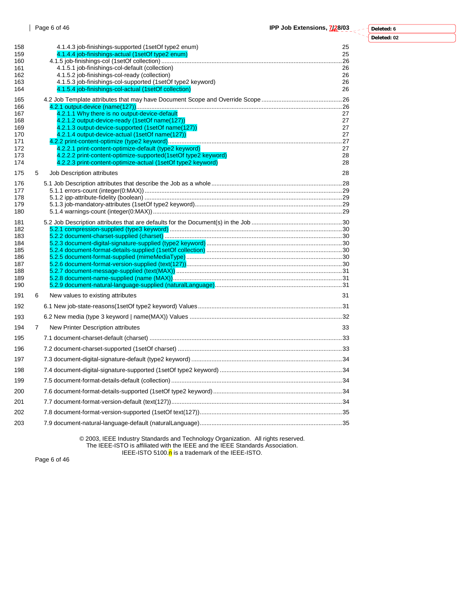| Deleted: 6  |  |
|-------------|--|
| Deleted: 02 |  |

Ξ ⊣

| 158<br>159<br>160<br>161<br>162<br>163<br>164                      |   | 4.1.4.3 job-finishings-supported (1setOf type2 enum)<br>4.1.4.4 job-finishings-actual (1setOf type2 enum)<br>4.1.5.1 job-finishings-col-default (collection)<br>4.1.5.2 job-finishings-col-ready (collection)<br>4.1.5.3 job-finishings-col-supported (1setOf type2 keyword)<br>4.1.5.4 job-finishings-col-actual (1setOf collection)                                                                   | 25<br>25<br>26<br>26<br>26<br>26       |
|--------------------------------------------------------------------|---|---------------------------------------------------------------------------------------------------------------------------------------------------------------------------------------------------------------------------------------------------------------------------------------------------------------------------------------------------------------------------------------------------------|----------------------------------------|
| 165<br>166<br>167<br>168<br>169<br>170<br>171<br>172<br>173<br>174 |   | 4.2.1.1 Why there is no output-device-default<br>4.2.1.2 output-device-ready (1setOf name(127))<br>4.2.1.3 output-device-supported (1setOf name(127))<br>4.2.1.4 output-device-actual (1setOf name(127))<br>4.2.2.1 print-content-optimize-default (type2 keyword)<br>4.2.2.2 print-content-optimize-supported (1set Of type 2 keyword)<br>4.2.2.3 print-content-optimize-actual (1setOf type2 keyword) | 27<br>27<br>27<br>27<br>27<br>28<br>28 |
| 175<br>176<br>177<br>178<br>179<br>180                             | 5 | Job Description attributes                                                                                                                                                                                                                                                                                                                                                                              | 28                                     |
| 181<br>182<br>183<br>184<br>185<br>186<br>187<br>188<br>189<br>190 |   |                                                                                                                                                                                                                                                                                                                                                                                                         |                                        |
| 191                                                                | 6 | New values to existing attributes                                                                                                                                                                                                                                                                                                                                                                       | 31                                     |
| 192                                                                |   |                                                                                                                                                                                                                                                                                                                                                                                                         |                                        |
| 193                                                                |   |                                                                                                                                                                                                                                                                                                                                                                                                         |                                        |
| 194                                                                | 7 | New Printer Description attributes                                                                                                                                                                                                                                                                                                                                                                      | 33                                     |
| 195                                                                |   |                                                                                                                                                                                                                                                                                                                                                                                                         |                                        |
| 196                                                                |   |                                                                                                                                                                                                                                                                                                                                                                                                         |                                        |
| 197                                                                |   |                                                                                                                                                                                                                                                                                                                                                                                                         |                                        |
| 198                                                                |   |                                                                                                                                                                                                                                                                                                                                                                                                         |                                        |
| 199                                                                |   |                                                                                                                                                                                                                                                                                                                                                                                                         |                                        |
| 200                                                                |   |                                                                                                                                                                                                                                                                                                                                                                                                         |                                        |
| 201                                                                |   |                                                                                                                                                                                                                                                                                                                                                                                                         |                                        |
| 202                                                                |   |                                                                                                                                                                                                                                                                                                                                                                                                         |                                        |
| 203                                                                |   |                                                                                                                                                                                                                                                                                                                                                                                                         |                                        |

© 2003, IEEE Industry Standards and Technology Organization. All rights reserved. The IEEE-ISTO is affiliated with the IEEE and the IEEE Standards Association. IEEE-ISTO 5100.<mark>n</mark> is a trademark of the IEEE-ISTO.

Page 6 of 46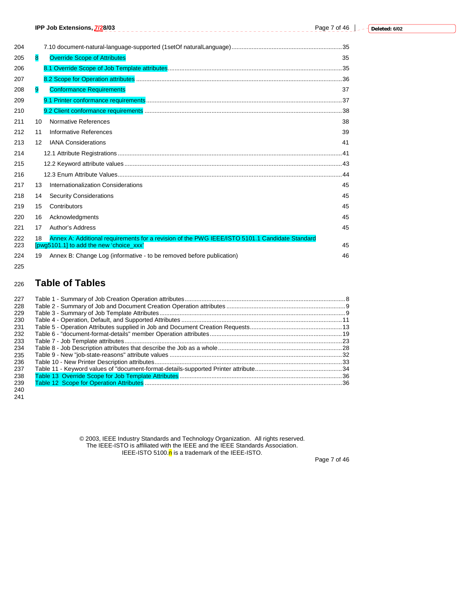|            |    | IPP Job Extensions, 7/28/03                                                                                                               | Page 7 of 46 |
|------------|----|-------------------------------------------------------------------------------------------------------------------------------------------|--------------|
| 204        |    |                                                                                                                                           |              |
| 205        | 8  | <b>Override Scope of Attributes</b>                                                                                                       | 35           |
| 206        |    |                                                                                                                                           |              |
| 207        |    |                                                                                                                                           |              |
| 208        | 9  | <b>Conformance Requirements</b>                                                                                                           | 37           |
| 209        |    |                                                                                                                                           |              |
| 210        |    |                                                                                                                                           |              |
| 211        | 10 | Normative References                                                                                                                      | 38           |
| 212        | 11 | Informative References                                                                                                                    | 39           |
| 213        | 12 | <b>IANA Considerations</b>                                                                                                                | 41           |
| 214        |    |                                                                                                                                           |              |
| 215        |    |                                                                                                                                           |              |
| 216        |    |                                                                                                                                           |              |
| 217        | 13 | Internationalization Considerations                                                                                                       | 45           |
| 218        | 14 | <b>Security Considerations</b>                                                                                                            | 45           |
| 219        | 15 | Contributors                                                                                                                              | 45           |
| 220        | 16 | Acknowledgments                                                                                                                           | 45           |
| 221        | 17 | Author's Address                                                                                                                          | 45           |
| 222<br>223 | 18 | Annex A: Additional requirements for a revision of the PWG IEEE/ISTO 5101.1 Candidate Standard<br>[pwg5101.1] to add the new 'choice xxx' | 45           |
| 224        | 19 | Annex B: Change Log (informative - to be removed before publication)                                                                      | 46           |
| 225        |    |                                                                                                                                           |              |

# <sup>226</sup>**Table of Tables**

| 227 |  |
|-----|--|
| 228 |  |
| 229 |  |
| 230 |  |
| 231 |  |
| 232 |  |
| 233 |  |
| 234 |  |
| 235 |  |
| 236 |  |
| 237 |  |
| 238 |  |
| 239 |  |
| 240 |  |

241

© 2003, IEEE Industry Standards and Technology Organization. All rights reserved. The IEEE-ISTO is affiliated with the IEEE and the IEEE Standards Association. IEEE-ISTO 5100.<mark>n</mark> is a trademark of the IEEE-ISTO.

Page 7 of 46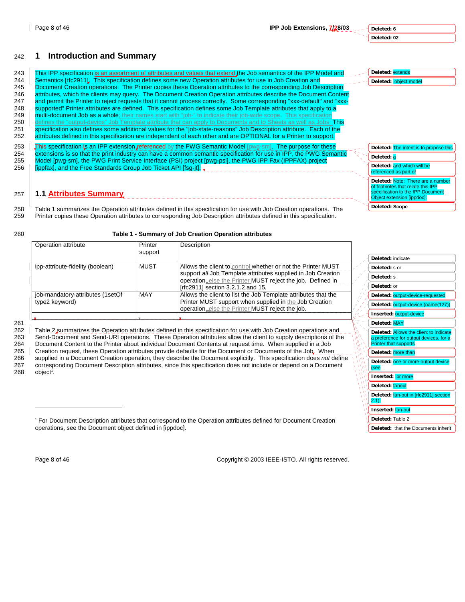**Deleted:** indicate **Deleted:** s or **Deleted:** s **Deleted:** or

**Deleted:** output-device-requested **Deleted:** output-device (name(127)) **Inserted:** output-device **Deleted:** MAY

**Deleted:** Allows the client to indicate a preference for output devices, for a Printer that supports

Deleted: one or more output device

**Deleted:** fan-out in [rfc2911] section

**Deleted:** that the Documents inherit

**Deleted:** more than

**Inserted:** or more **Deleted:** fanout

**Inserted:** fan-out **Deleted:** Table 2

(see

 $2.1$ ).

# 242 **1 Introduction and Summary**

|     |                                                                                                                        | Deleted: extends                       |
|-----|------------------------------------------------------------------------------------------------------------------------|----------------------------------------|
| 243 | This IPP specification is an assortment of attributes and values that extend the Job semantics of the IPP Model and    |                                        |
| 244 | Semantics [rfc2911]. This specification defines some new Operation attributes for use in Job Creation and              | Deleted: object model                  |
| 245 | Document Creation operations. The Printer copies these Operation attributes to the corresponding Job Description       |                                        |
| 246 | attributes, which the clients may query. The Document Creation Operation attributes describe the Document Content      |                                        |
| 247 | and permit the Printer to reject requests that it cannot process correctly. Some corresponding "xxx-default" and "xxx- |                                        |
| 248 | supported" Printer attributes are defined. This specification defines some Job Template attributes that apply to a     |                                        |
| 249 | multi-document Job as a whole; their names start with "job-" to indicate their job-wide scope. This specification      |                                        |
| 250 | defines the "output-device" Job Template attribute that can apply to Documents and to Sheets as well as Jobs This      |                                        |
| 251 | specification also defines some additional values for the "job-state-reasons" Job Description attribute. Each of the   |                                        |
| 252 | attributes defined in this specification are independent of each other and are OPTIONAL for a Printer to support.      |                                        |
| 253 | This specification is an IPP extension referenced by the PWG Semantic Model [pwg-sm]. The purpose for these            | Deleted: The intent is to propose this |
| 254 | extensions is so that the print industry can have a common semantic specification for use in IPP, the PWG Semantic     |                                        |
| 255 | Model [pwg-sm], the PWG Print Service Interface (PSI) project [pwg-psi], the PWG IPP Fax (IPPFAX) project              | Deleted: a                             |
| 256 | [ippfax], and the Free Standards Group Job Ticket API [fsq-it].                                                        | Deleted: and which will be             |
|     |                                                                                                                        | referenced as part of                  |
|     |                                                                                                                        | Deleted: Note: There are a number      |
|     |                                                                                                                        | of footnotes that relate this IPP      |
| 257 | <b>1.1 Attributes Summary.</b>                                                                                         | specification to the IPP Document      |
|     |                                                                                                                        | Object extension [ippdoc].             |
| 258 | Table 1 summarizes the Operation attributes defined in this specification for use with Job Creation operations. The    | Deleted: Scope                         |
| 259 | Printer copies these Operation attributes to corresponding Job Description attributes defined in this specification.   |                                        |

#### 260 **Table 1 - Summary of Job Creation Operation attributes**

| Operation attribute                                | Printer | Description                                                                                     |                                          |
|----------------------------------------------------|---------|-------------------------------------------------------------------------------------------------|------------------------------------------|
|                                                    | support |                                                                                                 |                                          |
| ipp-attribute-fidelity (boolean)                   | MUST    | Allows the client to control whether or not the Printer MUST                                    |                                          |
|                                                    |         | support all Job Template attributes supplied in Job Creation                                    |                                          |
|                                                    |         | operation else the Printer MUST reject the job. Defined in<br>[rfc2911] section 3.2.1.2 and 15. |                                          |
|                                                    | MAY     | Allows the client to list the Job Template attributes that the                                  |                                          |
| job-mandatory-attributes (1setOf<br>type2 keyword) |         | Printer MUST support when supplied in the Job Creation                                          | $\frac{1}{2}$<br>$\mathbb{Z}/\mathbb{Z}$ |
|                                                    |         | operation else the Printer MUST reject the job.                                                 |                                          |
|                                                    |         |                                                                                                 |                                          |

261

262 Table 2 summarizes the Operation attributes defined in this specification for use with Job Creation operations and<br>263 Send-Document and Send-URI operations. These Operation attributes allow the client to supply descri Send-Document and Send-URI operations. These Operation attributes allow the client to supply descriptions of the 264 Document Content to the Printer about individual Document Contents at request time. When supplied in a Job 265 | Creation request, these Operation attributes provide defaults for the Document or Documents of the Job. When 266 supplied in a Document Creation operation, they describe the Document explicitly. This specification does *not* define 267 corresponding Document Description attributes, since this specification does not include or depend on a Document object<sup>1</sup>.

 $\overline{a}$ 

Page 8 of 46 Copyright © 2003 IEEE-ISTO. All rights reserved.

<sup>1</sup> For Document Description attributes that correspond to the Operation attributes defined for Document Creation operations, see the Document object defined in [ippdoc].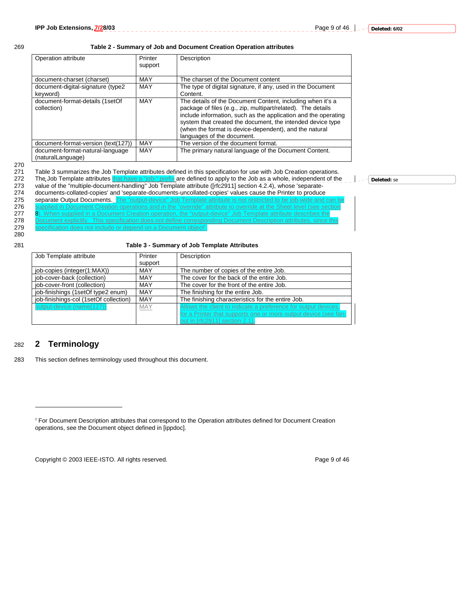**Deleted:** se

#### 269 **Table 2 - Summary of Job and Document Creation Operation attributes**

| Operation attribute                                   | Printer<br>support | Description                                                                                                                                                                                                                                                                                                                                        |
|-------------------------------------------------------|--------------------|----------------------------------------------------------------------------------------------------------------------------------------------------------------------------------------------------------------------------------------------------------------------------------------------------------------------------------------------------|
| document-charset (charset)                            | MAY                | The charset of the Document content                                                                                                                                                                                                                                                                                                                |
| document-digital-signature (type2                     | MAY                | The type of digital signature, if any, used in the Document                                                                                                                                                                                                                                                                                        |
| keyword)                                              |                    | Content.                                                                                                                                                                                                                                                                                                                                           |
| document-format-details (1setOf<br>collection)        | MAY                | The details of the Document Content, including when it's a<br>package of files (e.g., zip, multipart/related). The details<br>include information, such as the application and the operating<br>system that created the document, the intended device type<br>(when the format is device-dependent), and the natural<br>languages of the document. |
| document-format-version (text(127))                   | MAY                | The version of the document format.                                                                                                                                                                                                                                                                                                                |
| document-format-natural-language<br>(naturalLanguage) | MAY                | The primary natural language of the Document Content.                                                                                                                                                                                                                                                                                              |

<sup>270</sup> 

271 Table 3 summarizes the Job Template attributes defined in this specification for use with Job Creation operations.<br>272 The Job Template attributes that have a "job-" prefix are defined to apply to the Job as a whole, i

- The Job Template attributes that have a "job-" prefix are defined to apply to the Job as a whole, independent of the
- 273 value of the "multiple-document-handling" Job Template attribute ([rfc2911] section 4.2.4), whose 'separate-<br>274 documents-collated-copies' and 'separate-documents-uncollated-copies' values cause the Printer to produce
- 274 documents-collated-copies' and 'separate-documents-uncollated-copies' values cause the Printer to produce<br>275 separate Output Documents. The "output-device" Job Template attribute is not restricted to be job-wide and
- 275 separate Output Documents. The "output-device" Job Template attribute is not restricted to be job-wide at<br>276 supplied in Document Creation operations and in the "override" attribute to override at the Sheet level ed in Document Creation operations and in the "override" attribute to override at the Sheet level (see
	-
- 277 8). When supplied in a Document Creation operation, the "output-device" Job Template attribute describes the<br>278 Document explicitly. This specification does *not* define corresponding Document Description attributes, 278 Document explicitly. This specification does *not* define corresponding Document Description attributes, since this
- 279 specification does not include or depend on a Document object<sup>2</sup>.
- 280

281 **Table 3 - Summary of Job Template Attributes** 

| Job Template attribute                        | Printer                                               | Description                                                     |
|-----------------------------------------------|-------------------------------------------------------|-----------------------------------------------------------------|
|                                               | support                                               |                                                                 |
| job-copies (integer(1:MAX))                   | <b>MAY</b><br>The number of copies of the entire Job. |                                                                 |
| job-cover-back (collection)                   | MAY                                                   | The cover for the back of the entire Job.                       |
| job-cover-front (collection)                  | MAY                                                   | The cover for the front of the entire Job.                      |
| job-finishings (1setOf type2 enum)            | MAY                                                   | The finishing for the entire Job.                               |
| job-finishings-col (1setOf collection)<br>MAY |                                                       | The finishing characteristics for the entire Job.               |
| output-device (name(127))                     | <b>MAY</b>                                            | Allows the client to indicate a preference for output devices,  |
|                                               |                                                       | for a Printer that supports one or more output device (see fan- |
|                                               |                                                       | out in [rfc2911] section 2.1).                                  |

# 282 **2 Terminology**

 $\overline{a}$ 

283 This section defines terminology used throughout this document.

Copyright © 2003 IEEE-ISTO. All rights reserved. Page 9 of 46



<sup>&</sup>lt;sup>2</sup> For Document Description attributes that correspond to the Operation attributes defined for Document Creation operations, see the Document object defined in [ippdoc].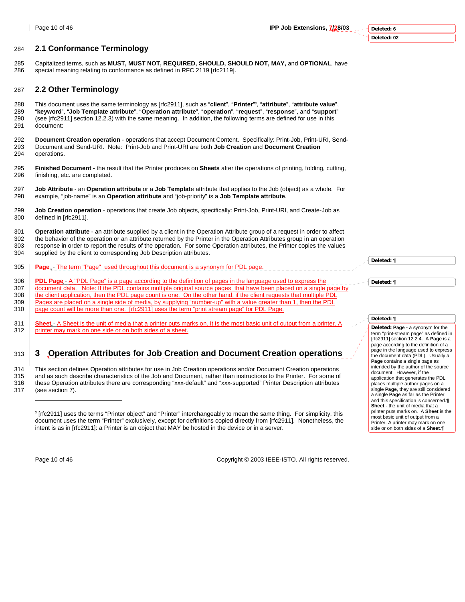#### 284 **2.1 Conformance Terminology**

285 Capitalized terms, such as **MUST, MUST NOT, REQUIRED, SHOULD, SHOULD NOT, MAY,** and **OPTIONAL**, have special meaning relating to conformance as defined in RFC 2119 [rfc2119].

#### 287 **2.2 Other Terminology**

This document uses the same terminology as [rfc2911], such as "**client**", "**Printer**" <sup>3</sup> 288 , "**attribute**", "**attribute value**", 289 "**keyword**", "**Job Template attribute**", "**Operation attribute**", "**operation**", "**request**", "**response**", and "**support**" 290 (see [rfc2911] section 12.2.3) with the same meaning. In addition, the following terms are defined for use in this 291 document:

292 **Document Creation operation** - operations that accept Document Content. Specifically: Print-Job, Print-URI, Send-293 Document and Send-URI. Note: Print-Job and Print-URI are both **Job Creation** and **Document Creation** 294 operations.

295 **Finished Document -** the result that the Printer produces on **Sheets** after the operations of printing, folding, cutting, 296 finishing, etc. are completed.

297 **Job Attribute** - an **Operation attribute** or a **Job Templat**e attribute that applies to the Job (object) as a whole. For 298 example, "job-name" is an **Operation attribute** and "job-priority" is a **Job Template attribute**.

299 **Job Creation operation** - operations that create Job objects, specifically: Print-Job, Print-URI, and Create-Job as 300 defined in [rfc2911].

301 **Operation attribute** - an attribute supplied by a client in the Operation Attribute group of a request in order to affect 302 the behavior of the operation or an attribute returned by the Printer in the Operation Attributes group in an operation 303 response in order to report the results of the operation. For some Operation attributes, the Printer copies the values 304 supplied by the client to corresponding Job Description attributes.

- 305 **Page**  The term "Page" used throughout this document is a synonym for PDL page.
- 306 **PDL Page** A "PDL Page" is a page according to the definition of pages in the language used to expres
- 307 document data. Note: If the PDL contains multiple original source pages that have been placed on a single page by
- 308 the client application, then the PDL page count is one. On the other hand, if the client requests that multiple PDL
- 309 **Pages are placed on a single side of media, by supplying "number-up" with a value greater than 1, then the PDL** 310 page count will be more than one. [rfc2911] uses the term "print stream page" for PDL Page.
- 
- 311 **Sheet** A Sheet is the unit of media that a printer puts marks on. It is the most basic unit of output from a printer. A 312 | printer may mark on one side or on both sides of a sheet.

# 313 **3 Operation Attributes for Job Creation and Document Creation operations**

314 This section defines Operation attributes for use in Job Creation operations and/or Document Creation operations<br>315 and as such describe characteristics of the Job and Document rather than instructions to the Printer. and as such describe characteristics of the Job and Document, rather than instructions to the Printer. For some of 316 these Operation attributes there are corresponding "xxx-default" and "xxx-supported" Printer Description attributes 317 (see section 7).

3 [rfc2911] uses the terms "Printer object" and "Printer" interchangeably to mean the same thing. For simplicity, this document uses the term "Printer" exclusively, except for definitions copied directly from [rfc2911]. Nonetheless, the intent is as in [rfc2911]: a Printer is an object that MAY be hosted in the device or in a server.

l

Page 10 of 46 Copyright © 2003 IEEE-ISTO. All rights reserved.

**Deleted: ¶**

**Deleted: ¶**

#### **Deleted: ¶**

**Deleted: Page -** a synonym for the term "print-stream page" as defined in [rfc2911] section 12.2.4. A **Page** is a page according to the definition of a page in the language used to express the document data (PDL). Usually a **Page** contains a single page as intended by the author of the source document. However, if the application that generates the PDL places multiple author pages on a single **Page**, they are still considered a single **Page** as far as the Printer and this specification is concerned.**¶ Sheet** - the unit of media that a printer puts marks on. A **Sheet** is the most basic unit of output from a Printer. A printer may mark on one side or on both sides of a **Sheet**.¶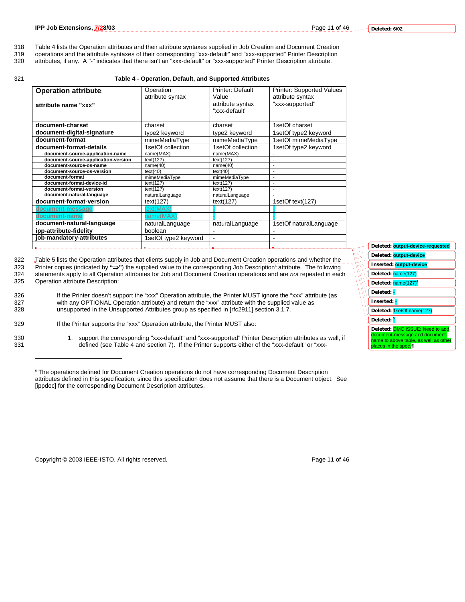- 318 Table 4 lists the Operation attributes and their attribute syntaxes supplied in Job Creation and Document Creation<br>319 operations and the attribute syntaxes of their corresponding "xxx-default" and "xxx-supported" Prin
- 319 operations and the attribute syntaxes of their corresponding "xxx-default" and "xxx-supported" Printer Description<br>320 attributes, if any. A "-" indicates that there isn't an "xxx-default" or "xxx-supported" Printer De
- attributes, if any. A "-" indicates that there isn't an "xxx-default" or "xxx-supported" Printer Description attribute.

#### 321 **Table 4 - Operation, Default, and Supported Attributes**

| <b>Operation attribute:</b>         | Operation            | Printer: Default  | <b>Printer: Supported Values</b> |
|-------------------------------------|----------------------|-------------------|----------------------------------|
|                                     | attribute syntax     | Value             | attribute syntax                 |
| attribute name "xxx"                |                      | attribute syntax  | "xxx-supported"                  |
|                                     |                      | "xxx-default"     |                                  |
|                                     |                      |                   |                                  |
| document-charset                    | charset              | charset           | 1setOf charset                   |
| document-digital-signature          | type2 keyword        | type2 keyword     | 1setOf type2 keyword             |
| document-format                     | mimeMediaType        | mimeMediaType     | 1setOf mimeMediaType             |
| document-format-details             | 1setOf collection    | 1setOf collection | 1setOf type2 keyword             |
| document-source-application-name    | name(MAX)            | name(MAX)         |                                  |
| document-source-application-version | text(127)            | text(127)         |                                  |
| document-source-os-name             | name(40)             | name(40)          |                                  |
| document-source-os-version          | text(40)             | text(40)          |                                  |
| document-format                     | mimeMediaType        | mimeMediaType     | $\blacksquare$                   |
| document-format-device-id           | text(127)            | text(127)         |                                  |
| document-format-version             | text(127)            | text(127)         |                                  |
| document-natural-language           | naturalLanguage      | naturalLanguage   |                                  |
| document-format-version             | text(127)            | text(127)         | 1setOf text(127)                 |
| document-message                    | text(MAX)            |                   |                                  |
| document-name                       | name(MAX             |                   |                                  |
| document-natural-language           | naturalLanguage      | naturalLanguage   | 1setOf naturalLanguage           |
| ipp-attribute-fidelity              | boolean              |                   |                                  |
| job-mandatory-attributes            | 1setOf type2 keyword |                   |                                  |
|                                     |                      |                   |                                  |

322 Table 5 lists the Operation attributes that clients supply in Job and Document Creation operations and whether the<br>323 Printer copies (indicated by ">") the supplied value to the corresponding Job Description® attribut Printer copies (indicated by  $\stackrel{a}{\rightarrow}$ ) the supplied value to the corresponding Job Description<sup>6</sup> attribute. The following 324 statements apply to all Operation attributes for Job and Document Creation operations and are *not* repeated in each Operation attribute Description:

326 If the Printer doesn't support the "xxx" Operation attribute, the Printer MUST ignore the "xxx" attribute (as 327 with any OPTIONAL Operation attribute) and return the "xxx" attribute with the supplied value as<br>328 unsupported in the Unsupported Attributes group as specified in [rfc2911] section 3.1.7. unsupported in the Unsupported Attributes group as specified in [rfc2911] section 3.1.7.

l

- 329 If the Printer supports the "xxx" Operation attribute, the Printer MUST also:
- 330 1. support the corresponding "xxx-default" and "xxx-supported" Printer Description attributes as well, if 331 defined (see Table 4 and section 7). If the Printer supports either of the "xxx-default" or "xxx-

6 The operations defined for Document Creation operations do not have corresponding Document Description attributes defined in this specification, since this specification does not assume that there is a Document object. See [ippdoc] for the corresponding Document Description attributes.

Copyright © 2003 IEEE-ISTO. All rights reserved. The example of the example of 46

| Deleted: <b>output-device-requested</b>                                                                                                   |
|-------------------------------------------------------------------------------------------------------------------------------------------|
| Deleted: output-device                                                                                                                    |
| Inserted: output-device                                                                                                                   |
| Deleted: name(127)<br>Ń                                                                                                                   |
| Deleted: name(127) <sup>4</sup>                                                                                                           |
| Deleted:                                                                                                                                  |
| Inserted:                                                                                                                                 |
| Deleted: 1setOf name(127)                                                                                                                 |
| Deleted: <mark>5</mark>                                                                                                                   |
| Deleted: <b>DMC ISSUE: Need to add</b><br>document-message and document-<br>name to above table, as well as other<br>places in the spec.¶ |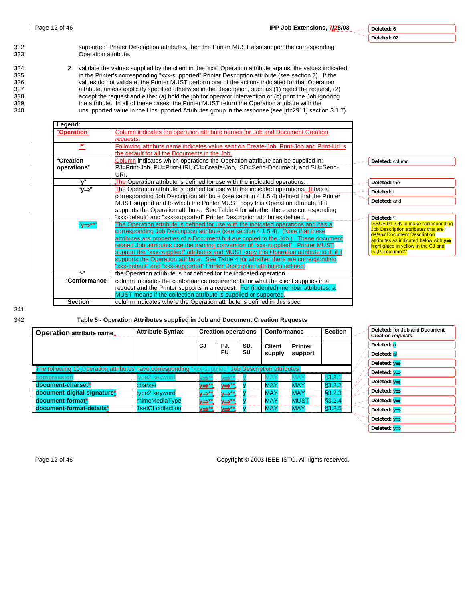#### **Deleted: 6 Deleted: 02**

|<br>|<br>|

**Deleted: y**



332 supported" Printer Description attributes, then the Printer MUST also support the corresponding Operation attribute.

334 2. validate the values supplied by the client in the "xxx" Operation attribute against the values indicated 335 in the Printer's corresponding "xxx-supported" Printer Description attribute (see section 7). If the 336 values do not validate, the Printer MUST perform one of the actions indicated for that Operation<br>337 attribute, unless explicitly specified otherwise in the Description, such as (1) reject the request, (2) 337 attribute, unless explicitly specified otherwise in the Description, such as (1) reject the request, (2) accept the request and either (a) hold the job for operator intervention or (b) print the Job ignoring accept the request and either (a) hold the job for operator intervention or (b) print the Job ignoring 339 the attribute. In all of these cases, the Printer MUST return the Operation attribute with the 340 unsupported value in the Unsupported Attributes group in the response (see [rfc2911] section 3.1.7).

| Legend:         |                                                                                           |                                                                            |
|-----------------|-------------------------------------------------------------------------------------------|----------------------------------------------------------------------------|
| "Operation"     | Column indicates the operation attribute names for Job and Document Creation              |                                                                            |
|                 | requests.                                                                                 |                                                                            |
| ほまり             | Following attribute name indicates value sent on Create-Job, Print-Job and Print-Uri is   |                                                                            |
|                 | the default for all the Documents in the Job.                                             |                                                                            |
| "Creation       | Column indicates which operations the Operation attribute can be supplied in:             | Deleted: column                                                            |
| operations"     | PJ=Print-Job, PU=Print-URI, CJ=Create-Job, SD=Send-Document, and SU=Send-                 |                                                                            |
|                 | URI.                                                                                      |                                                                            |
| "v"             | The Operation attribute is defined for use with the indicated operations.                 | Deleted: the                                                               |
| "у⇒"            | The Operation attribute is defined for use with the indicated operations. It has a        | Deleted: t                                                                 |
|                 | corresponding Job Description attribute (see section 4.1.5.4) defined that the Printer    | Deleted: and                                                               |
|                 | MUST support and to which the Printer MUST copy this Operation attribute, if it           |                                                                            |
|                 | supports the Operation attribute. See Table 4 for whether there are corresponding         |                                                                            |
|                 | "xxx-default" and "xxx-supported" Printer Description attributes defined                  | Deleted: ¶                                                                 |
| "v⇒**"          | The Operation attribute is defined for use with the indicated operations and has a        | <b>ISSUE 01: OK to make corresponding</b>                                  |
|                 | corresponding Job Description attribute (see section 4.1.5.4). (Note that these           | <b>Job Description attributes that are</b><br>default Document Description |
|                 | attributes are properties of a Document but are copied to the Job.) These document        | attributes as indicated below with $y \Rightarrow$                         |
|                 | related Job attributes use the naming convention of "xxx-supplied". Printer MUST          | highlighted in yellow in the CJ and                                        |
|                 | support the "xxx-supplied" attributes and MUST copy this Operation attribute to it, if it | <b>PJ.PU columns?</b>                                                      |
|                 | supports the Operation attribute. See Table 4 for whether there are corresponding         |                                                                            |
|                 | "xxx-default" and "xxx-supported" Printer Description attributes defined.                 |                                                                            |
| $\mathbf{u}$ is | the Operation attribute is not defined for the indicated operation.                       |                                                                            |
| "Conformance"   | column indicates the conformance requirements for what the client supplies in a           |                                                                            |
|                 | request and the Printer supports in a request. For (indented) member attributes, a        |                                                                            |
|                 | MUST means if the collection attribute is supplied or supported.                          |                                                                            |
| "Section"       | column indicates where the Operation attribute is defined in this spec.                   |                                                                            |

341

342 **Table 5 - Operation Attributes supplied in Job and Document Creation Requests** 

| <b>Operation attribute name.</b>                                                                    | <b>Attribute Syntax</b> |         | <b>Creation operations</b> |     | Conformance   |                | <b>Section</b> |  | Deleted: for Job and Document<br><b>Creation requests</b> |
|-----------------------------------------------------------------------------------------------------|-------------------------|---------|----------------------------|-----|---------------|----------------|----------------|--|-----------------------------------------------------------|
|                                                                                                     |                         | CJ.     | PJ,                        | SD, | <b>Client</b> | <b>Printer</b> |                |  | Deleted: 0                                                |
|                                                                                                     |                         |         | PU                         | SU  | supply        | support        |                |  | Deleted: al                                               |
|                                                                                                     |                         |         |                            |     |               |                |                |  | Deleted: $y \Rightarrow$                                  |
| The following 10 Operation attributes have corresponding "xxx-supplied" Job Description attributes: |                         |         |                            |     |               |                |                |  | Deleted: $v \Rightarrow$                                  |
| compression                                                                                         | type2 keyword           | /⇒*'    | ⇒                          |     | MA۱           | <b>MAY</b>     | \$3.2.1        |  |                                                           |
| document-charset*                                                                                   | charset                 | v⇒**_ l | v⇒**_                      |     | <b>MAY</b>    | <b>MAY</b>     | \$3.2.2        |  | Deleted: $v \Rightarrow$                                  |
| document-digital-signature*                                                                         | type2 keyword           | у⇒**.   | <b>v⇒**.</b>               |     | <b>MAY</b>    | <b>MAY</b>     | §3.2.3         |  | Deleted: $v \Rightarrow$                                  |
| document-format*                                                                                    | mimeMediaType           | v⇒**_   | <u>y⇒**</u>                |     | <b>MAY</b>    | <b>MUST</b>    | §3.2.4         |  | Deleted: $v \Rightarrow$                                  |
| document-format-details*                                                                            | 1setOf collection       | v⇒**_ l | <u>y⇒**</u>                |     | <b>MAY</b>    | <b>MAY</b>     | §3.2.5         |  | Deleted: $v \Rightarrow$                                  |
|                                                                                                     |                         |         |                            |     |               |                |                |  | Deleted: $v \Rightarrow$                                  |

Page 12 of 46 Copyright © 2003 IEEE-ISTO. All rights reserved.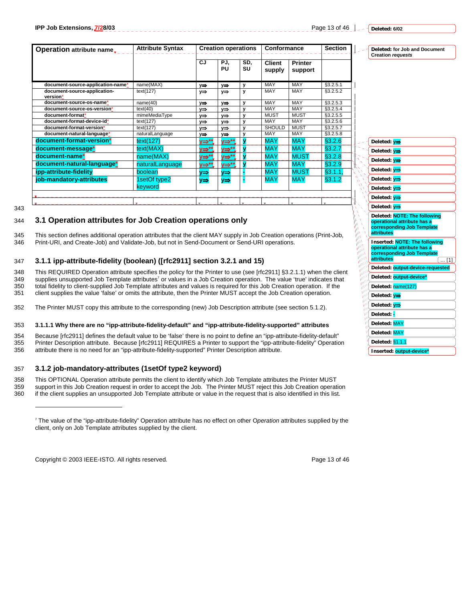Page 13 of 46 **L**<sub>-</sub> - <u>Peleted: 6/02</u>

**Deleted: for Job and Document** 

**Creation** *requests*

| <b>Operation attribute name.</b>         | <b>Attribute Syntax</b><br><b>Creation operations</b> |             |             |           | <b>Conformance</b>      | <b>Section</b>            |          |
|------------------------------------------|-------------------------------------------------------|-------------|-------------|-----------|-------------------------|---------------------------|----------|
|                                          |                                                       | CJ.         | PJ.<br>PU   | SD,<br>SU | <b>Client</b><br>supply | <b>Printer</b><br>support |          |
| document-source-application-name*        | name(MAX)                                             | y⇒          | y⇒          | У         | MAY                     | MAY                       | §3.2.5.1 |
| document-source-application-<br>version* | text(127)                                             | y⇒          | y⇒          | y         | MAY                     | MAY                       | §3.2.5.2 |
| document-source-os-name*                 | name(40)                                              | <b>v⇒</b>   | v⇒          | У         | MAY                     | MAY                       | §3.2.5.3 |
| document-source-os-version*              | text(40)                                              | ∨⇒          | v⇒          | y         | MAY                     | MAY                       | §3.2.5.4 |
| document-format*                         | mimeMediaType                                         | v⇒          | v⇒          | y         | <b>MUST</b>             | <b>MUST</b>               | §3.2.5.5 |
| document-format-device-id*               | text(127)                                             | v⇒          | v⇒          | y         | MAY                     | MAY                       | §3.2.5.6 |
| document-format-version*                 | text(127)                                             | ∨⇒          | ∨⇒          | v         | <b>SHOULD</b>           | <b>MUST</b>               | §3.2.5.7 |
| document-natural-language*               | naturalLanguage                                       | v⇒          | v⇒          | v         | MAY                     | MAY                       | §3.2.5.8 |
| document-format-version*                 | text(127)                                             | <u>y⇒**</u> | <u>y⇒**</u> |           | <b>MAY</b>              | <b>MAY</b>                | \$3.2.6  |
| document-message*                        | text(MAX)                                             | <u>y⇒**</u> | <u>y⇒**</u> |           | <b>MAY</b>              | <b>MAY</b>                | §3.2.7   |
| document-name*                           | name(MAX)                                             | <u>y⇒**</u> | <u>y⇒**</u> |           | <b>MAY</b>              | <b>MUST</b>               | §3.2.8   |
| document-natural-language*               | naturalLanguage                                       | <u>y⇒**</u> | <u>y⇒**</u> |           | <b>MAY</b>              | <b>MAY</b>                | \$3.2.9  |
| ipp-attribute-fidelity                   | boolean                                               | v⇒          | y⇒          |           | <b>MAY</b>              | <b>MUST</b>               | §3.1.1,  |
| job-mandatory-attributes                 | setOf type2<br>keyword                                | y⇒          | y⇒          |           | <b>MAY</b>              | <b>MAY</b>                | §3.1.2   |
|                                          |                                                       |             |             |           |                         |                           |          |

343

 $\overline{a}$ 

# 344 **3.1 Operation attributes for Job Creation operations only**

345 This section defines additional operation attributes that the client MAY supply in Job Creation operations (Print-Job, 346 Print-URI, and Create-Job) and Validate-Job, but not in Send-Document or Send-URI operations.

# 347 **3.1.1 ipp-attribute-fidelity (boolean) ([rfc2911] section 3.2.1 and 15)**

348 This REQUIRED Operation attribute specifies the policy for the Printer to use (see [rfc2911] §3.2.1.1) when the client 349 supplies unsupported Job Template attributes' or values in a Job Creation operation. The value supplies unsupported Job Template attributes<sup>7</sup> or values in a Job Creation operation. The value 'true' indicates that 350 total fidelity to client-supplied Job Template attributes and values is required for this Job Creation operation. If the 351 client supplies the value 'false' or omits the attribute. then the Printer MUST accept the Jo

client supplies the value 'false' or omits the attribute, then the Printer MUST accept the Job Creation operation.

352 The Printer MUST copy this attribute to the corresponding (new) Job Description attribute (see section 5.1.2).

#### 353 **3.1.1.1 Why there are no "ipp-attribute-fidelity-default" and "ipp-attribute-fidelity-supported" attributes**

354 Because [rfc2911] defines the default value to be 'false' there is no point to define an "ipp-attribute-fidelity-default"<br>355 Printer Description attribute. Because [rfc2911] REQUIRES a Printer to support the "ipp-attr 355 Printer Description attribute. Because [rfc2911] REQUIRES a Printer to support the "ipp-attribute-fidelity" Operation<br>356 attribute there is no need for an "ipp-attribute-fidelity-supported" Printer Description attribu attribute there is no need for an "ipp-attribute-fidelity-supported" Printer Description attribute.

#### 357 **3.1.2 job-mandatory-attributes (1setOf type2 keyword)**

358 This OPTIONAL Operation attribute permits the client to identify which Job Template attributes the Printer MUST 359 support in this Job Creation request in order to accept the Job. The Printer MUST reject this Job Creation operation<br>360 if the client supplies an unsupported Job Template attribute or value in the request that is also if the client supplies an unsupported Job Template attribute or value in the request that is also identified in this list.

Copyright © 2003 IEEE-ISTO. All rights reserved. Copyright C 2003 IEEE-ISTO. All rights reserved.



| Deleted: <mark>y⇒</mark>                                                                                          |
|-------------------------------------------------------------------------------------------------------------------|
| Deleted: v⇒                                                                                                       |
| Deleted: <mark>y⇒</mark>                                                                                          |
| Deleted: <mark>y⇒</mark>                                                                                          |
| Deleted: v⇒                                                                                                       |
| Deleted: <mark>y⇒</mark>                                                                                          |
| Deleted: <mark>y⇒</mark>                                                                                          |
| Deleted: v⇒                                                                                                       |
| Deleted: NOTE: The following<br>operational attribute has a<br>corresponding Job Template<br>attributes           |
|                                                                                                                   |
| Inserted: NOTE: The following<br>operational attribute has a<br>corresponding Job Template<br>attributes<br>$[1]$ |
| Deleted: <b>output-device-requested</b>                                                                           |
| Deleted: output-device*                                                                                           |
| Deleted: name(127)                                                                                                |
| Deleted: y⇒                                                                                                       |
| Deleted: y⇒                                                                                                       |
| Deleted:                                                                                                          |
| Deleted: MAY                                                                                                      |
| Deleted: MAY                                                                                                      |
| Deleted: §1.1.1                                                                                                   |

<sup>7</sup> The value of the "ipp-attribute-fidelity" Operation attribute has no effect on other O*peration* attributes supplied by the client, only on Job Template attributes supplied by the client.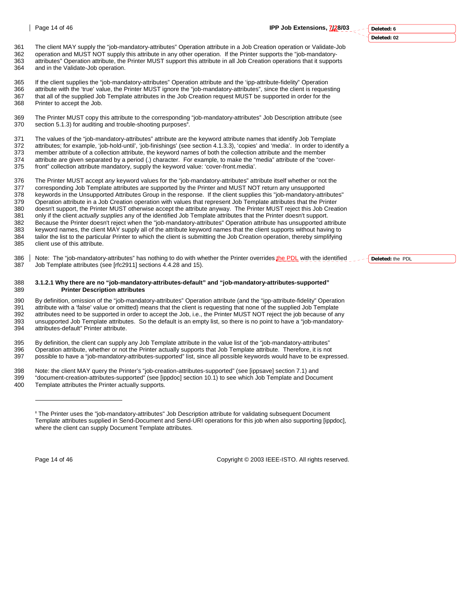# **Deleted: 6**

**Deleted: 02**

361 The client MAY supply the "job-mandatory-attributes" Operation attribute in a Job Creation operation or Validate-Job 362 operation and MUST NOT supply this attribute in any other operation. If the Printer supports the "job-mandatory-363 attributes" Operation attribute, the Printer MUST support this attribute in all Job Creation operations that it supports and in the Validate-Job operation.

365 If the client supplies the "job-mandatory-attributes" Operation attribute and the 'ipp-attribute-fidelity" Operation<br>366 attribute with the 'true' value the Printer MUST ignore the "job-mandatory-attributes" since the 366 attribute with the 'true' value, the Printer MUST ignore the "job-mandatory-attributes", since the client is requesting<br>367 that all of the supplied Job Template attributes in the Job Creation request MUST be supported that all of the supplied Job Template attributes in the Job Creation request MUST be supported in order for the 368 Printer to accept the Job.

369 The Printer MUST copy this attribute to the corresponding "job-mandatory-attributes" Job Description attribute (see<br>370 section 5.1.3) for auditing and trouble-shooting purposes<sup>8</sup>. section 5.1.3) for auditing and trouble-shooting purposes<sup>8</sup>.

371 The values of the "job-mandatory-attributes" attribute are the keyword attribute names that identify Job Template<br>372 attributes: for example 'job-bold-until' 'job-finishings' (see section 4.1.3.3) 'copies' and 'media' attributes; for example, 'job-hold-until', 'job-finishings' (see section 4.1.3.3), 'copies' and 'media'. In order to identify a 373 member attribute of a collection attribute, the keyword names of both the collection attribute and the member 374 attribute are given separated by a period (.) character. For example, to make the "media" attribute of the "cover-<br>375 front" collection attribute mandatory, supply the keyword value: 'cover-front.media'.

front" collection attribute mandatory, supply the keyword value: 'cover-front.media'.

376 The Printer MUST accept *any* keyword values for the "job-mandatory-attributes" attribute itself whether or not the 377 corresponding Job Template attributes are supported by the Printer and MUST NOT return any unsupported 378 keywords in the Unsupported Attributes Group in the response. If the client supplies this "job-mandatory-attributes" 379 Operation attribute in a Job Creation operation with values that represent Job Template attributes that the Printer<br>380 doesn't support, the Printer MUST otherwise accept the attribute anyway. The Printer MUST reject t 380 doesn't support, the Printer MUST otherwise accept the attribute anyway. The Printer MUST reject this Job Creation<br>381 only if the client *actually supplies* any of the identified Job Template attributes that the Print 381 only if the client *actually supplies* any of the identified Job Template attributes that the Printer doesn't support. 382 Because the Printer doesn't reject when the "job-mandatory-attributes" Operation attribute has unsupported attribute 383 keyword names, the client MAY supply all of the attribute keyword names that the client supports without having to 384 tailor the list to the particular Printer to which the client is submitting the Job Creation operation, thereby simplifying 385 client use of this attribute. client use of this attribute.

386 | Note: The "job-mandatory-attributes" has nothing to do with whether the Printer overrides the PDL with the identified same that if the interpret over the stream of the method of the interpret of the interpret of the Job Template attributes (see [rfc2911] sections 4.4.28 and 15).

#### 388 **3.1.2.1 Why there are no "job-mandatory-attributes-default" and "job-mandatory-attributes-supported"**  389 **Printer Description attributes**

390 By definition, omission of the "job-mandatory-attributes" Operation attribute (and the "ipp-attribute-fidelity" Operation 391 attribute with a 'false' value or omitted) means that the client is requesting that none of the supplied Job Template 392 attributes need to be supported in order to accept the Job, i.e., the Printer MUST NOT reject the job because of any<br>393 unsupported Job Template attributes. So the default is an empty list, so there is no point to hav unsupported Job Template attributes. So the default is an empty list, so there is no point to have a "job-mandatory-394 attributes-default" Printer attribute.

395 By definition, the client can supply any Job Template attribute in the value list of the "job-mandatory-attributes" 396 Operation attribute, whether or not the Printer actually supports that Job Template attribute. Therefore, it is not 397 possible to have a "job-mandatory-attributes-supported" list, since all possible keywords would have to be expressed.

398 Note: the client MAY query the Printer's "job-creation-attributes-supported" (see [ippsave] section 7.1) and

399 "document-creation-attributes-supported" (see [ippdoc] section 10.1) to see which Job Template and Document 400 Template attributes the Printer actually supports.

l

Page 14 of 46 Copyright © 2003 IEEE-ISTO. All rights reserved.

**Deleted:** the PDL

<sup>&</sup>lt;sup>8</sup> The Printer uses the "job-mandatory-attributes" Job Description attribute for validating subsequent Document Template attributes supplied in Send-Document and Send-URI operations for this job when also supporting [ippdoc], where the client can supply Document Template attributes.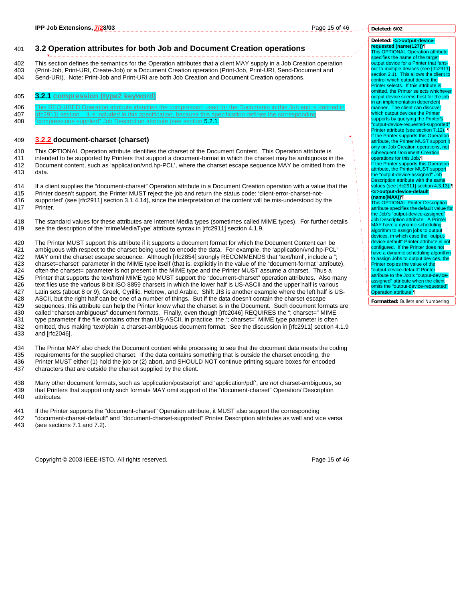#### 401 **3.2 Operation attributes for both Job and Document Creation operations**

402 This section defines the semantics for the Operation attributes that a client MAY supply in a Job Creation operation<br>403 (Print-Job Print-URL Create-Job) or a Document Creation operation (Print-Job Print-URL Send-Docum 403 (Print-Job, Print-URI, Create-Job) or a Document Creation operation (Print-Job, Print-URI, Send-Document and

404 Send-URI). Note: Print-Job and Print-URI are both Job Creation and Document Creation operations.

#### 405 **3.2.1 compression (type2 keyword)**

406 This REQUIRED Operation attribute identifies the compression used for the Documents in this Job and is defined in 407 [rfc2911] section . It is included in this specification, because this specification defines the corresponding

408 "compressions-supplied" Job Description attribute (see section 5.2.1.

#### 409 **3.2.2 document-charset (charset)**

410 This OPTIONAL Operation attribute identifies the charset of the Document Content. This Operation attribute is<br>411 intended to be supported by Printers that support a document-format in which the charset may be ambiguou intended to be supported by Printers that support a document-format in which the charset may be ambiguous in the 412 Document content, such as 'application/vnd.hp-PCL', where the charset escape sequence MAY be omitted from the 413 data.

414 If a client supplies the "document-charset" Operation attribute in a Document Creation operation with a value that the

- 415 Printer doesn't support, the Printer MUST reject the job and return the status code: 'client-error-charset-not-<br>416 supported' (see [rfc2911] section 3.1.4.14), since the interpretation of the content will be mis-under supported' (see [rfc2911] section 3.1.4.14), since the interpretation of the content will be mis-understood by the 417 Printer.
- 418 The standard values for these attributes are Internet Media types (sometimes called MIME types). For further details 419 see the description of the 'mimeMediaType' attribute syntax in [rfc2911] section 4.1.9.

420 The Printer MUST support this attribute if it supports a document format for which the Document Content can be 421 ambiguous with respect to the charset being used to encode the data. For example, the 'application/vnd.hp-PCL'<br>422 MAY omit the charset escape sequence. Although [rfc2854] strongly RECOMMENDS that 'text/html'. include MAY omit the charset escape sequence. Although [rfc2854] strongly RECOMMENDS that 'text/html', include a " 423 charset=charset' parameter in the MIME type itself (that is, explicitly in the value of the "document-format" attribute), 424 often the charset= parameter is not present in the MIME type and the Printer MUST assume a charset. Thus a 425 Printer that supports the text/html MIME type MUST support the "document-charset" operation attributes. Also many<br>426 text files use the various 8-bit ISO 8859 charsets in which the lower half is US-ASCII and the upper text files use the various 8-bit ISO 8859 charsets in which the lower half is US-ASCII and the upper half is various 427 Latin sets (about 8 or 9), Greek, Cyrillic, Hebrew, and Arabic. Shift JIS is another example where the left half is US-428 ASCII, but the right half can be one of a number of things. But if the data doesn't contain the charset escape 429 sequences, this attribute can help the Printer know what the charset is in the Document. Such document formats are 430 called "charset-ambiguous" document formats. Finally, even though [rfc2046] REQUIRES the "; charset=" MIME<br>431 type parameter if the file contains other than US-ASCII, in practice, the "; charset=" MIME type parameter type parameter if the file contains other than US-ASCII, in practice, the "; charset=" MIME type parameter is often 432 omitted, thus making 'text/plain' a charset-ambiguous document format. See the discussion in [rfc2911] section 4.1.9<br>433 and [rfc2046]. and [rfc2046].

434 The Printer MAY also check the Document content while processing to see that the document data meets the coding 435 requirements for the supplied charset. If the data contains something that is outside the charset encoding, the<br>436 Printer MUST either (1) hold the job or (2) abort, and SHOULD NOT continue printing square boxes for e 436 Printer MUST either (1) hold the job or (2) abort, and SHOULD NOT continue printing square boxes for encoded 437 characters that are outside the charset supplied by the client.

438 Many other document formats, such as 'application/postscript' and 'application/pdf', are *not* charset-ambiguous, so 439 that Printers that support only such formats MAY omit support of the "document-charset" Operation/ Description 440 attributes.

- 
- 441 If the Printer supports the "document-charset" Operation attribute, it MUST also support the corresponding<br>442 Tocument-charset-default" and "document-charset-supported" Printer Description attributes as well and viol 442 "document-charset-default" and "document-charset-supported" Printer Description attributes as well and vice versa<br>443 (see sections 7.1 and 7.2).
- (see sections  $7.1$  and  $7.2$ ).

Copyright © 2003 IEEE-ISTO. All rights reserved. Page 15 of 46

#### **Deleted: 6/02**

#### Deleted: <**#>output-devicerequested (name(127))¶**

This OPTIONAL Operation specifies the name of the target output device for a Printer that fan out to multiple devices (see [rfc2911] section 2.1). This allows the client to control which output device the Printer selects. If this attribute is omitted, the Printer selects whichever output device seems best for the job in an implementation dependent manner. The client can discover which output devices the Printer supports by querying the Printer's "output-device-requested-supported" Printer attribute (see section 7.12). If the Printer supports this Operation attribute, the Printer MUST support it only on Job Creation operations, not subsequent Document Creation operations for this Job.¶ If the Printer supports this Operation attribute, the Printer MUST support the "output-device-assigned" Job Description attribute with the same values (see [rfc2911] section 4.3.13).¶ **<#>output-device-default** 

**(name(MAX))¶** This OPTIONAL Printer Description attribute specifies the default value for the Job's "output-device-assigned" Job Description attribute. A Printer MAY have a dynamic scheduling algorithm to assign jobs to output devices, in which case the "outputdevice-default" Printer attribute is not configured. If the Printer does not have a dynamic scheduling algorithm to assign Jobs to output devices, the Printer copies the value of the "output-device-default" Printer attribute to the Job's "output-deviceassigned" attribute when the client omits the "output-device-requested" Operation attribute.¶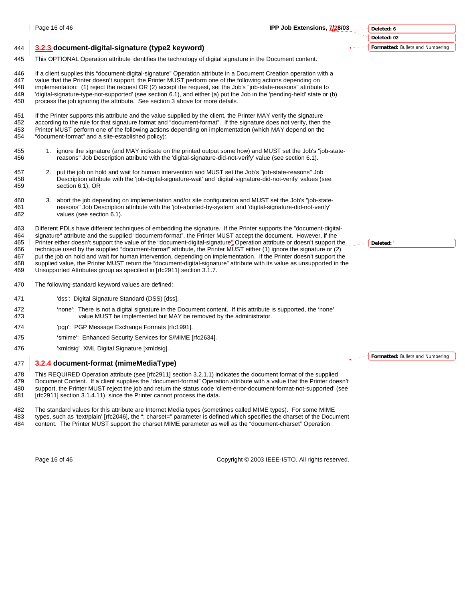

#### 444 **3.2.3 document-digital-signature (type2 keyword)**

445 This OPTIONAL Operation attribute identifies the technology of digital signature in the Document content.

446 If a client supplies this "document-digital-signature" Operation attribute in a Document Creation operation with a 447 value that the Printer doesn't support, the Printer MUST perform one of the following actions depending on 448 implementation: (1) reject the request OR (2) accept the request, set the Job's "job-state-reasons" attribute to 449 'digital-signature-type-not-supported' (see section 6.1), and either (a) put the Job in the 'pending-held' state or (b) process the job ignoring the attribute. See section 3 above for more details.

451 If the Printer supports this attribute and the value supplied by the client, the Printer MAY verify the signature 452 according to the rule for that signature format and "document-format". If the signature does not verify, then the 453 Printer MUST perform one of the following actions depending on implementation (which MAY depend on the 454<br>454 "document-format" and a site-established policy): "document-format" and a site-established policy):

- 455 1. ignore the signature (and MAY indicate on the printed output some how) and MUST set the Job's "job-state-<br>456 see section 6.1) 456 reasons" Job Description attribute with the 'digital-signature-did-not-verify' value (see section 6.1).
- 457 2. put the job on hold and wait for human intervention and MUST set the Job's "job-state-reasons" Job 458 Description attribute with the 'job-digital-signature-wait' and 'digital-signature-did-not-verify' values (see 459 section 6.1), OR
- 460 3. abort the job depending on implementation and/or site configuration and MUST set the Job's "job-state-461 reasons" Job Description attribute with the 'job-aborted-by-system' and 'digital-signature-did-not-verify' 462 values (see section 6.1).

463 Different PDLs have different techniques of embedding the signature. If the Printer supports the "document-digital-464 signature" attribute and the supplied "document-format", the Printer MUST accept the document. However, if the 465 Printer either doesn't support the value of the "document-digital-signature" Operation attribute or doesn't support the 466 technique used by the support the signature or (2) 466 technique used by the supplied "document-format" attribute, the Printer MUST either (1) ignore the signature or (2) 467 put the job on hold and wait for human intervention, depending on implementation. If the Printer doesn't support the 468 supplied value, the Printer MUST return the "document-digital-signature" attribute with its value as unsupported in the 469 Unsupported Attributes group as specified in [rfc2911] section 3.1.7.

- 470 The following standard keyword values are defined:
- 471 'dss': Digital Signature Standard (DSS) [dss].
- 472 'none': There is not a digital signature in the Document content. If this attribute is supported, the 'none' 473 value MUST be implemented but MAY be removed by the administrator.
- 474 'pgp': PGP Message Exchange Formats [rfc1991].
- 475 'smime': Enhanced Security Services for S/MIME [rfc2634].
- 476 'xmldsig' XML Digital Signature [xmldsig].

#### 477 **3.2.4 document-format (mimeMediaType)**

478 This REQUIRED Operation attribute (see [rfc2911] section 3.2.1.1) indicates the document format of the supplied

479 Document Content. If a client supplies the "document-format" Operation attribute with a value that the Printer doesn't 480 support, the Printer MUST reject the job and return the status code 'client-error-document-format-not-supported' (see 481 [rfc2911] section 3.1.4.11), since the Printer cannot process the data.

482 The standard values for this attribute are Internet Media types (sometimes called MIME types). For some MIME 483 types, such as 'text/plain' [rfc2046], the "; charset=" parameter is defined which specifies the charset of the Document 484 content. The Printer MUST support the charset MIME parameter as well as the "document-charset" Operation

Page 16 of 46 Copyright © 2003 IEEE-ISTO. All rights reserved.

**Deleted:** '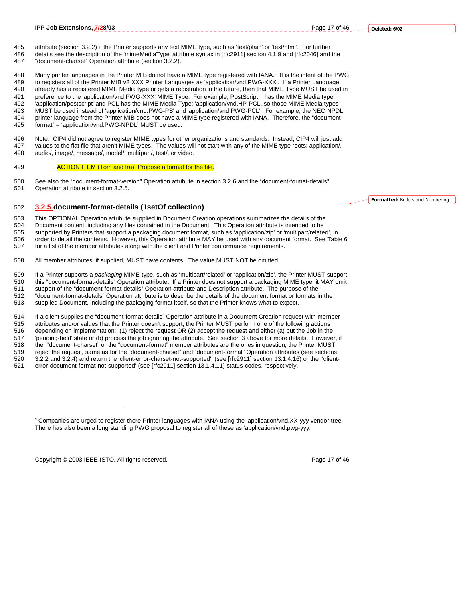#### 485 attribute (section 3.2.2) if the Printer supports any text MIME type, such as 'text/plain' or 'text/html'. For further 486 details see the description of the 'mimeMediaType' attribute syntax in [rfc2911] section 4.1.9 and [rfc2046] and the 487 "document-charset" Operation attribute (section 3.2.2).

488 Many printer languages in the Printer MIB do not have a MIME type registered with IANA.<sup>9</sup> It is the intent of the PWG 489 to registers all of the Printer MIB v2 XXX Printer Languages as 'application/vnd.PWG-XXX'. If a Printer Language<br>490 already has a registered MIME Media type or gets a registration in the future then that MIME Type MUS already has a registered MIME Media type or gets a registration in the future, then that MIME Type MUST be used in 491 preference to the 'application/vnd.PWG-XXX' MIME Type. For example, PostScript® has the MIME Media type: 492 'application/postscript' and PCL has the MIME Media Type: 'application/vnd.HP-PCL, so those MIME Media types 493 MUST be used instead of 'application/vnd.PWG-PS' and 'application/vnd.PWG-PCL'. For example, the NEC NPDL 494 printer language from the Printer MIB does not have a MIME type registered with IANA. Therefore, the "document-<br>495 format" = 'application/vnd.PWG-NPDL' MUST be used. format" = 'application/vnd.PWG-NPDL' MUST be used.

496 Note: CIP4 did not agree to register MIME types for other organizations and standards. Instead, CIP4 will just add 497 values to the flat file that aren't MIME types. The values will not start with any of the MIME type roots: application/, 498 audio/, image/, message/, model/, multipart/, test/, or video.

#### 499 **ACTION ITEM (Tom and Ira): Propose a format for the file.**

500 See also the "document-format-version" Operation attribute in section 3.2.6 and the "document-format-details"<br>501 Operation attribute in section 3.2.5. Operation attribute in section 3.2.5.

#### 502 **3.2.5 document-format-details (1setOf collection)**

503 This OPTIONAL Operation attribute supplied in Document Creation operations summarizes the details of the<br>504 Document content, including any files contained in the Document. This Operation attribute is intended to be 504 Document content, including any files contained in the Document. This Operation attribute is intended to be 505 supported by Printers that support a packaging document format, such as 'application/zip' or 'multipart/related', in 506 order to detail the contents. However, this Operation attribute MAY be used with any document format. See Table 6 507 for a list of the member attributes along with the client and Printer conformance requirements.

508 All member attributes, if supplied, MUST have contents. The value MUST NOT be omitted.

509 If a Printer supports a *packaging* MIME type, such as 'multipart/related' or 'application/zip', the Printer MUST support

510 this "document-format-details" Operation attribute. If a Printer does not support a packaging MIME type, it MAY omit

511 support of the "document-format-details" Operation attribute and Description attribute. The purpose of the<br>512 for the purpose of the purpose of the state of the state of the details of the document format or formats

512 "document-format-details" Operation attribute is to describe the details of the document format or formats in the

513 supplied Document, including the packaging format itself, so that the Printer knows what to expect.

514 If a client supplies the "document-format-details" Operation attribute in a Document Creation request with member 515 attributes and/or values that the Printer doesn't support, the Printer MUST perform one of the following actions 516 depending on implementation: (1) reject the request OR (2) accept the request and either (a) put the Job in the<br>517 chending-held' state or (b) process the job ignoring the attribute. See section 3 above for more detai 'pending-held' state or (b) process the job ignoring the attribute. See section 3 above for more details. However, if 518 the "document-charset" or the "document-format" member attributes are the ones in question, the Printer MUST 519 reject the request, same as for the "document-charset" and "document-format" Operation attributes (see sections 520 3.2.2 and 3.2.4) and return the 'client-error-charset-not-supported' (see [rfc2911] section 13.1.4.16) or the 'client-<br>521 error-document-format-not-supported' (see [rfc2911] section 13.1.4.11) status-codes, respective 521 error-document-format-not-supported' (see [rfc2911] section 13.1.4.11) status-codes, respectively.

Copyright © 2003 IEEE-ISTO. All rights reserved. Page 17 of 46

 $\overline{a}$ 

<sup>9</sup> Companies are urged to register there Printer languages with IANA using the 'application/vnd.XX-yyy vendor tree. There has also been a long standing PWG proposal to register all of these as 'application/vnd.pwg-yyy.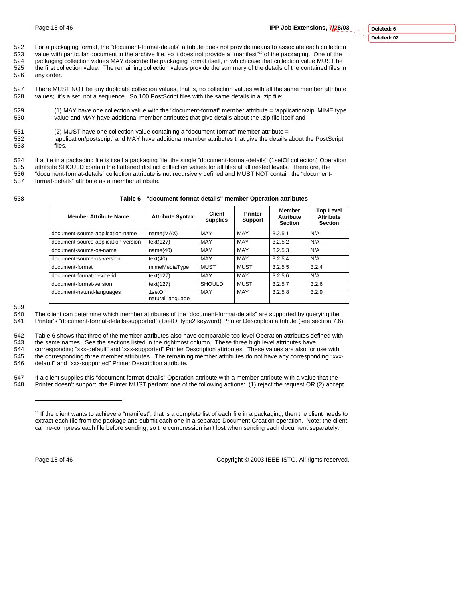522 For a packaging format, the "document-format-details" attribute does not provide means to associate each collection<br>523 value with particular document in the archive file, so it does not provide a "manifest"<sup>10</sup> of the value with particular document in the archive file, so it does not provide a "manifest"<sup>10</sup> of the packaging. One of the

- 524 packaging collection values MAY describe the packaging format itself, in which case that collection value MUST be<br>525 the first collection value. The remaining collection values provide the summary of the details of th 525 the first collection value. The remaining collection values provide the summary of the details of the contained files in<br>526 any order
- any order.

527 There MUST NOT be any duplicate collection values, that is, no collection values with all the same member attribute 528 values; it's a set, not a sequence. So 100 PostScript files with the same details in a .zip file: values; it's a set, not a sequence. So 100 PostScript files with the same details in a .zip file:

- 529 (1) MAY have one collection value with the "document-format" member attribute = 'application/zip' MIME type 530 value and MAY have additional member attributes that give details about the .zip file itself and
- 531 (2) MUST have one collection value containing a "document-format" member attribute =
- 532 'application/postscript' and MAY have additional member attributes that give the details about the PostScript files.

534 If a file in a packaging file is itself a packaging file, the single "document-format-details" (1setOf collection) Operation<br>535 attribute SHOULD contain the flattened distinct collection values for all files at all ne

- 535 attribute SHOULD contain the flattened distinct collection values for all files at all nested levels. Therefore, the 536 "document-format-details" collection attribute is not recursively defined and MUST NOT contain the "document-
- 537 format-details" attribute as a member attribute.

538 **Table 6 - "document-format-details" member Operation attributes** 

| <b>Member Attribute Name</b>        | <b>Attribute Syntax</b>   | Client<br>supplies | <b>Printer</b><br><b>Support</b> | <b>Member</b><br><b>Attribute</b><br><b>Section</b> | <b>Top Level</b><br><b>Attribute</b><br><b>Section</b> |
|-------------------------------------|---------------------------|--------------------|----------------------------------|-----------------------------------------------------|--------------------------------------------------------|
| document-source-application-name    | name(MAX)                 | MAY                | MAY                              | 3.2.5.1                                             | N/A                                                    |
| document-source-application-version | text(127)                 | MAY                | MAY                              | 3.2.5.2                                             | N/A                                                    |
| document-source-os-name             | name(40)                  | MAY                | MAY                              | 3.2.5.3                                             | N/A                                                    |
| document-source-os-version          | text(40)                  | MAY                | MAY                              | 3.2.5.4                                             | N/A                                                    |
| document-format                     | mimeMediaType             | <b>MUST</b>        | <b>MUST</b>                      | 3.2.5.5                                             | 3.2.4                                                  |
| document-format-device-id           | text(127)                 | MAY                | MAY                              | 3.2.5.6                                             | N/A                                                    |
| document-format-version             | text(127)                 | <b>SHOULD</b>      | <b>MUST</b>                      | 3.2.5.7                                             | 3.2.6                                                  |
| document-natural-languages          | 1setOf<br>naturalLanguage | MAY                | MAY                              | 3.2.5.8                                             | 3.2.9                                                  |

539

542 Table 6 shows that three of the member attributes also have comparable top level Operation attributes defined with 543 the same names. See the sections listed in the rightmost column. These three high level attributes have

544 corresponding "xxx-default" and "xxx-supported" Printer Description attributes. These values are also for use with 545 the corresponding three member attributes. The remaining member attributes do not have any corresponding "xxx-546 default" and "xxx-supported" Printer Description attribute.

547 If a client supplies this "document-format-details" Operation attribute with a member attribute with a value that the 548 Printer doesn't support, the Printer MUST perform one of the following actions: (1) reject the request OR (2) accept

l

Page 18 of 46 Copyright © 2003 IEEE-ISTO. All rights reserved.

<sup>540</sup> The client can determine which member attributes of the "document-format-details" are supported by querying the<br>541 Printer's "document-format-details-supported" (1setOf type2 keyword) Printer Description attribute (se 541 Printer's "document-format-details-supported" (1setOf type2 keyword) Printer Description attribute (see section 7.6).

<sup>10</sup> If the client wants to achieve a "manifest", that is a complete list of each file in a packaging, then the client needs to extract each file from the package and submit each one in a separate Document Creation operation. Note: the client can re-compress each file before sending, so the compression isn't lost when sending each document separately.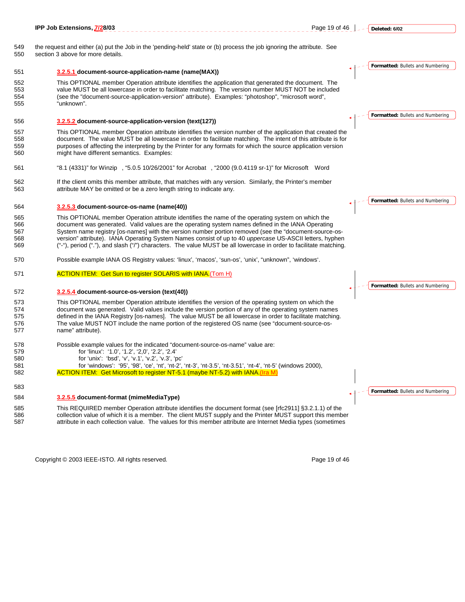|                                 | IPP Job Extensions, 7/28/03<br>Page 19 of 46                                                                                                                                                                                                                                                                                                                                                                                                                                                                                                    |  | Deleted: 6/02                           |
|---------------------------------|-------------------------------------------------------------------------------------------------------------------------------------------------------------------------------------------------------------------------------------------------------------------------------------------------------------------------------------------------------------------------------------------------------------------------------------------------------------------------------------------------------------------------------------------------|--|-----------------------------------------|
| 549<br>550                      | the request and either (a) put the Job in the 'pending-held' state or (b) process the job ignoring the attribute. See<br>section 3 above for more details.                                                                                                                                                                                                                                                                                                                                                                                      |  |                                         |
| 551                             | 3.2.5.1 document-source-application-name (name(MAX))                                                                                                                                                                                                                                                                                                                                                                                                                                                                                            |  | <b>Formatted: Bullets and Numbering</b> |
| 552<br>553<br>554<br>555        | This OPTIONAL member Operation attribute identifies the application that generated the document. The<br>value MUST be all lowercase in order to facilitate matching. The version number MUST NOT be included<br>(see the "document-source-application-version" attribute). Examples: "photoshop", "microsoft word",<br>"unknown".                                                                                                                                                                                                               |  |                                         |
| 556                             | 3.2.5.2 document-source-application-version (text(127))                                                                                                                                                                                                                                                                                                                                                                                                                                                                                         |  | Formatted: Bullets and Numbering        |
| 557<br>558<br>559<br>560        | This OPTIONAL member Operation attribute identifies the version number of the application that created the<br>document. The value MUST be all lowercase in order to facilitate matching. The intent of this attribute is for<br>purposes of affecting the interpreting by the Printer for any formats for which the source application version<br>might have different semantics. Examples:                                                                                                                                                     |  |                                         |
| 561                             | "8.1 (4331)" for Winzip®, "5.0.5 10/26/2001" for Acrobat®, "2000 (9.0.4119 sr-1)" for Microsoft® Word                                                                                                                                                                                                                                                                                                                                                                                                                                           |  |                                         |
| 562<br>563                      | If the client omits this member attribute, that matches with any version. Similarly, the Printer's member<br>attribute MAY be omitted or be a zero length string to indicate any.                                                                                                                                                                                                                                                                                                                                                               |  |                                         |
| 564                             | 3.2.5.3 document-source-os-name (name(40))                                                                                                                                                                                                                                                                                                                                                                                                                                                                                                      |  | Formatted: Bullets and Numbering        |
| 565<br>566<br>567<br>568<br>569 | This OPTIONAL member Operation attribute identifies the name of the operating system on which the<br>document was generated. Valid values are the operating system names defined in the IANA Operating<br>System name registry [os-names] with the version number portion removed (see the "document-source-os-<br>version" attribute). IANA Operating System Names consist of up to 40 uppercase US-ASCII letters, hyphen<br>("-"), period ("."), and slash ("/") characters. The value MUST be all lowercase in order to facilitate matching. |  |                                         |
| 570                             | Possible example IANA OS Registry values: 'linux', 'macos', 'sun-os', 'unix', "unknown", 'windows'.                                                                                                                                                                                                                                                                                                                                                                                                                                             |  |                                         |
| 571                             | <b>ACTION ITEM: Get Sun to register SOLARIS with IANA.</b> (Tom H)                                                                                                                                                                                                                                                                                                                                                                                                                                                                              |  | Formatted: Bullets and Numbering        |
| 572                             | 3.2.5.4 document-source-os-version (text(40))                                                                                                                                                                                                                                                                                                                                                                                                                                                                                                   |  |                                         |
| 573<br>574<br>575<br>576<br>577 | This OPTIONAL member Operation attribute identifies the version of the operating system on which the<br>document was generated. Valid values include the version portion of any of the operating system names<br>defined in the IANA Registry [os-names]. The value MUST be all lowercase in order to facilitate matching.<br>The value MUST NOT include the name portion of the registered OS name (see "document-source-os-<br>name" attribute).                                                                                              |  |                                         |
| 578<br>579<br>580<br>581<br>582 | Possible example values for the indicated "document-source-os-name" value are:<br>for 'linux': '1.0', '1.2', '2,0', '2.2', '2.4'<br>for 'unix': 'bsd', 'v', 'v.1', 'v.2', 'v.3', 'pc'<br>for 'windows': '95', '98', 'ce', 'nt', 'nt-2', 'nt-3', 'nt-3.5', 'nt-3.51', 'nt-4', 'nt-5' (windows 2000)<br>ACTION ITEM: Get Microsoft to register NT-5.1 (maybe NT-5.2) with IANA. (Ira M)                                                                                                                                                           |  |                                         |
| 583                             |                                                                                                                                                                                                                                                                                                                                                                                                                                                                                                                                                 |  |                                         |
| 584                             | 3.2.5.5 document-format (mimeMediaType)                                                                                                                                                                                                                                                                                                                                                                                                                                                                                                         |  | Formatted: Bullets and Numbering        |
| 585<br>586<br>587               | This REQUIRED member Operation attribute identifies the document format (see [rfc2911] §3.2.1.1) of the<br>collection value of which it is a member. The client MUST supply and the Printer MUST support this member<br>attribute in each collection value. The values for this member attribute are Internet Media types (sometimes                                                                                                                                                                                                            |  |                                         |
|                                 |                                                                                                                                                                                                                                                                                                                                                                                                                                                                                                                                                 |  |                                         |

Copyright © 2003 IEEE-ISTO. All rights reserved. expansion of the extension of 46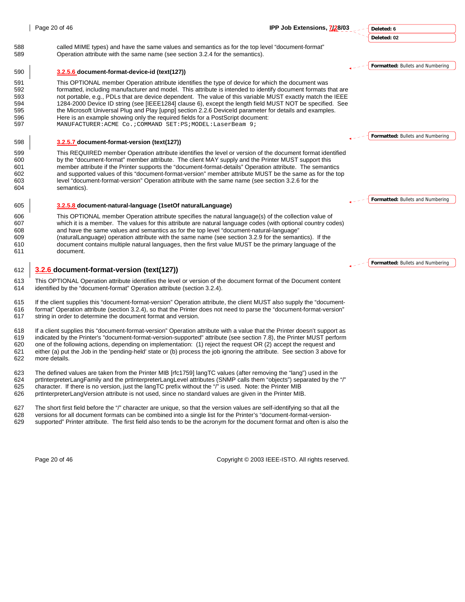|                                               | Page 20 of 46                                                                                                                                                                                                                                                                                                                                                                                                                                                                                                                                                                                                                                                                                              | IPP Job Extensions, 7/28/03 | Deleted: 6                       |
|-----------------------------------------------|------------------------------------------------------------------------------------------------------------------------------------------------------------------------------------------------------------------------------------------------------------------------------------------------------------------------------------------------------------------------------------------------------------------------------------------------------------------------------------------------------------------------------------------------------------------------------------------------------------------------------------------------------------------------------------------------------------|-----------------------------|----------------------------------|
|                                               |                                                                                                                                                                                                                                                                                                                                                                                                                                                                                                                                                                                                                                                                                                            |                             | Deleted: 02                      |
| 588<br>589                                    | called MIME types) and have the same values and semantics as for the top level "document-format"<br>Operation attribute with the same name (see section 3.2.4 for the semantics).                                                                                                                                                                                                                                                                                                                                                                                                                                                                                                                          |                             |                                  |
| 590                                           | 3.2.5.6 document-format-device-id (text(127))                                                                                                                                                                                                                                                                                                                                                                                                                                                                                                                                                                                                                                                              |                             | Formatted: Bullets and Numbering |
| 591<br>592<br>593<br>594<br>595<br>596<br>597 | This OPTIONAL member Operation attribute identifies the type of device for which the document was<br>formatted, including manufacturer and model. This attribute is intended to identify document formats that are<br>not portable, e.g., PDLs that are device dependent. The value of this variable MUST exactly match the IEEE<br>1284-2000 Device ID string (see [IEEE1284] clause 6), except the length field MUST NOT be specified. See<br>the Microsoft Universal Plug and Play [upnp] section 2.2.6 Deviceld parameter for details and examples.<br>Here is an example showing only the required fields for a PostScript document:<br>MANUFACTURER: ACME Co. ; COMMAND SET: PS; MODEL: LaserBeam 9; |                             |                                  |
| 598                                           | 3.2.5.7 document-format-version (text(127))                                                                                                                                                                                                                                                                                                                                                                                                                                                                                                                                                                                                                                                                |                             | Formatted: Bullets and Numbering |
| 599<br>600<br>601<br>602<br>603<br>604        | This REQUIRED member Operation attribute identifies the level or version of the document format identified<br>by the "document-format" member attribute. The client MAY supply and the Printer MUST support this<br>member attribute if the Printer supports the "document-format-details" Operation attribute. The semantics<br>and supported values of this "document-format-version" member attribute MUST be the same as for the top<br>level "document-format-version" Operation attribute with the same name (see section 3.2.6 for the<br>semantics).                                                                                                                                               |                             |                                  |
| 605                                           | 3.2.5.8 document-natural-language (1setOf naturalLanguage)                                                                                                                                                                                                                                                                                                                                                                                                                                                                                                                                                                                                                                                 |                             | Formatted: Bullets and Numbering |
| 606<br>607<br>608<br>609<br>610<br>611        | This OPTIONAL member Operation attribute specifies the natural language(s) of the collection value of<br>which it is a member. The values for this attribute are natural language codes (with optional country codes)<br>and have the same values and semantics as for the top level "document-natural-language"<br>(naturalLanguage) operation attribute with the same name (see section 3.2.9 for the semantics). If the<br>document contains multiple natural languages, then the first value MUST be the primary language of the<br>document.                                                                                                                                                          |                             |                                  |
|                                               |                                                                                                                                                                                                                                                                                                                                                                                                                                                                                                                                                                                                                                                                                                            |                             | Formatted: Bullets and Numbering |
| 612                                           | 3.2.6 document-format-version (text(127))                                                                                                                                                                                                                                                                                                                                                                                                                                                                                                                                                                                                                                                                  |                             |                                  |
| 613<br>614                                    | This OPTIONAL Operation attribute identifies the level or version of the document format of the Document content<br>identified by the "document-format" Operation attribute (section 3.2.4).                                                                                                                                                                                                                                                                                                                                                                                                                                                                                                               |                             |                                  |
| 615<br>616<br>617                             | If the client supplies this "document-format-version" Operation attribute, the client MUST also supply the "document-<br>format" Operation attribute (section 3.2.4), so that the Printer does not need to parse the "document-format-version"<br>string in order to determine the document format and version.                                                                                                                                                                                                                                                                                                                                                                                            |                             |                                  |
| 618<br>619<br>620<br>621<br>622               | If a client supplies this "document-format-version" Operation attribute with a value that the Printer doesn't support as<br>indicated by the Printer's "document-format-version-supported" attribute (see section 7.8), the Printer MUST perform<br>one of the following actions, depending on implementation: (1) reject the request OR (2) accept the request and<br>either (a) put the Job in the 'pending-held' state or (b) process the job ignoring the attribute. See section 3 above for<br>more details.                                                                                                                                                                                          |                             |                                  |

623 The defined values are taken from the Printer MIB [rfc1759] langTC values (after removing the "lang") used in the 624 prtlnterpreterLangFamily and the prtlnterpreterLangLevel attributes (SNMP calls them "objects") sepa

624 prtInterpreterLangFamily and the prtInterpreterLangLevel attributes (SNMP calls them "objects") separated by the "/"<br>625 character. If there is no version, just the langTC prefix without the "/" is used. Note: the Prin

625 character. If there is no version, just the langTC prefix without the "/" is used. Note: the Printer MIB<br>626 primeter printer present of the principle is not used, since no standard values are given in the Printer MIB prtInterpreterLangVersion attribute is not used, since no standard values are given in the Printer MIB.

627 The short first field before the "/" character are unique, so that the version values are self-identifying so that all the

628 versions for all document formats can be combined into a single list for the Printer's "document-format-version-<br>629 supported" Printer attribute. The first field also tends to be the acronym for the document format an supported" Printer attribute. The first field also tends to be the acronym for the document format and often is also the

Page 20 of 46 Copyright © 2003 IEEE-ISTO. All rights reserved.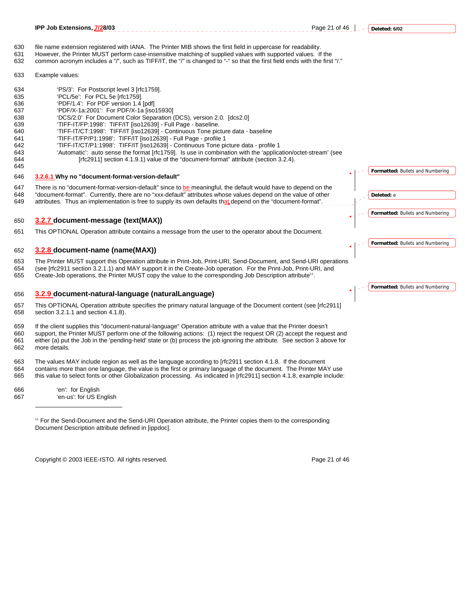Page 21 of 46  $\left| \frac{1}{2} - \frac{1}{2} \right|$  Deleted: 6/02

- 630 file name extension registered with IANA. The Printer MIB shows the first field in uppercase for readability.
- 631 However, the Printer MUST perform case-insensitive matching of supplied values with supported values. If the
- 632 common acronym includes a "/", such as TIFF/IT, the "/" is changed to "-" so that the first field ends with the first "/."
- 633 Example values:

645

- 634 'PS/3': For Postscript level 3 [rfc1759].
- 635 'PCL/5e': For PCL 5e [rfc1759].<br>636 'PDF/1 4': For PDF version 1 4
- 'PDF/1.4': For PDF version 1.4 [pdf]
- 637 'PDF/X-1a:2001': For PDF/X-1a [iso15930]
- 638 'DCS/2.0' For Document Color Separation (DCS), version 2.0. [dcs2.0]
- 639 'TIFF-IT/FP:1998': TIFF/IT [iso12639] Full Page baseline.
- 640 'TIFF-IT/CT:1998': TIFF/IT [iso12639] Continuous Tone picture data baseline
- 641 'TIFF-IT/FP/P1:1998': TIFF/IT [iso12639] Full Page profile 1
- 642 'TIFF-IT/CT/P1:1998': TIFF/IT [iso12639] Continuous Tone picture data profile 1
- 643 'Automatic': auto sense the format [rfc1759]. Is use in combination with the 'application/octet-stream' (see 644 [rfc2911] section 4.1.9.1) value of the "document-format" attribute (section 3.2.4).
- 646 **3.2.6.1 Why no "document-format-version-default"**

647 There is no "document-format-version-default" since to be meaningful, the default would have to depend on the 648 "document-format". Currently, there are no "xxx-default" attributes whose values depend on the value of other<br>649 attributes Thus an implementation is free to supply its own defaults that depend on the "document-format attributes. Thus an implementation is free to supply its own defaults that depend on the "document-format".

#### 650 **3.2.7 document-message (text(MAX))**

651 This OPTIONAL Operation attribute contains a message from the user to the operator about the Document.

#### 652 **3.2.8 document-name (name(MAX))**

653 The Printer MUST support this Operation attribute in Print-Job, Print-URI, Send-Document, and Send-URI operations

- 654 (see [rfc2911 section 3.2.1.1) and MAY support it in the Create-Job operation. For the Print-Job, Print-URI, and
- 655 Create-Job operations, the Printer MUST copy the value to the corresponding Job Description attribute<sup>11</sup>.

#### 656 **3.2.9 document-natural-language (naturalLanguage)**

657 This OPTIONAL Operation attribute specifies the primary natural language of the Document content (see [rfc2911] 658 section 3.2.1.1 and section 4.1.8).

659 If the client supplies this "document-natural-language" Operation attribute with a value that the Printer doesn't 660 support, the Printer MUST perform one of the following actions: (1) reject the request OR (2) accept the request and 661 either (a) put the Job in the 'pending-held' state or (b) process the job ignoring the attribute. See section 3 above for 662 more details.

663 The values MAY include region as well as the language according to [rfc2911 section 4.1.8. If the document 664 contains more than one language, the value is the first or primary language of the document. The Printer MAY use 665 this value to select fonts or other Globalization processing. As indicated in [rfc2911] section 4.1.8, example include:

666 'en': for English 667 'en-us': for US English

 $\overline{a}$ 

11 For the Send-Document and the Send-URI Operation attribute, the Printer copies them to the corresponding Document Description attribute defined in [ippdoc].

Copyright © 2003 IEEE-ISTO. All rights reserved. Page 21 of 46

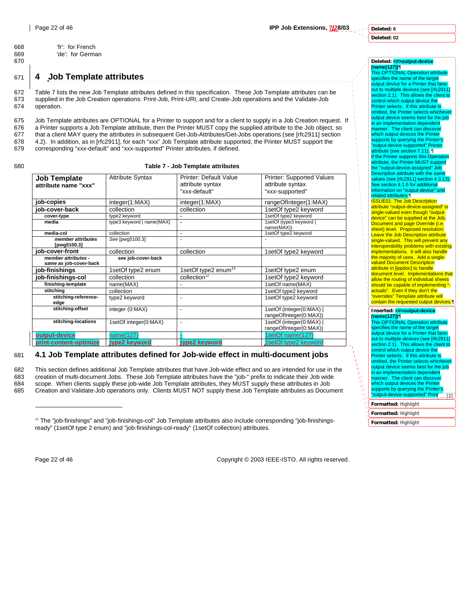**Deleted: 6**

**Deleted: 02**

# **Deleted: <#>output-device**

**(name(127))¶** This OPTIONAL Operation attribute specifies the name of the target output device for a Printer that far out to multiple devices (see [rfc2911] section 2.1). This allows the client to control which output device the Printer selects. If this attribute is omitted, the Printer selects whiche output device seems best for the job in an implementation dependent manner. The client can discover which output devices the Printer supports by querying the Printer's "output-device-supported" Printer attribute (see section 7.11). ¶ If the Printer supports this Operati attribute, the Printer MUST support the "output-device-assigned" Job Description attribute with the same values (see [rfc2911] section 4.3.13). See section 4.1.6 for additional information on "output-device" and related attributes.¶ ISSUE01: The Job Description attribute "output-device-assigned" is single-valued even though "outputdevice" can be supplied at the Job, Document and page Override (i.e. *<u>Example</u>* Figure (i.e.) Leave the Job Description attribute single-valued. This will prevent any interoperability problems with existing implementations. It will also handle the majority of uses. Add a singlevalued Document Description attribute in [ippdoc] to handle document level. Implementations that allow the routing of individual sheets should be capable of implementing "actuals". Even if they don't the "overrides" Template attribute will contain the requested output devices.

#### **Inserted: <#>output-device (name(127))¶**

This OPTIONAL Ope specifies the name of the target output device for a Printer that fans out to multiple devices (see [rfc2911] section 2.1). This allows the client to<br>control which output device the Printer selects. If this attribute is omitted, the Printer selects whicheve output device seems best for the job in an implementation dependent manner. The client can discover which output devices the Printer supports by querying the Printer's "output-device-supported" Print<sub>[12]</sub>

#### **Formatted:** Highlight

**Formatted:** Highlight

```
Formatted: Highlight
```
668 'fr': for French 669 'de': for German 670

# 671 **4 Job Template attributes**

672 Table 7 lists the new Job Template attributes defined in this specification. These Job Template attributes can be 673 supplied in the Job Creation operations: Print-Job, Print-URI, and Create-Job operations and the Validate-Job 674 operation.

675 Job Template attributes are OPTIONAL for a Printer to support and for a client to supply in a Job Creation request. If 676 a Printer supports a Job Template attribute, then the Printer MUST copy the supplied attribute to the Job object, so 677 that a client MAY query the attributes in subsequent Get-Job-Attributes/Get-Jobs operations (see [rfc2911] section 678 4.2). In addition, as in [rfc2911], for each "xxx" Job Template attribute supported, the Printer MUST support the <br>679 corresponding "xxx-default" and "xxx-supported" Printer attributes, if defined. corresponding "xxx-default" and "xxx-supported" Printer attributes, if defined.

#### 680 **Table 7 - Job Template attributes**

| <b>Job Template</b>              | <b>Attribute Syntax</b>   | Printer: Default Value          | <b>Printer: Supported Values</b>                   |
|----------------------------------|---------------------------|---------------------------------|----------------------------------------------------|
| attribute name "xxx"             |                           | attribute syntax                | attribute syntax                                   |
|                                  |                           | "xxx-default"                   | "xxx-supported"                                    |
| job-copies                       | integer(1:MAX)            | integer(1:MAX)                  | rangeOfInteger(1:MAX)                              |
| iob-cover-back                   | collection                | collection                      | 1setOf type2 keyword                               |
| cover-type                       | type2 keyword             |                                 | 1setOf type2 keyword                               |
| media                            | type3 keyword   name(MAX) | ٠                               | 1setOf (type3 keyword  <br>name(MAX))              |
| media-col                        | collection                | $\blacksquare$                  | 1setOf type2 keyword                               |
| member attributes<br>[pwg5100.3] | See [pwg5100.3]           | ÷                               |                                                    |
| iob-cover-front                  | collection                | collection                      | 1setOf type2 keyword                               |
| member attributes -              | see job-cover-back        |                                 |                                                    |
| same as job-cover-back           |                           |                                 |                                                    |
| job-finishings                   | 1setOf type2 enum         | 1setOf type2 enum <sup>12</sup> | 1setOf type2 enum                                  |
| job-finishings-col               | collection                | collection <sup>12</sup>        | 1setOf type2 keyword                               |
| finishing-template               | name(MAX)                 | -                               | 1setOf name(MAX)                                   |
| stitchina                        | collection                |                                 | 1setOf type2 keyword                               |
| stitching-reference-<br>edge     | type2 keyword             | $\blacksquare$                  | 1setOf type2 keyword                               |
| stitching-offset                 | integer (0:MAX)           | $\overline{\phantom{a}}$        | 1setOf (integer(0:MAX)  <br>rangeOfInteger(0:MAX)) |
| stitching-locations              | 1setOf integer(0:MAX)     | ٠                               | 1setOf (integer(0:MAX)  <br>rangeOfInteger(0:MAX)) |
| output-device                    | name(127)                 |                                 | 1setOf name(127)                                   |
| print-content-optimize           | type2 keyword             | type2 keyword                   | 1setOf type2 keyword                               |

# 681 **4.1 Job Template attributes defined for Job-wide effect in multi-document jobs**

682 This section defines additional Job Template attributes that have Job-wide effect and so are intended for use in the 683 creation of multi-document Jobs. These Job Template attributes have the "job-" prefix to indicate their Job wide 684 scope. When clients supply these job-wide Job Template attributes, they MUST supply these attributes in Job 685 Creation and Validate-Job operations only. Clients MUST NOT supply these Job Template attributes as Document

 $\overline{a}$ 

Page 22 of 46 Copyright © 2003 IEEE-ISTO. All rights reserved.

<sup>&</sup>lt;sup>12</sup> The "job-finishings" and "job-finishings-col" Job Template attributes also include corresponding "job-finishingsready" (1setOf type 2 enum) and "job-finishings-col-ready" (1setOf collection) attributes.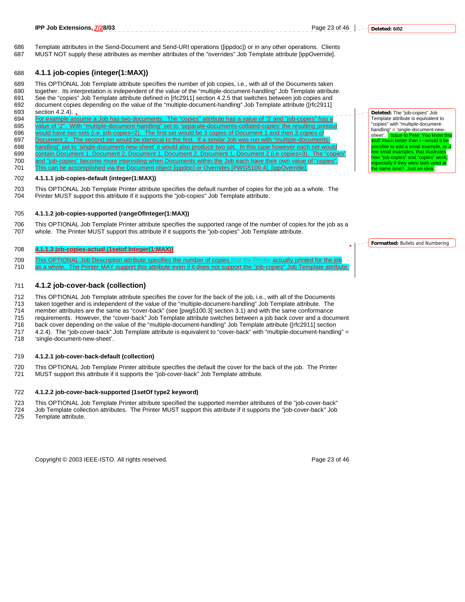686 Template attributes in the Send-Document and Send-URI operations ([ippdoc]) or in any other operations. Clients 687 MUST NOT supply these attributes as member attributes of the "overrides" Job Template attribute [ippOverride].

### 688 **4.1.1 job-copies (integer(1:MAX))**

689 This OPTIONAL Job Template attribute specifies the number of job copies, i.e., with all of the Documents taken together. Its interpretation is independent of the value of the "multiple-document-handling" Job Template attribute.

691 See the "copies" Job Template attribute defined in [rfc2911] section 4.2.5 that switches between job copies and 692 document copies depending on the value of the "multiple-document-handling" Job Template attribute ([rfc2911]

693 section 4.2.4).<br>694 For example assets For example assume a Job has two documents. The "copies" attribute has a value of '3' and "job-copies" has a 695 value of '2". With "multiple-document-handling" set to 'separate-documents-collated-copies' the resulting printout<br>696 would have two sets (i.e. job-copies=2). The first set would be 3 copies of Document 1 and then 3 c <u>uld have two sets (i.e. job-copies=2). The first set would be 3 copies of Document 1 and then 3 copies of </u> 697 Document 2. The second set would be identical to the first. If a similar Job was run with "multiple-documents-<br>698 handling" set to 'single-document-new-sheet' it would also produce two set. In this case however each s handling" set to 'single-document-new-sheet' it would also produce two set. In this case however each set would 699 contain Document 1, Document 2, Document 1, Document 2, Document 1, Document 2 (i.e copies=3). The "copies 700 and "job-copies" become more interesting when Documents within the Job each have their own value of "copies"

701 This can be accomplished via the Document object [ippdoc] or Overrides [PWG5100.4], [ippOverride].

#### 702 **4.1.1.1 job-copies-default (integer(1:MAX))**

703 This OPTIONAL Job Template Printer attribute specifies the default number of copies for the job as a whole. The 704 Printer MUST support this attribute if it supports the "job-copies" Job Template attribute.

#### 705 **4.1.1.2 job-copies-supported (rangeOfInteger(1:MAX))**

706 This OPTIONAL Job Template Printer attribute specifies the supported range of the number of copies for the job as a 707 whole. The Printer MUST support this attribute if it supports the "job-copies" Job Template attribute.

#### 708 **4.1.1.3 job-copies-actual (1setof Integer(1:MAX))**

709 This OPTIONAL Job Description attribute specifies the number of copies that the Printer actually printed for the job

710 as a whole. The Printer MAY support this attribute even if it does not support the "job-copies" Job Template attribute.

#### 711 **4.1.2 job-cover-back (collection)**

712 This OPTIONAL Job Template attribute specifies the cover for the back of the job, i.e., with all of the Documents

713 taken together and is independent of the value of the "multiple-document-handling" Job Template attribute. The 714 member attributes are the same as "cover-back" (see [pwg5100.3] section 3.1) and with the same conformance

715 requirements. However, the "cover-back" Job Template attribute switches between a job back cover and a document<br>716 back cover depending on the value of the "multiple-document-handling" Job Template attribute ([rfc2911 back cover depending on the value of the "multiple-document-handling" Job Template attribute ([rfc2911] section

717 4.2.4). The "job-cover-back" Job Template attribute is equivalent to "cover-back" with "multiple-document-handling" =

718 'single-document-new-sheet'.

#### 719 **4.1.2.1 job-cover-back-default (collection)**

720 This OPTIONAL Job Template Printer attribute specifies the default the cover for the back of the job. The Printer 721 MUST support this attribute if it supports the "job-cover-back" Job Template attribute.

#### 722 **4.1.2.2 job-cover-back-supported (1setOf type2 keyword)**

723 This OPTIONAL Job Template Printer attribute specified the supported member attributes of the "job-cover-back"

724 Job Template collection attributes. The Printer MUST support this attribute if it supports the "job-cover-back" Job 725 Template attribute.

Copyright © 2003 IEEE-ISTO. All rights reserved. Page 23 of 46

**Deleted:** The "job-copies" Job Template attribute is equivalent to "copies" with "multiple-documenthandling" = 'single-document-newsheet'. Issue to Pete: You know uff much better than I—would it be pssible to add a small example, or small examples, that illustrates how "job-copies" and "copies" work,  $\frac{1}{2}$ ecially if they were both used same time? Just an idea.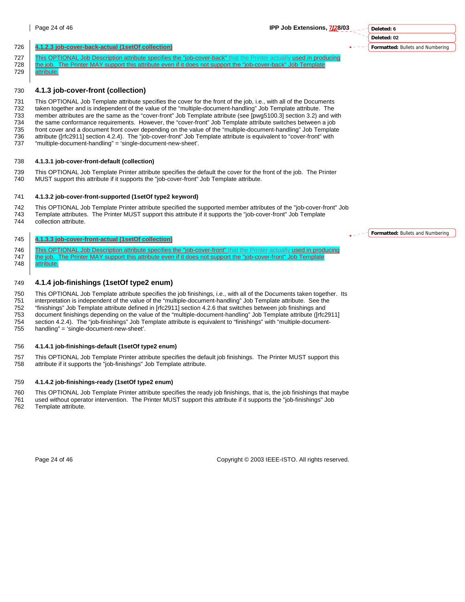**Deleted: 6 Deleted: 02 Formatted:** Bullets and Numbering

#### 726 **4.1.2.3 job-cover-back-actual (1setOf collection)**

- 727 This OPTIONAL Job Description attribute specifies the "job-cover-back" that the Printer actually used in producing<br>728 the job. The Printer MAY support this attribute even if it does not support the "job-cover-back" Jo the job. The Printer MAY support this attribute even if it does not support the "job-cover-back" Job Template
- 729 attribute.

#### 730 **4.1.3 job-cover-front (collection)**

731 This OPTIONAL Job Template attribute specifies the cover for the front of the job, i.e., with all of the Documents<br>732 taken together and is independent of the value of the "multiple-document-handling" Job Template att taken together and is independent of the value of the "multiple-document-handling" Job Template attribute. The 733 member attributes are the same as the "cover-front" Job Template attribute (see [pwg5100.3] section 3.2) and with 734 the same conformance requirements. However, the "cover-front" Job Template attribute switches between a job 735 front cover and a document front cover depending on the value of the "multiple-document-handling" Job Template<br>736 attribute (Irfc29111 section 4.2.4). The "iob-cover-front" Job Template attribute is equivalent to "cov attribute ([rfc2911] section 4.2.4). The "job-cover-front" Job Template attribute is equivalent to "cover-front" with 737 "multiple-document-handling" = 'single-document-new-sheet'.

#### 738 **4.1.3.1 job-cover-front-default (collection)**

- 739 This OPTIONAL Job Template Printer attribute specifies the default the cover for the front of the job. The Printer
- 740 MUST support this attribute if it supports the "job-cover-front" Job Template attribute.

#### 741 **4.1.3.2 job-cover-front-supported (1setOf type2 keyword)**

742 This OPTIONAL Job Template Printer attribute specified the supported member attributes of the "job-cover-front" Job 743 Template attributes. The Printer MUST support this attribute if it supports the "job-cover-front" Job Template<br>744 Collection attribute. collection attribute.

#### 745 **4.1.3.3 job-cover-front-actual (1setOf collection)**

746 This OPTIONAL Job Description attribute specifies the "job-cover-front" that the Printer actually used in producing 747 the job. The Printer MAY support this attribute even if it does not support the "job-cover-front" Job Template

748 | attribute.

#### 749 **4.1.4 job-finishings (1setOf type2 enum)**

750 This OPTIONAL Job Template attribute specifies the job finishings, i.e., with all of the Documents taken together. Its 751 interpretation is independent of the value of the "multiple-document-handling" Job Template attribute. See the 752 "finishings" Job Template attribute defined in [rfc2911] section 4.2.6 that switches between job finishings and 753 document finishings depending on the value of the "multiple-document-handling" Job Template attribute ([rfc2911]<br>754 section 4.2.4). The "iob-finishings" Job Template attribute is equivalent to "finishings" with "multi section 4.2.4). The "job-finishings" Job Template attribute is equivalent to "finishings" with "multiple-document-755 handling" = 'single-document-new-sheet'.

#### 756 **4.1.4.1 job-finishings-default (1setOf type2 enum)**

757 This OPTIONAL Job Template Printer attribute specifies the default job finishings. The Printer MUST support this 758 attribute if it supports the "job-finishings" Job Template attribute.

#### 759 **4.1.4.2 job-finishings-ready (1setOf type2 enum)**

760 This OPTIONAL Job Template Printer attribute specifies the ready job finishings, that is, the job finishings that maybe 761 used without operator intervention. The Printer MUST support this attribute if it supports the "job-finishings" Job 762 Template attribute.

Page 24 of 46 Copyright © 2003 IEEE-ISTO. All rights reserved.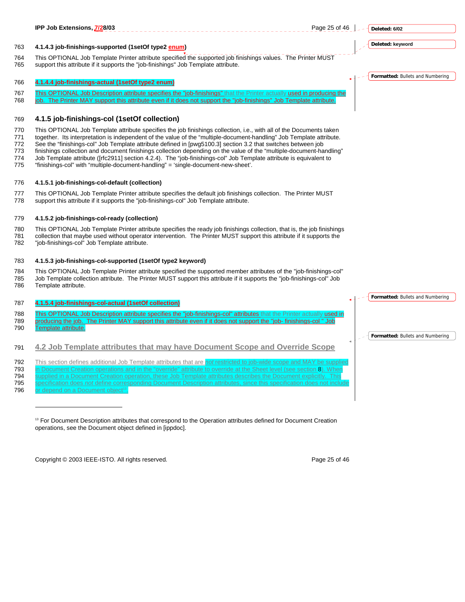# **Deleted: 6/02 Deleted: keyword**

763 **4.1.4.3 job-finishings-supported (1setOf type2 enum)** 

764 This OPTIONAL Job Template Printer attribute specified the supported job finishings values. The Printer MUST<br>765 support this attribute if it supports the "iob-finishings" Job Template attribute. support this attribute if it supports the "job-finishings" Job Template attribute.

# 766 **4.1.4.4 job-finishings-actual (1setOf type2 enum)**

767 This OPTIONAL Job Description attribute specifies the "job-finishings" that the Printer actually used in producing the 768 job. The Printer MAY support this attribute even if it does not support the "job-finishings" Job Template attribute.

# 769 **4.1.5 job-finishings-col (1setOf collection)**

770 This OPTIONAL Job Template attribute specifies the job finishings collection, i.e., with all of the Documents taken<br>771 together Its interpretation is independent of the value of the "multiple-document-handling". Job T

together. Its interpretation is independent of the value of the "multiple-document-handling" Job Template attribute.

772 See the "finishings-col" Job Template attribute defined in [pwg5100.3] section 3.2 that switches between job

773 finishings collection and document finishings collection depending on the value of the "multiple-document-handling" 774 Job Template attribute ([rfc2911] section 4.2.4). The "job-finishings-col" Job Template attribute is equivalent to

775 "finishings-col" with "multiple-document-handling" = 'single-document-new-sheet'.

# 776 **4.1.5.1 job-finishings-col-default (collection)**

777 This OPTIONAL Job Template Printer attribute specifies the default job finishings collection. The Printer MUST 778 support this attribute if it supports the "job-finishings-col" Job Template attribute.

# 779 **4.1.5.2 job-finishings-col-ready (collection)**

780 This OPTIONAL Job Template Printer attribute specifies the ready job finishings collection, that is, the job finishings 781 collection that maybe used without operator intervention. The Printer MUST support this attribute if it supports the 782 "job-finishings-col" Job Template attribute.

# 783 **4.1.5.3 job-finishings-col-supported (1setOf type2 keyword)**

784 This OPTIONAL Job Template Printer attribute specified the supported member attributes of the "job-finishings-col" 785 Job Template collection attribute. The Printer MUST support this attribute if it supports the "job-finishings-col" Job Template attribute.

# 787 **4.1.5.4 job-finishings-col-actual (1setOf collection)**

788 This OPTIONAL Job Description attribute specifies the "job-finishings-col" attributes that the Printer actually used in 789 producing the job. The Printer MAY support this attribute even if it does not support the "job- finishings-col " 790 Template attribute.

791 **4.2 Job Template attributes that may have Document Scope and Override Scope**

792 This section defines additional Job Template attributes that are *not* restricted to

- 793 in Document Creation operations and in the "override" attribute to override at the Sheet level (see section 8). When 794 supplied in a Document Creation operation, these Job Template attributes describes the Document explicitly. This
- 795 specification does *not* define corresponding Document Description attributes, since this specification does not include

 $\overline{a}$ 

Copyright © 2003 IEEE-ISTO. All rights reserved. Page 25 of 46



<sup>796</sup> or depend on a Document object

<sup>&</sup>lt;sup>13</sup> For Document Description attributes that correspond to the Operation attributes defined for Document Creation operations, see the Document object defined in [ippdoc].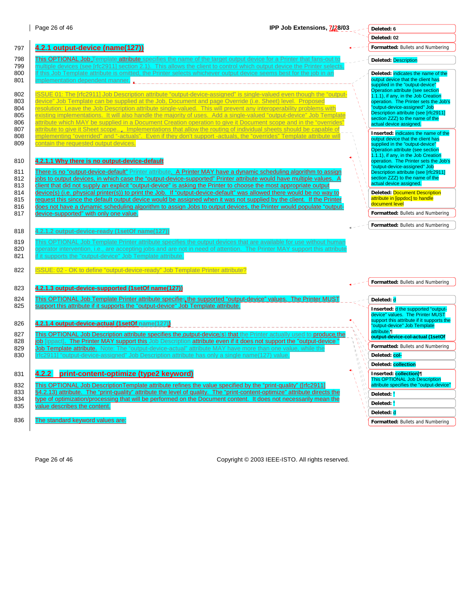#### Page 26 of 46 **IPP Job Extensions, 7/28/03 Deleted: 6**

|                                                                                                                                                                                                                                                                                                                                                                                                                                                                                                                                                                                                   |                                                                                                                                                                                                                                                                                                                                                                                                                                                                                                                                                                                                                                                                                                                                                                                                                                                                                                                                                                                                                                                                                               | Deleted: 02                                                                                                                                                                                                                                                                                   |
|---------------------------------------------------------------------------------------------------------------------------------------------------------------------------------------------------------------------------------------------------------------------------------------------------------------------------------------------------------------------------------------------------------------------------------------------------------------------------------------------------------------------------------------------------------------------------------------------------|-----------------------------------------------------------------------------------------------------------------------------------------------------------------------------------------------------------------------------------------------------------------------------------------------------------------------------------------------------------------------------------------------------------------------------------------------------------------------------------------------------------------------------------------------------------------------------------------------------------------------------------------------------------------------------------------------------------------------------------------------------------------------------------------------------------------------------------------------------------------------------------------------------------------------------------------------------------------------------------------------------------------------------------------------------------------------------------------------|-----------------------------------------------------------------------------------------------------------------------------------------------------------------------------------------------------------------------------------------------------------------------------------------------|
| 4.2.1 output-device (name(127))                                                                                                                                                                                                                                                                                                                                                                                                                                                                                                                                                                   |                                                                                                                                                                                                                                                                                                                                                                                                                                                                                                                                                                                                                                                                                                                                                                                                                                                                                                                                                                                                                                                                                               | Formatted: Bullets and Numbering                                                                                                                                                                                                                                                              |
| This OPTIONAL Job <sub>s</sub> Template attribute specifies the name of the target output device for a Printer that fans-out to                                                                                                                                                                                                                                                                                                                                                                                                                                                                   |                                                                                                                                                                                                                                                                                                                                                                                                                                                                                                                                                                                                                                                                                                                                                                                                                                                                                                                                                                                                                                                                                               | <b>Deleted: Description</b>                                                                                                                                                                                                                                                                   |
| If this Job Template attribute is omitted, the Printer selects whichever output device seems best for the job in an<br>implementation dependent manner                                                                                                                                                                                                                                                                                                                                                                                                                                            |                                                                                                                                                                                                                                                                                                                                                                                                                                                                                                                                                                                                                                                                                                                                                                                                                                                                                                                                                                                                                                                                                               | Deleted: indicates the name of the<br>output device that the client has<br>supplied in the "output-device"                                                                                                                                                                                    |
| device" Job Template can be supplied at the Job, Document and page Override (i.e. Sheet) level. Proposed<br>resolution: Leave the Job Description attribute single-valued. This will prevent any interoperability problems with<br>existing implementations. It will also handle the majority of uses. Add a single-valued "output-device" Job Template<br>attribute which MAY be supplied in a Document Creation operation to give it Document scope and in the "overrides"<br>attribute to give it Sheet scope Implementations that allow the routing of individual sheets should be capable of |                                                                                                                                                                                                                                                                                                                                                                                                                                                                                                                                                                                                                                                                                                                                                                                                                                                                                                                                                                                                                                                                                               | Operation attribute (see section<br>1.1.1), if any, in the Job Creation<br>operation. The Printer sets the Job's<br>"output-device-assigned" Job<br>Description attribute (see [rfc2911]<br>section ZZZ) to the name of the<br>actual device assigned.<br>Inserted: indicates the name of the |
| contain the requested output devices.                                                                                                                                                                                                                                                                                                                                                                                                                                                                                                                                                             |                                                                                                                                                                                                                                                                                                                                                                                                                                                                                                                                                                                                                                                                                                                                                                                                                                                                                                                                                                                                                                                                                               | output device that the client has<br>supplied in the "output-device"<br>Operation attribute (see section<br>1.1.1), if any, in the Job Creation                                                                                                                                               |
| There is no "output-device-default" Printer attribute. A Printer MAY have a dynamic scheduling algorithm to assign<br>jobs to output devices, in which case the "output-device-supported" Printer attribute would have multiple values. A                                                                                                                                                                                                                                                                                                                                                         |                                                                                                                                                                                                                                                                                                                                                                                                                                                                                                                                                                                                                                                                                                                                                                                                                                                                                                                                                                                                                                                                                               | operation. The Printer sets the Job's<br>"output-device-assigned" Job<br>Description attribute (see [rfc2911]<br>section ZZZ) to the name of the<br>actual device assigned.                                                                                                                   |
| request this since the default output device would be assigned when it was not supplied by the client. If the Printer<br>does not have a dynamic scheduling algorithm to assign Jobs to output devices, the Printer would populate "output-                                                                                                                                                                                                                                                                                                                                                       |                                                                                                                                                                                                                                                                                                                                                                                                                                                                                                                                                                                                                                                                                                                                                                                                                                                                                                                                                                                                                                                                                               | <b>Deleted: Document Description</b><br>attribute in [ippdoc] to handle<br>document level<br>Formatted: Bullets and Numbering                                                                                                                                                                 |
|                                                                                                                                                                                                                                                                                                                                                                                                                                                                                                                                                                                                   |                                                                                                                                                                                                                                                                                                                                                                                                                                                                                                                                                                                                                                                                                                                                                                                                                                                                                                                                                                                                                                                                                               | Formatted: Bullets and Numbering                                                                                                                                                                                                                                                              |
| 4.2.1.2 output-device-ready (1setOf name(127))                                                                                                                                                                                                                                                                                                                                                                                                                                                                                                                                                    |                                                                                                                                                                                                                                                                                                                                                                                                                                                                                                                                                                                                                                                                                                                                                                                                                                                                                                                                                                                                                                                                                               |                                                                                                                                                                                                                                                                                               |
| This OPTIONAL Job Template Printer attribute specifies the output devices that are available for use without humar<br>operator intervention, i.e., are accepting jobs and are not in need of attention. The Printer MAY support this attribute<br>if it supports the "output-device" Job Template attribute.                                                                                                                                                                                                                                                                                      |                                                                                                                                                                                                                                                                                                                                                                                                                                                                                                                                                                                                                                                                                                                                                                                                                                                                                                                                                                                                                                                                                               |                                                                                                                                                                                                                                                                                               |
| ISSUE: 02 - OK to define "output-device-ready" Job Template Printer attribute?                                                                                                                                                                                                                                                                                                                                                                                                                                                                                                                    |                                                                                                                                                                                                                                                                                                                                                                                                                                                                                                                                                                                                                                                                                                                                                                                                                                                                                                                                                                                                                                                                                               |                                                                                                                                                                                                                                                                                               |
| 4.2.1.3 output-device-supported (1setOf name(127))                                                                                                                                                                                                                                                                                                                                                                                                                                                                                                                                                |                                                                                                                                                                                                                                                                                                                                                                                                                                                                                                                                                                                                                                                                                                                                                                                                                                                                                                                                                                                                                                                                                               | Formatted: Bullets and Numbering                                                                                                                                                                                                                                                              |
| This OPTIONAL Job Template Printer attribute specifies the supported "output-device" values. The Printer MUST                                                                                                                                                                                                                                                                                                                                                                                                                                                                                     |                                                                                                                                                                                                                                                                                                                                                                                                                                                                                                                                                                                                                                                                                                                                                                                                                                                                                                                                                                                                                                                                                               | Deleted: d                                                                                                                                                                                                                                                                                    |
|                                                                                                                                                                                                                                                                                                                                                                                                                                                                                                                                                                                                   |                                                                                                                                                                                                                                                                                                                                                                                                                                                                                                                                                                                                                                                                                                                                                                                                                                                                                                                                                                                                                                                                                               | Inserted: d the supported "output-<br>device" values. The Printer MUST<br>support this attribute if it supports the                                                                                                                                                                           |
| This OPTIONAL Job Description attribute specifies the output-device(s) that the Printer actually used to produce the                                                                                                                                                                                                                                                                                                                                                                                                                                                                              |                                                                                                                                                                                                                                                                                                                                                                                                                                                                                                                                                                                                                                                                                                                                                                                                                                                                                                                                                                                                                                                                                               | "output-device" Job Template<br>attribute.¶<br>output-device-col-actual (1setOf                                                                                                                                                                                                               |
| Job Template attribute. Note: The "output-device-actual" attribute MAY have more than one value, while the                                                                                                                                                                                                                                                                                                                                                                                                                                                                                        |                                                                                                                                                                                                                                                                                                                                                                                                                                                                                                                                                                                                                                                                                                                                                                                                                                                                                                                                                                                                                                                                                               | Formatted: Bullets and Numbering<br>Deleted: col-                                                                                                                                                                                                                                             |
|                                                                                                                                                                                                                                                                                                                                                                                                                                                                                                                                                                                                   |                                                                                                                                                                                                                                                                                                                                                                                                                                                                                                                                                                                                                                                                                                                                                                                                                                                                                                                                                                                                                                                                                               | Deleted: collection                                                                                                                                                                                                                                                                           |
| 4.2.2 print-content-optimize (type2 keyword)                                                                                                                                                                                                                                                                                                                                                                                                                                                                                                                                                      |                                                                                                                                                                                                                                                                                                                                                                                                                                                                                                                                                                                                                                                                                                                                                                                                                                                                                                                                                                                                                                                                                               | Inserted: collection)<br><b>This OPTIONAL Job Description</b>                                                                                                                                                                                                                                 |
| This OPTIONAL Job Description Template attribute refines the value specified by the "print-quality" ([rfc2911]                                                                                                                                                                                                                                                                                                                                                                                                                                                                                    |                                                                                                                                                                                                                                                                                                                                                                                                                                                                                                                                                                                                                                                                                                                                                                                                                                                                                                                                                                                                                                                                                               | attribute specifies the "output-device"                                                                                                                                                                                                                                                       |
| type of optimization/processing that will be performed on the Document content. It does not necessarily mean the                                                                                                                                                                                                                                                                                                                                                                                                                                                                                  |                                                                                                                                                                                                                                                                                                                                                                                                                                                                                                                                                                                                                                                                                                                                                                                                                                                                                                                                                                                                                                                                                               | Deleted: "                                                                                                                                                                                                                                                                                    |
| value describes the content.                                                                                                                                                                                                                                                                                                                                                                                                                                                                                                                                                                      |                                                                                                                                                                                                                                                                                                                                                                                                                                                                                                                                                                                                                                                                                                                                                                                                                                                                                                                                                                                                                                                                                               | Deleted: "<br>Deleted: d                                                                                                                                                                                                                                                                      |
| The standard keyword values are:                                                                                                                                                                                                                                                                                                                                                                                                                                                                                                                                                                  |                                                                                                                                                                                                                                                                                                                                                                                                                                                                                                                                                                                                                                                                                                                                                                                                                                                                                                                                                                                                                                                                                               | Formatted: Bullets and Numbering                                                                                                                                                                                                                                                              |
|                                                                                                                                                                                                                                                                                                                                                                                                                                                                                                                                                                                                   | multiple devices (see [rfc2911] section 2.1). This allows the client to control which output device the Printer selects.<br>implementing "overrided" and "-actuals". Even if they don't support -actuals, the "overrides" Template attribute will<br>4.2.1.1 Why there is no output-device-default<br>client that did not supply an explicit "output-device" is asking the Printer to choose the most appropriate output<br>device(s) (i.e. physical printer(s)) to print the Job. If "output-device-default" was allowed there would be no way to<br>device-supported" with only one value.<br>support this attribute if it supports the "output-device" Job Template attribute.<br>4.2.1.4 output-device-actual (1setOf name(127))<br>job [ippact]. The Printer MAY support this Job Description attribute even if it does not support the "output-device"<br>[rfc2911] "output-device-assigned" Job Description attribute has only a single name(127) value.<br>§4.2.13) attribute. The "print-quality" attribute the level of quality. The "print-content-optimize" attribute directs the | ISSUE 01: The [rfc2911] Job Description attribute "output-device-assigned" is single-valued even though the "output-<br>W                                                                                                                                                                     |

Page 26 of 46 Copyright © 2003 IEEE-ISTO. All rights reserved.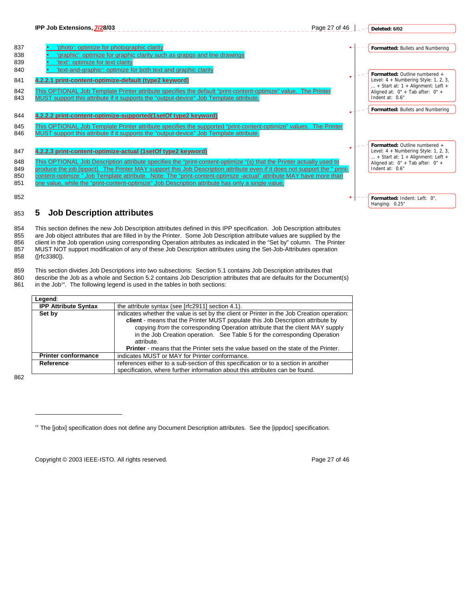

855 are Job object attributes that are filled in by the Printer. Some Job Description attribute values are supplied by the 856 client in the Job operation using corresponding Operation attributes as indicated in the "Set by" column. The Printer 857 MUST NOT support modification of any of these Job Description attributes using the Set-Job-Attributes operation 858 ([rfc3380]).

859 This section divides Job Descriptions into two subsections: Section 5.1 contains Job Description attributes that<br>860 describe the Job as a whole and Section 5.2 contains Job Description attributes that are defaults for

describe the Job as a whole and Section 5.2 contains Job Description attributes that are defaults for the Document(s)

861 in the Job<sup>14</sup>. The following legend is used in the tables in both sections:

| Legend:                     |                                                                                                                                                                                                                                                                                                                                                                                                                                                         |
|-----------------------------|---------------------------------------------------------------------------------------------------------------------------------------------------------------------------------------------------------------------------------------------------------------------------------------------------------------------------------------------------------------------------------------------------------------------------------------------------------|
| <b>IPP Attribute Syntax</b> | the attribute syntax (see [rfc2911] section 4.1).                                                                                                                                                                                                                                                                                                                                                                                                       |
| Set by                      | indicates whether the value is set by the client or Printer in the Job Creation operation:<br>client - means that the Printer MUST populate this Job Description attribute by<br>copying from the corresponding Operation attribute that the client MAY supply<br>in the Job Creation operation. See Table 5 for the corresponding Operation<br>attribute.<br><b>Printer</b> - means that the Printer sets the value based on the state of the Printer. |
| <b>Printer conformance</b>  | indicates MUST or MAY for Printer conformance.                                                                                                                                                                                                                                                                                                                                                                                                          |
| Reference                   | references either to a sub-section of this specification or to a section in another                                                                                                                                                                                                                                                                                                                                                                     |
|                             | specification, where further information about this attributes can be found.                                                                                                                                                                                                                                                                                                                                                                            |

862

 $\overline{a}$ 

Copyright © 2003 IEEE-ISTO. All rights reserved. The example of the example of 46

<sup>&</sup>lt;sup>14</sup> The [jobx] specification does not define any Document Description attributes. See the [ippdoc] specification.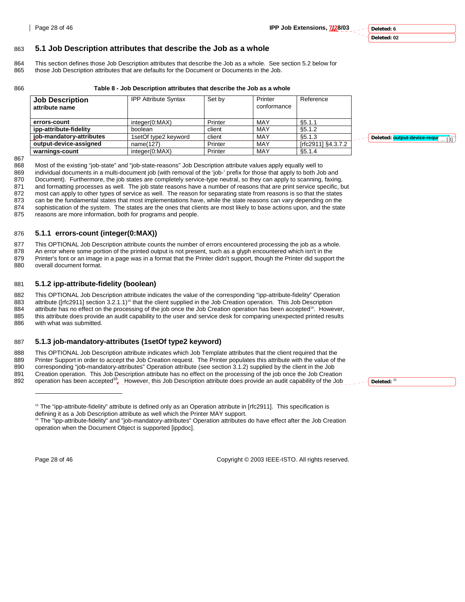#### **Deleted: 6 Deleted: 02**

**Deleted:** <sup>15</sup>

#### 863 **5.1 Job Description attributes that describe the Job as a whole**

- 864 This section defines those Job Description attributes that describe the Job as a whole. See section 5.2 below for<br>865 those Job Description attributes that are defaults for the Document or Documents in the Job those Job Description attributes that are defaults for the Document or Documents in the Job.
- 

#### 866 **Table 8 - Job Description attributes that describe the Job as a whole**

| <b>Job Description</b>   | <b>IPP Attribute Syntax</b> | Set by  | Printer     | Reference          |
|--------------------------|-----------------------------|---------|-------------|--------------------|
| attribute name           |                             |         | conformance |                    |
|                          |                             |         |             |                    |
| errors-count             | integer(0:MAX)              | Printer | MAY         | \$5.1.1            |
| ipp-attribute-fidelity   | boolean                     | client  | MAY         | \$5.1.2            |
| job-mandatory-attributes | 1setOf type2 keyword        | client  | MAY         | \$5.1.3            |
| output-device-assigned   | name(127)                   | Printer | MAY         | [rfc2911] §4.3.7.2 |
| warnings-count           | integer(0:MAX)              | Printer | MAY         | §5.1.4             |

867<br>868

868 Most of the existing "job-state" and "job-state-reasons" Job Description attribute values apply equally well to 869 individual documents in a multi-document job (with removal of the 'job-' prefix for those that apply to both Job and 870 Document). Furthermore, the job states are completely service-type neutral, so they can apply to scanning, faxing, 871 and formatting processes as well. The job state reasons have a number of reasons that are print service specific, but 872 most can apply to other types of service as well. The reason for separating state from reasons is so that the states

873 can be the fundamental states that most implementations have, while the state reasons can vary depending on the 874 sophistication of the system. The states are the ones that clients are most likely to base actions upon, and the state

875 reasons are more information, both for programs and people.

#### 876 **5.1.1 errors-count (integer(0:MAX))**

877 This OPTIONAL Job Description attribute counts the number of errors encountered processing the job as a whole.

878 An error where some portion of the printed output is not present, such as a glyph encountered which isn't in the

879 Printer's font or an image in a page was in a format that the Printer didn't support, though the Printer did support the 880 overall document format.

#### 881 **5.1.2 ipp-attribute-fidelity (boolean)**

882 This OPTIONAL Job Description attribute indicates the value of the corresponding "ipp-attribute-fidelity" Operation 883 attribute ([rfc2911] section 3.2.1.1)<sup>15</sup> that the client supplied in the Job Creation operation. This Job Description 884 attribute has no effect on the processing of the job once the Job Creation operation has been accepted<sup>16</sup>. However, 885 this attribute does provide an audit capability to the user and service desk for comparing unexpected printed results 886 with what was submitted.

#### 887 **5.1.3 job-mandatory-attributes (1setOf type2 keyword)**

888 This OPTIONAL Job Description attribute indicates which Job Template attributes that the client required that the Range of the John Creation required that the value of the John Creation required The Printer populates t Printer Support in order to accept the Job Creation request. The Printer populates this attribute with the value of the 890 corresponding "job-mandatory-attributes" Operation attribute (see section 3.1.2) supplied by the client in the Job 891 Creation operation. This Job Description attribute has no effect on the processing of the job once the Job Creation

892 operation has been accepted<sup>16</sup> However, this Job Description attribute does provide an audit capability of the Job

l

Page 28 of 46 Copyright © 2003 IEEE-ISTO. All rights reserved.

Deleted: **output-device-requ(** ... [3]

<sup>&</sup>lt;sup>15</sup> The "ipp-attribute-fidelity" attribute is defined only as an Operation attribute in [rfc2911]. This specification is defining it as a Job Description attribute as well which the Printer MAY support.

<sup>&</sup>lt;sup>16</sup> The "ipp-attribute-fidelity" and "job-mandatory-attributes" Operation attributes do have effect after the Job Creation operation when the Document Object is supported [ippdoc].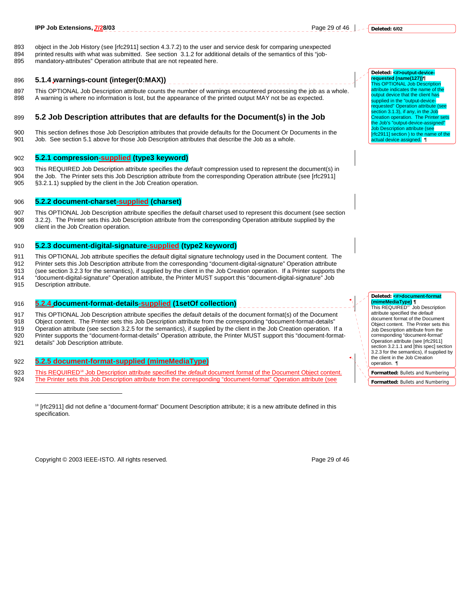893 object in the Job History (see [rfc2911] section 4.3.7.2) to the user and service desk for comparing unexpected 894 printed results with what was submitted. See section 3.1.2 for additional details of the semantics of this "job-895 mandatory-attributes" Operation attribute that are not repeated here.

#### 896 **5.1.4 warnings-count (integer(0:MAX))**

897 This OPTIONAL Job Description attribute counts the number of warnings encountered processing the job as a whole. 898 A warning is where no information is lost, but the appearance of the printed output MAY not be as expected.

### 899 **5.2 Job Description attributes that are defaults for the Document(s) in the Job**

900 This section defines those Job Description attributes that provide defaults for the Document Or Documents in the 901 Job. See section 5.1 above for those Job Description attributes that describe the Job as a whole.

#### 902 **5.2.1 compression-supplied (type3 keyword)**

903 This REQUIRED Job Description attribute specifies the *default* compression used to represent the document(s) in 904 the Job. The Printer sets this Job Description attribute from the corresponding Operation attribute (see [rfc2911] 905 §3.2.1.1) supplied by the client in the Job Creation operation.

### 906 **5.2.2 document-charset-supplied (charset)**

907 This OPTIONAL Job Description attribute specifies the *default* charset used to represent this document (see section 908 3.2.2). The Printer sets this Job Description attribute from the corresponding Operation attribute supplied by the 909 client in the Job Creation operation.

#### 910 **5.2.3 document-digital-signature-supplied (type2 keyword)**

911 This OPTIONAL Job attribute specifies the *default* digital signature technology used in the Document content. The

912 Printer sets this Job Description attribute from the corresponding "document-digital-signature" Operation attribute

- 913 (see section 3.2.3 for the semantics), if supplied by the client in the Job Creation operation. If a Printer supports the 914 "document-digital-signature" Operation attribute, the Printer MUST support this "document-digital-signature" Job<br>915 Description attribute.
- Description attribute.

#### 916 **5.2.4 document-format-details-supplied (1setOf collection)**

917 This OPTIONAL Job Description attribute specifies the *default* details of the document format(s) of the Document 918 Object content. The Printer sets this Job Description attribute from the corresponding "document-format-details" 919 Operation attribute (see section 3.2.5 for the semantics), if supplied by the client in the Job Creation operation. If a<br>920 Printer supports the "document-format-details" Operation attribute, the Printer MUST support Printer supports the "document-format-details" Operation attribute, the Printer MUST support this "document-format-921 details" Job Description attribute.

#### 922 **5.2.5 document-format-supplied (mimeMediaType)**

- This REQUIRED<sup>18</sup> Job Description attribute specified the *default* document format of the Document Object content.<br>924 The Printer sets this Job Description attribute from the corresponding "document-format" Operation att 924 The Printer sets this Job Description attribute from the corresponding "document-format" Operation attribute (see
	- l

Copyright © 2003 IEEE-ISTO. All rights reserved. Page 29 of 46

**Deleted: <#>output-devicerequested (name(127))¶** This OPTIONAL Job Desc attribute indicates the name of the output device that the client has supplied in the "output-devicerequested" Operation attribute (see

section 3.1.3), if any, in the Job Creation operation. The Printer sets the Job's "output-device-assigned" Job Description attribute (see [rfc2911] section ) to the name of the ctual device assigned. ¶

# **Deleted: <#>document-format**

**(mimeMediaType) ¶** This REQUIRED17 Job Description attribute specified the *default* document format of the Document Object content. The Printer sets this Job Description attribute from the corresponding "document-format" Operation attribute (see [rfc2911] section 3.2.1.1 and [this spec] section 3.2.3 for the semantics), if supplied by the client in the Job Creation operation. ¶

**Formatted:** Bullets and Numbering **Formatted:** Bullets and Numbering

<sup>&</sup>lt;sup>18</sup> [rfc2911] did not define a "document-format" Document Description attribute; it is a new attribute defined in this specification.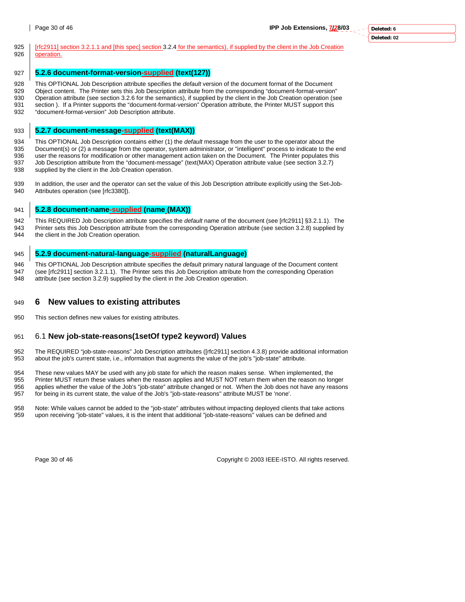925 | <u>[rfc2911] section 3.2.1.1 and [this spec] section</u> 3.2.4 for the semantics), if supplied by the client in the Job Creation 926 operation.

# 927 **5.2.6 document-format-version-supplied (text(127))**

928 This OPTIONAL Job Description attribute specifies the *default* version of the document format of the Document<br>929 Object content. The Printer sets this Job Description attribute from the corresponding "document-format Object content. The Printer sets this Job Description attribute from the corresponding "document-format-version" 930 Operation attribute (see section 3.2.6 for the semantics), if supplied by the client in the Job Creation operation (see 931 section ). If a Printer supports the "document-format-version" Operation attribute, the Printer MUST support this 932 "document-format-version" Job Description attribute.

# 933 **5.2.7 document-message-supplied (text(MAX))**

934 This OPTIONAL Job Description contains either (1) the *default* message from the user to the operator about the 935 Document(s) or (2) a message from the operator, system administrator, or "intelligent" process to indicate to the end 936 user the reasons for modification or other management action taken on the Document. The Printer populates this<br>937 Job Description attribute from the "document-message" (text(MAX) Operation attribute value (see section Job Description attribute from the "document-message" (text(MAX) Operation attribute value (see section 3.2.7) 938 supplied by the client in the Job Creation operation.

939 In addition, the user and the operator can set the value of this Job Description attribute explicitly using the Set-Job-940 Attributes operation (see [rfc3380]).

# 941 **5.2.8 document-name-supplied (name (MAX))**

942 This REQUIRED Job Description attribute specifies the *default* name of the document (see [rfc2911] §3.2.1.1). The 943 Printer sets this Job Description attribute from the corresponding Operation attribute (see section 3.2.8) supplied by 944 the client in the Job Creation operation.

# 945 **5.2.9 document-natural-language-supplied (naturalLanguage)**

946 This OPTIONAL Job Description attribute specifies the *default* primary natural language of the Document content<br>947 (see Info29111 section 3.2.1.1) The Printer sets this Job Description attribute from the correspondin (see [rfc2911] section 3.2.1.1). The Printer sets this Job Description attribute from the corresponding Operation 948 attribute (see section 3.2.9) supplied by the client in the Job Creation operation.

# 949 **6 New values to existing attributes**

950 This section defines new values for existing attributes.

# 951 6.1 **New job-state-reasons(1setOf type2 keyword) Values**

952 The REQUIRED "job-state-reasons" Job Description attributes ([rfc2911] section 4.3.8) provide additional information 953 about the job's current state, i.e., information that augments the value of the job's "job-state" attribute.

954 These new values MAY be used with any job state for which the reason makes sense. When implemented, the 955<br>955 Printer MUST return these values when the reason applies and MUST NOT return them when the reason no lon

Printer MUST return these values when the reason applies and MUST NOT return them when the reason no longer 956 applies whether the value of the Job's "job-state" attribute changed or not. When the Job does not have any reasons 957 for being in its current state, the value of the Job's "job-state-reasons" attribute MUST be 'none'.

958 Note: While values cannot be added to the "job-state" attributes without impacting deployed clients that take actions 959 upon receiving "job-state" values, it is the intent that additional "job-state-reasons" values can be defined and

Page 30 of 46 Copyright © 2003 IEEE-ISTO. All rights reserved.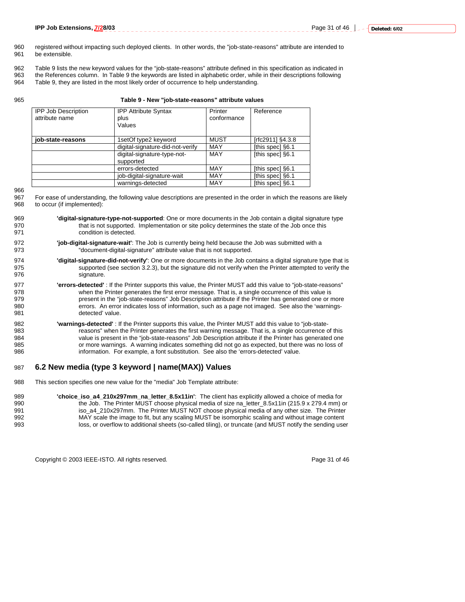Page 31 of 46 **J** \_ - **Deleted: 6/02** 

- 960 registered without impacting such deployed clients. In other words, the "job-state-reasons" attribute are intended to 961 be extensible.
- 962 Table 9 lists the new keyword values for the "job-state-reasons" attribute defined in this specification as indicated in
- 963 the References column. In Table 9 the keywords are listed in alphabetic order, while in their descriptions following
- 964 Table 9, they are listed in the most likely order of occurrence to help understanding.

**Attribute Syntax** 

#### 965 **Table 9 - New "job-state-reasons" attribute values**

| <b>IPP Job Description</b><br>attribute name | PF<br>plu:<br>Val |
|----------------------------------------------|-------------------|
|                                              |                   |

| attribute name    | plus<br>Values                           | conformance |                  |
|-------------------|------------------------------------------|-------------|------------------|
| job-state-reasons | 1setOf type2 keyword                     | <b>MUST</b> | [rfc2911] §4.3.8 |
|                   | digital-signature-did-not-verify         | MAY         | [this spec] §6.1 |
|                   | digital-signature-type-not-<br>supported | MAY         | [this spec] §6.1 |
|                   | errors-detected                          | MAY         | [this spec] §6.1 |
|                   | job-digital-signature-wait               | MAY         | [this spec] §6.1 |
|                   | warnings-detected                        | MAY         | [this spec] §6.1 |

**Printer** 

Reference

966

967 For ease of understanding, the following value descriptions are presented in the order in which the reasons are likely 968 to occur (if implemented):

- 969 **'digital-signature-type-not-supported**: One or more documents in the Job contain a digital signature type 970 that is not supported. Implementation or site policy determines the state of the Job once this 971 condition is detected.
- 972 **'job-digital-signature-wait'**: The Job is currently being held because the Job was submitted with a 973 "document-digital-signature" attribute value that is not supported.
- 974 **'digital-signature-did-not-verify'**: One or more documents in the Job contains a digital signature type that is 975 supported (see section 3.2.3), but the signature did not verify when the Printer attempted to verify the 976 signature.

977 **'errors-detected'** : If the Printer supports this value, the Printer MUST add this value to "job-state-reasons" when the Printer generates the first error message. That is, a single occurrence of this value is 979 present in the "job-state-reasons" Job Description attribute if the Printer has generated one or more 980 errors. An error indicates loss of information, such as a page not imaged. See also the 'warnings-981 detected' value.

982 **'warnings-detected'** : If the Printer supports this value, the Printer MUST add this value to "job-state-983 reasons" when the Printer generates the first warning message. That is, a single occurrence of this<br>984 value is present in the "iob-state-reasons" Job Description attribute if the Printer has generated one value is present in the "job-state-reasons" Job Description attribute if the Printer has generated one 985 or more warnings. A warning indicates something did not go as expected, but there was no loss of 986 information. For example, a font substitution. See also the 'errors-detected' value.

### 987 **6.2 New media (type 3 keyword | name(MAX)) Values**

988 This section specifies one new value for the "media" Job Template attribute:

989 **'choice\_iso\_a4\_210x297mm\_na\_letter\_8.5x11in'**: The client has explicitly allowed a choice of media for 990 the Job. The Printer MUST choose physical media of size na letter 8.5x11in (215.9 x 279.4 mm) or 991 iso\_a4\_210x297mm. The Printer MUST NOT choose physical media of any other size. The Printer<br>992 MAY scale the image to fit, but any scaling MUST be isomorphic scaling and without image content MAY scale the image to fit, but any scaling MUST be isomorphic scaling and without image content 993 loss, or overflow to additional sheets (so-called tiling), or truncate (and MUST notify the sending user

Copyright © 2003 IEEE-ISTO. All rights reserved. Page 31 of 46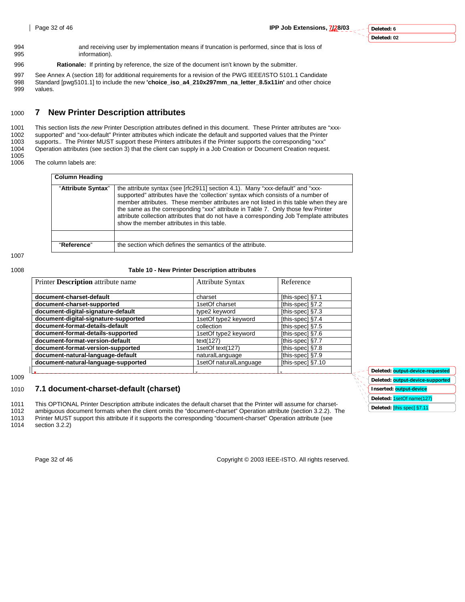**Deleted: output-device-requested Deleted: output-device-supported Inserted: output-device Deleted:** 1setOf name(127) **Deleted:** [this spec] §7.11

- 994 and receiving user by implementation means if truncation is performed, since that is loss of information).
- 996 **Rationale:** If printing by reference, the size of the document isn't known by the submitter.

997 See Annex A (section 18) for additional requirements for a revision of the PWG IEEE/ISTO 5101.1 Candidate 998 Standard [pwg5101.1] to include the new **'choice\_iso\_a4\_210x297mm\_na\_letter\_8.5x11in'** and other choice values.

# 1000 **7 New Printer Description attributes**

1001 This section lists *the new* Printer Description attributes defined in this document. These Printer attributes are "xxx-1002 supported" and "xxx-default" Printer attributes which indicate the default and supported values that the Printer 1003 supports.. The Printer MUST support these Printers attributes if the Printer supports the corresponding "xxx" 1004 Operation attributes (see section 3) that the client can supply in a Job Creation or Document Creation request.

1005 The column labels are:

| <b>Column Heading</b> |                                                                                                                                                                                                                                                                                                                                                                                                                                                                                          |
|-----------------------|------------------------------------------------------------------------------------------------------------------------------------------------------------------------------------------------------------------------------------------------------------------------------------------------------------------------------------------------------------------------------------------------------------------------------------------------------------------------------------------|
| "Attribute Syntax"    | the attribute syntax (see [rfc2911] section 4.1). Many "xxx-default" and "xxx-<br>supported" attributes have the 'collection' syntax which consists of a number of<br>member attributes. These member attributes are not listed in this table when they are<br>the same as the corresponding "xxx" attribute in Table 7. Only those few Printer<br>attribute collection attributes that do not have a corresponding Job Template attributes<br>show the member attributes in this table. |
|                       |                                                                                                                                                                                                                                                                                                                                                                                                                                                                                          |
| "Reference"           | the section which defines the semantics of the attribute.                                                                                                                                                                                                                                                                                                                                                                                                                                |

1007

#### 1008 **Table 10 - New Printer Description attributes**

| Printer <b>Description</b> attribute name | <b>Attribute Syntax</b> | Reference         |  |
|-------------------------------------------|-------------------------|-------------------|--|
| document-charset-default                  | charset                 | [this-spec] §7.1  |  |
| document-charset-supported                | 1setOf charset          | [this-spec] §7.2  |  |
| document-digital-signature-default        | type2 keyword           | [this-spec] §7.3  |  |
| document-digital-signature-supported      | 1setOf type2 keyword    | [this-spec] §7.4  |  |
| document-format-details-default           | collection              | [this-spec] §7.5  |  |
| document-format-details-supported         | 1setOf type2 keyword    | [this-spec] §7.6  |  |
| document-format-version-default           | text(127)               | [this-spec] §7.7  |  |
| document-format-version-supported         | 1setOf text(127)        | [this-spec] §7.8  |  |
| document-natural-language-default         | naturalLanguage         | [this-spec] §7.9  |  |
| document-natural-language-supported       | 1setOf naturalLanguage  | [this-spec] §7.10 |  |
|                                           |                         |                   |  |

1009

# 1010 **7.1 document-charset-default (charset)**

1011 This OPTIONAL Printer Description attribute indicates the default charset that the Printer will assume for charset-

1012 ambiguous document formats when the client omits the "document-charset" Operation attribute (section 3.2.2). The<br>1013 Printer MUST support this attribute if it supports the corresponding "document-charset" Operation a

1013 Printer MUST support this attribute if it supports the corresponding "document-charset" Operation attribute (see<br>1014 section 3.2.2)

section 3.2.2)

Page 32 of 46 Copyright © 2003 IEEE-ISTO. All rights reserved.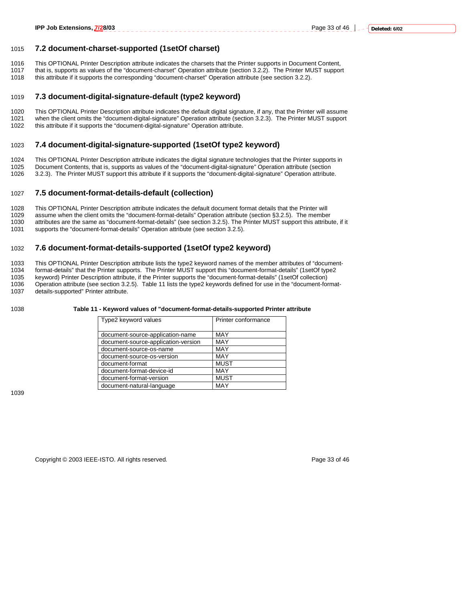### 1015 **7.2 document-charset-supported (1setOf charset)**

- 1016 This OPTIONAL Printer Description attribute indicates the charsets that the Printer supports in Document Content,<br>1017 that is supports as values of the "document-charset" Operation attribute (section 3.2.2). The Prin
- that is, supports as values of the "document-charset" Operation attribute (section 3.2.2). The Printer MUST support 1018 this attribute if it supports the corresponding "document-charset" Operation attribute (see section 3.2.2).
- 

### 1019 **7.3 document-digital-signature-default (type2 keyword)**

1020 This OPTIONAL Printer Description attribute indicates the default digital signature, if any, that the Printer will assume 1021 when the client omits the "document-digital-signature" Operation attribute (section 3.2.3). The Printer MUST support 1022 this attribute if it supports the "document-digital-signature" Operation attribute.

#### 1023 **7.4 document-digital-signature-supported (1setOf type2 keyword)**

1024 This OPTIONAL Printer Description attribute indicates the digital signature technologies that the Printer supports in<br>1025 Document Contents, that is, supports as values of the "document-digital-signature" Operation a 1025 Document Contents, that is, supports as values of the "document-digital-signature" Operation attribute (section 1026 3.2.3). The Printer MUST support this attribute if it supports the "document-digital-signature" Operation attribute.

### 1027 **7.5 document-format-details-default (collection)**

- 1028 This OPTIONAL Printer Description attribute indicates the default document format details that the Printer will 1029 assume when the client omits the "document-format-details" Operation attribute (section §3.2.5). The member
- 1030 attributes are the same as "document-format-details" (see section 3.2.5). The Printer MUST support this attribute, if it 1031 supports the "document-format-details" Operation attribute (see section 3.2.5). supports the "document-format-details" Operation attribute (see section 3.2.5).

# 1032 **7.6 document-format-details-supported (1setOf type2 keyword)**

1033 This OPTIONAL Printer Description attribute lists the type2 keyword names of the member attributes of "document-1034 format-details" that the Printer supports. The Printer MUST support this "document-format-details" (1setOf type2 1035 keyword) Printer Description attribute, if the Printer supports the "document-format-details" (1setOf collection) 1036 Operation attribute (see section 3.2.5). Table 11 lists the type2 keywords defined for use in the "document-format-1037 details-supported" Printer attribute.

#### 1038 **Table 11 - Keyword values of "document-format-details-supported Printer attribute**

| Type2 keyword values                | Printer conformance |
|-------------------------------------|---------------------|
| document-source-application-name    | MAY                 |
| document-source-application-version | MAY                 |
| document-source-os-name             | MAY                 |
| document-source-os-version          | MAY                 |
| document-format                     | <b>MUST</b>         |
| document-format-device-id           | MAY                 |
| document-format-version             | <b>MUST</b>         |
| document-natural-language           | MAY                 |

1039

Copyright © 2003 IEEE-ISTO. All rights reserved. Page 33 of 46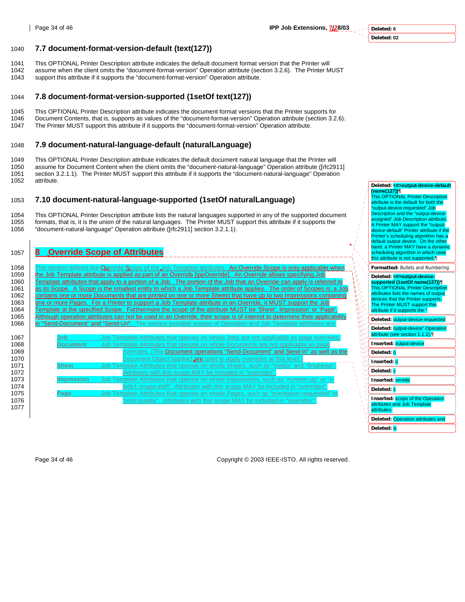# **Deleted: 6**

### **Deleted: 02**

# 1040 **7.7 document-format-version-default (text(127))**

- 1041 This OPTIONAL Printer Description attribute indicates the default document format version that the Printer will
- assume when the client omits the "document-format-version" Operation attribute (section 3.2.6). The Printer MUST 1043 support this attribute if it supports the "document-format-version" Operation attribute.

# 1044 **7.8 document-format-version-supported (1setOf text(127))**

1045 This OPTIONAL Printer Description attribute indicates the document format versions that the Printer supports for 1046 Document Contents, that is, supports as values of the "document-format-version" Operation attribute (section 3.2.6). 1047 The Printer MUST support this attribute if it supports the "document-format-version" Operation attribute.

# 1048 **7.9 document-natural-language-default (naturalLanguage)**

1049 This OPTIONAL Printer Description attribute indicates the default document natural language that the Printer will<br>1050 assume for Document Content when the client omits the "document-natural-language" Operation attrib assume for Document Content when the client omits the "document-natural-language" Operation attribute ([rfc2911] 1051 section 3.2.1.1). The Printer MUST support this attribute if it supports the "document-natural-language" Operation 1052 attribute.

# 1053 **7.10 document-natural-language-supported (1setOf naturalLanguage)**

1054 This OPTIONAL Printer Description attribute lists the natural languages supported in any of the supported document<br>1055 formats, that is, it is the union of the natural languages. The Printer MUST support this attribu 1055 formats, that is, it is the union of the natural languages. The Printer MUST support this attribute if it supports the 1056 formation of the notation of the notation of the notation of the notation of the notation of 1056 "document-natural-language" Operation attribute ([rfc2911] section 3.2.1.1).

# 1057 **8 Override Scope of Attributes**

1058 This section defines the Override Scope of the Job Template attributes. An Override Scope is only applicable when 1059 the Job Template attribute is applied as part of an Override [ippOverride]. An Override allows specifying Job 1060 Template attributes that apply to a portion of a Job. The portion of the Job that an Override can apply is referred to 1061 as its Scope. A Scope is the smallest entity to which a Job Template attribute applies. The order of Scopes is: a Job<br>1062 contains one or more Documents that are printed on one or more Sheets that have up to two Impr tains one or more Documents that are printed on one or more Sheets that have up to two Impressions containing 1063 <u>one or more Pages. For a Printer to support a Job Template attribute in an Override, it MUST support the Job</u><br>1064 Template at the specified Scope. Furthermore the scope of the attribute MUST be 'Sheet', Impression' <u>emplate at the specified Scope. Furthermore the scope of the attribute MUST be 'Sheet', Impression' or 'Page'</u> 1065 Although operation attributes can not be used in an Override, their scope is of interest to determine their applicability<br>1066 in "Send-Document" and "Send-Uri". The various possible scopes of Operation and Job Templa <u>Send-Document" and "Send-Uri</u>"

|                   | as its Scope. A Scope is the smallest entity to which a Job Template attribute applies. The order of Scopes is: a Job     |
|-------------------|---------------------------------------------------------------------------------------------------------------------------|
|                   | contains one or more Documents that are printed on one or more Sheets that have up to two Impressions containing          |
|                   | one or more Pages. For a Printer to support a Job Template attribute in an Override, it MUST support the Job              |
|                   | Template at the specified Scope. Furthermore the scope of the attribute MUST be 'Sheet'. Impression' or 'Page'.           |
|                   | Although operation attributes can not be used in an Override, their scope is of interest to determine their applicability |
|                   | in "Send-Document" and "Send-Uri". The various possible scopes of Operation and Job Template attributes are:              |
|                   |                                                                                                                           |
| Job               | Job Template Attributes that operate on whole Jobs are not applicable as page overrides.                                  |
| <b>Document</b>   | Job Template Attributes that operate on whole Documents are not applicable as page                                        |
|                   | overrides. (The Document operations "Send-Document" and Send-Iri" as well as the                                          |
|                   | Document Object [ippdoc] are used to apply overrides at this level.]                                                      |
| <b>Sheet</b>      | Job Template Attributes that operate on whole Sheets, such as "media" and "finishings".                                   |
|                   | Attributes with this scope MAY be included in "overrides".                                                                |
| <b>Impression</b> | Job Template Attributes that operate on whole Impressions, such as "number-up" or "x-                                     |
|                   | side1-image-shift". Attributes with this scope MAY be included in "overrides".                                            |
|                   |                                                                                                                           |
| Page              | Job Template Attributes that operate on whole Pages, such as "orientation-requested" or                                   |

**(name(127))¶** This OPTIONAL Printer Description attribute is the default for both the "output-device-requested" Job Description and the "output-device-assigned" Job Description attribute. A Printer MAY support the "outputdevice-default" Printer attribute if the Printer's scheduling algorithm has a default output device. On the other hand, a Printer MAY have a dynamic cheduling algorithm in which case this attribute is not supported.¶

**Deleted: <#>output-device-default** 

**Formatted:** Bullets and Numbering

### Deleted: <**#>output-device supported (1setOf name(127))¶** This OPTIONAL Printer Description attributes lists the names of output devices that the Printer supports. The Printer MUST support this attribute if it supports the " **Deleted:** output-device-requested

| Deleted: output-device" Operation<br>attribute (see section 1.1.1). |
|---------------------------------------------------------------------|
| Inserted: output-device                                             |
| Deleted: 0                                                          |

| Inserted: |  |
|-----------|--|
|           |  |

**Deleted:** v

**Inserted:** verride

**Deleted:** s

**Inserted:** scope of the Operation

attributes and Job Template attributes.

**Deleted:** Operation attributes and

**Deleted:** is

Page 34 of 46 Copyright © 2003 IEEE-ISTO. All rights reserved.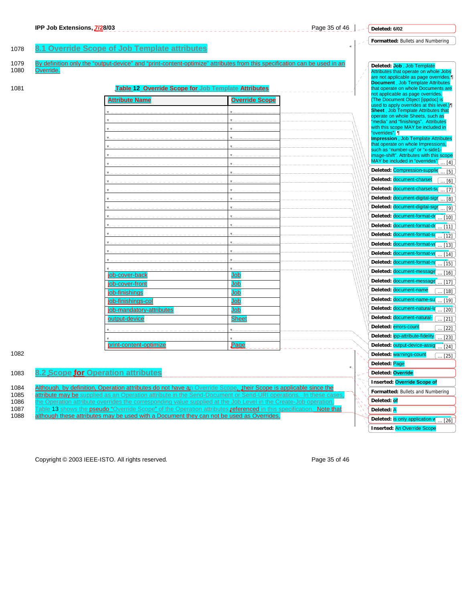|              | IPP Job Extensions, 7/28/03                                                                                                                                                                                                          | Page 35 of 46           |    | Deleted: 6/02                                                                                               |
|--------------|--------------------------------------------------------------------------------------------------------------------------------------------------------------------------------------------------------------------------------------|-------------------------|----|-------------------------------------------------------------------------------------------------------------|
|              |                                                                                                                                                                                                                                      |                         |    | Formatted: Bullets and Numbering                                                                            |
| 1078         | 8.1 Override Scope of Job Template attributes                                                                                                                                                                                        |                         |    |                                                                                                             |
| 1079<br>1080 | By definition only the "output-device" and "print-content-optimize" attributes from this specification can be used in an<br>Override.                                                                                                |                         |    | Deleted: Job Job Template<br>Attributes that operate on whole Jobs<br>are not applicable as page overrides. |
| 1081         | Table 12 Override Scope for Job Template Attributes                                                                                                                                                                                  |                         |    | <b>Document</b> Job Template Attributes<br>that operate on whole Documents are                              |
|              | Attribute Name                                                                                                                                                                                                                       | <b>Override Scope</b>   |    | not applicable as page overrides.<br>(The Document Object [ippdoc] is                                       |
|              |                                                                                                                                                                                                                                      |                         |    | used to apply overrides at this level.)<br><b>Sheet</b> . Job Template Attributes that                      |
|              |                                                                                                                                                                                                                                      |                         |    | operate on whole Sheets, such as<br>"media" and "finishings". Attributes                                    |
|              |                                                                                                                                                                                                                                      |                         |    | with this scope MAY be included in                                                                          |
|              |                                                                                                                                                                                                                                      |                         |    | "overrides". 1<br><b>Impression</b> Job Template Attributes                                                 |
|              |                                                                                                                                                                                                                                      |                         |    | that operate on whole Impressions,<br>such as "number-up" or "x-side1-                                      |
|              |                                                                                                                                                                                                                                      |                         |    | image-shift". Attributes with this scope<br>MAY be included in "overrides"                                  |
|              |                                                                                                                                                                                                                                      |                         |    | $\dots$ [4]<br>Deleted: Compression-supplie<br>$\ldots$ [5]                                                 |
|              |                                                                                                                                                                                                                                      |                         |    | Deleted: document-charset<br>[6]                                                                            |
|              |                                                                                                                                                                                                                                      |                         |    | Deleted: document-charset-su<br>$\lceil 7 \rceil$                                                           |
|              |                                                                                                                                                                                                                                      |                         |    | Deleted: document-digital-sign<br>[8]                                                                       |
|              |                                                                                                                                                                                                                                      |                         |    | Deleted: document-digital-sign<br>[9]                                                                       |
|              |                                                                                                                                                                                                                                      |                         |    | Deleted: document-format-de<br>$[10]$                                                                       |
|              |                                                                                                                                                                                                                                      |                         |    | Deleted: document-format-de<br>. [11]                                                                       |
|              |                                                                                                                                                                                                                                      |                         |    | Deleted: document-format-s<br>$[12]$                                                                        |
|              |                                                                                                                                                                                                                                      |                         |    | Deleted: document-format-v<br>$[13]$                                                                        |
|              |                                                                                                                                                                                                                                      |                         |    | Deleted: document-format-v<br>$[14]$                                                                        |
|              |                                                                                                                                                                                                                                      | $\overline{\mathbf{v}}$ |    | Deleted: document-format-na<br>[15]                                                                         |
|              | job-cover-back                                                                                                                                                                                                                       | Job                     |    | Deleted: document-message<br>$[16]$                                                                         |
|              | <u> ob-cover-front</u>                                                                                                                                                                                                               | Job                     |    | Deleted: document-message<br>$[17]$                                                                         |
|              | job-finishings                                                                                                                                                                                                                       | Job                     |    | Deleted: document-name<br>$[18]$                                                                            |
|              | job-finishings-col                                                                                                                                                                                                                   | Job                     |    | Deleted: document-name-su<br>$[19]$<br>Deleted: document-natural-la                                         |
|              | <u>job-mandatory-attributes</u><br>output-device                                                                                                                                                                                     | Job                     |    | $[20]$<br>Deleted: document-natural-                                                                        |
|              |                                                                                                                                                                                                                                      | <b>Sheet</b>            |    | $[21]$<br>Deleted: errors-count<br>$[22]$                                                                   |
|              |                                                                                                                                                                                                                                      |                         |    | Deleted: ipp-attribute-fidelity<br>$[23]$                                                                   |
|              | print-content-optimize                                                                                                                                                                                                               | $_{\text{Page}}$        |    | Deleted: output-device-assig<br>$[24]$                                                                      |
| 1082         |                                                                                                                                                                                                                                      |                         |    | Deleted: warnings-count<br>$[25]$                                                                           |
|              |                                                                                                                                                                                                                                      |                         | 4, | Deleted: Page                                                                                               |
| 1083         | 8.2 Scope for Operation attributes                                                                                                                                                                                                   |                         |    | Deleted: Override                                                                                           |
|              |                                                                                                                                                                                                                                      |                         |    | Inserted: Override Scope of                                                                                 |
| 1084<br>1085 | Although, by definition, Operation attributes do not have an Override Scope, their Scope is applicable since the<br>attribute may be supplied as an Operation attribute in the Send-Document or Send-URI operations. In these cases, |                         |    | Formatted: Bullets and Numbering                                                                            |
| 1086         | the Operation attribute overrides the corresponding value supplied at the Job Level in the Create-Job operation.                                                                                                                     |                         |    | Deleted: of                                                                                                 |
| 1087<br>1088 | Table 13 shows the pseudo "Override Scope" of the Operation attributes <b>referenced</b> in this specification. Note that<br>although these attributes may be used with a Document they can not be used as Overrides.                |                         |    | Deleted: A                                                                                                  |
|              |                                                                                                                                                                                                                                      |                         |    | Deleted: is only application v<br>$\ldots$ [26]                                                             |
|              |                                                                                                                                                                                                                                      |                         |    | <b>Inserted: An Override Scope</b>                                                                          |

Copyright © 2003 IEEE-ISTO. All rights reserved. example 2003 2003 15 and 2010 11 and 2010 12:30 and 2010 12:30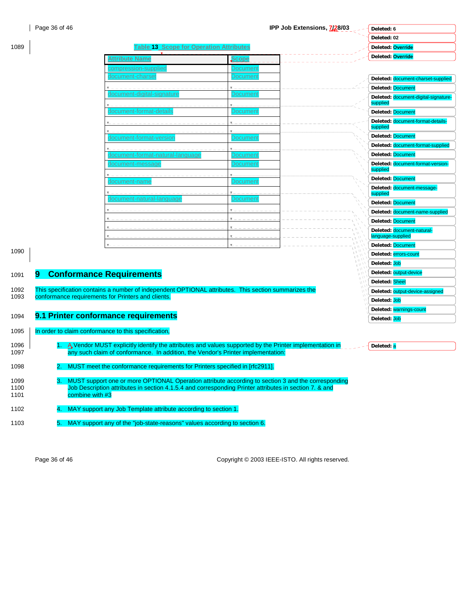1089 **Table 13 Scope for Operation Attributes**

Τ

| Deleted: 6        |  |
|-------------------|--|
| Deleted: 02       |  |
| Deleted: Override |  |
| Deleted: Override |  |

 $\omega$   $\sim$ 

|                      | Attribute Name                                                                                                                                                                                                                        | cope                 | Deletea: Overriae                                |
|----------------------|---------------------------------------------------------------------------------------------------------------------------------------------------------------------------------------------------------------------------------------|----------------------|--------------------------------------------------|
|                      | <u>  :compression-supplie</u>                                                                                                                                                                                                         | Jocumer              |                                                  |
|                      | document-charse                                                                                                                                                                                                                       | Documen <sup>.</sup> | Deleted: document-charset-supplied               |
|                      |                                                                                                                                                                                                                                       |                      | Deleted: Document                                |
|                      | document-digital-signatur                                                                                                                                                                                                             | Documen              | Deleted: document-digital-signature-<br>supplied |
|                      | document-format-detail                                                                                                                                                                                                                | Documen              | Deleted: Document                                |
|                      |                                                                                                                                                                                                                                       |                      | Deleted: document-format-details-<br>supplied    |
|                      | document-format-versior                                                                                                                                                                                                               | Documen              | Deleted: Document                                |
|                      |                                                                                                                                                                                                                                       |                      | Deleted: document-format-supplied                |
|                      | document-format-natural-language                                                                                                                                                                                                      | Jocumen              | Deleted: Document                                |
|                      | document-message                                                                                                                                                                                                                      | Documen <sup>.</sup> | Deleted: document-format-version-<br>supplied    |
|                      | document-name                                                                                                                                                                                                                         | Documer              | Deleted: Document                                |
|                      |                                                                                                                                                                                                                                       |                      | Deleted: document-message-<br>supplied           |
|                      | document-natural-languag                                                                                                                                                                                                              | Documen              | Deleted: Document                                |
|                      |                                                                                                                                                                                                                                       |                      | Deleted: document-name-supplied                  |
|                      |                                                                                                                                                                                                                                       |                      | Deleted: Document                                |
|                      |                                                                                                                                                                                                                                       |                      | Deleted: document-natural-<br>language-supplied  |
|                      |                                                                                                                                                                                                                                       |                      | Deleted: Document                                |
| 1090                 |                                                                                                                                                                                                                                       |                      | Deleted: errors-count                            |
|                      |                                                                                                                                                                                                                                       |                      | Deleted: Job                                     |
| 1091                 | <b>Conformance Requirements</b><br>9                                                                                                                                                                                                  |                      | Deleted: output-device                           |
|                      |                                                                                                                                                                                                                                       |                      | Deleted: Sheet                                   |
| 1092<br>1093         | This specification contains a number of independent OPTIONAL attributes. This section summarizes the<br>conformance requirements for Printers and clients.                                                                            |                      | Deleted: output-device-assigned                  |
|                      |                                                                                                                                                                                                                                       |                      | Deleted: Job                                     |
|                      | 9.1 Printer conformance requirements                                                                                                                                                                                                  |                      | Deleted: warnings-count                          |
| 1094                 |                                                                                                                                                                                                                                       |                      | Deleted: Job                                     |
| 1095                 | In order to claim conformance to this specification,                                                                                                                                                                                  |                      |                                                  |
| 1096                 | A Vendor MUST explicitly identify the attributes and values supported by the Printer implementation in                                                                                                                                |                      | Deleted: a                                       |
| 1097                 | any such claim of conformance. In addition, the Vendor's Printer implementation:                                                                                                                                                      |                      |                                                  |
| 1098                 | MUST meet the conformance requirements for Printers specified in [rfc2911].                                                                                                                                                           |                      |                                                  |
| 1099<br>1100<br>1101 | MUST support one or more OPTIONAL Operation attribute according to section 3 and the corresponding<br>З.<br>Job Description attributes in section 4.1.5.4 and corresponding Printer attributes in section 7. & and<br>combine with #3 |                      |                                                  |
| 1102                 | MAY support any Job Template attribute according to section 1.                                                                                                                                                                        |                      |                                                  |
| 1103                 | 5. MAY support any of the "job-state-reasons" values according to section 6.                                                                                                                                                          |                      |                                                  |

Page 36 of 46 Copyright © 2003 IEEE-ISTO. All rights reserved.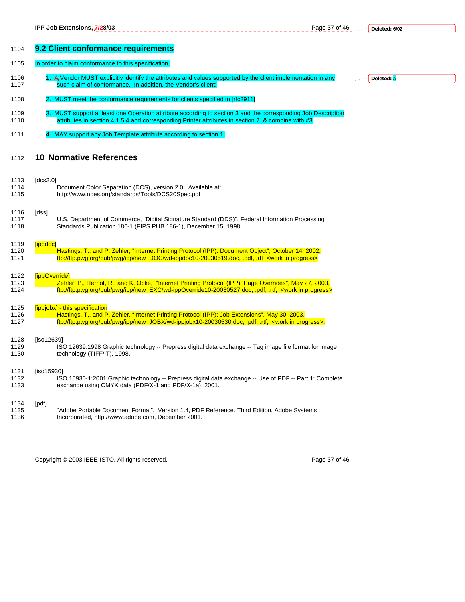Page 37 of 46 **c**  $\frac{1}{2}$  -  $\frac{1}{2}$  Deleted: **6/02** 

**Deleted:** a

| 1104 | 9.2 Client conformance requirements                                                                              |
|------|------------------------------------------------------------------------------------------------------------------|
| 1105 | In order to claim conformance to this specification,                                                             |
| 1106 | 1. A Vendor MUST explicitly identify the attributes and values supported by the client implementation in any     |
| 1107 | such claim of conformance. In addition, the Vendor's client:                                                     |
| 1108 | 2. MUST meet the conformance requirements for clients specified in [rfc2911]                                     |
| 1109 | 3. MUST support at least one Operation attribute according to section 3 and the corresponding Job Description    |
| 1110 | attributes in section 4.1.5.4 and corresponding Printer attributes in section 7. & combine with #3               |
| 1111 | 4. MAY support any Job Template attribute according to section 1.                                                |
| 1112 | <b>10 Normative References</b>                                                                                   |
| 1113 | [ $dcs2.0$ ]                                                                                                     |
| 1114 | Document Color Separation (DCS), version 2.0. Available at:                                                      |
| 1115 | http://www.npes.org/standards/Tools/DCS20Spec.pdf                                                                |
| 1116 | [dss]                                                                                                            |
| 1117 | U.S. Department of Commerce, "Digital Signature Standard (DDS)", Federal Information Processing                  |
| 1118 | Standards Publication 186-1 (FIPS PUB 186-1), December 15, 1998.                                                 |
| 1119 | <i><b>[ippdoc]</b></i>                                                                                           |
| 1120 | Hastings, T., and P. Zehler, "Internet Printing Protocol (IPP): Document Object", October 14, 2002,              |
| 1121 | ftp://ftp.pwg.org/pub/pwg/ipp/new_DOC/wd-ippdoc10-20030519.doc, .pdf, .rtf <work in="" progress=""></work>       |
| 1122 | [ippOverride]                                                                                                    |
| 1123 | Zehler, P., Herriot, R., and K. Ocke, "Internet Printing Protocol (IPP): Page Overrides", May 27, 2003,          |
| 1124 | ftp://ftp.pwg.org/pub/pwg/ipp/new_EXC/wd-ippOverride10-20030527.doc, .pdf, .rtf, <work in="" progress=""></work> |
| 1125 | [ippjobx] - this specification                                                                                   |
| 1126 | Hastings, T., and P. Zehler, "Internet Printing Protocol (IPP): Job Extensions", May 30, 2003,                   |
| 1127 | ftp://ftp.pwg.org/pub/pwg/ipp/new_JOBX/wd-ippjobx10-20030530.doc, .pdf, .rtf, <work in="" progress="">.</work>   |
| 1128 | [iso12639]                                                                                                       |
| 1129 | ISO 12639:1998 Graphic technology -- Prepress digital data exchange -- Tag image file format for image           |
| 1130 | technology (TIFF/IT), 1998.                                                                                      |
| 1131 | [iso15930]                                                                                                       |
| 1132 | ISO 15930-1:2001 Graphic technology -- Prepress digital data exchange -- Use of PDF -- Part 1: Complete          |
| 1133 | exchange using CMYK data (PDF/X-1 and PDF/X-1a), 2001.                                                           |
| 1134 | [pdf]                                                                                                            |
| 1135 | "Adobe Portable Document Format", Version 1.4, PDF Reference, Third Edition, Adobe Systems                       |
| 1136 | Incorporated, http://www.adobe.com, December 2001.                                                               |

Copyright © 2003 IEEE-ISTO. All rights reserved. expansion of the extension of 46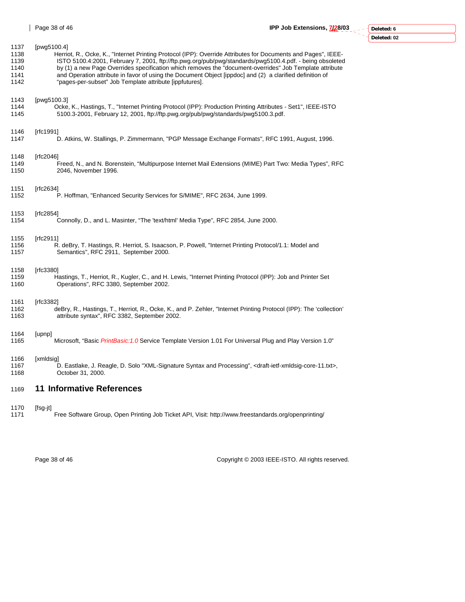| Deleted: 6 |
|------------|
| Delta: 02  |

| 1169 | <b>11 Informative References</b>                                                                                                          |
|------|-------------------------------------------------------------------------------------------------------------------------------------------|
| 1166 | [xmldsig]                                                                                                                                 |
| 1167 | D. Eastlake, J. Reagle, D. Solo "XML-Signature Syntax and Processing", <draft-ietf-xmldsig-core-11.txt>,</draft-ietf-xmldsig-core-11.txt> |
| 1168 | October 31, 2000.                                                                                                                         |
| 1164 | [upnp]                                                                                                                                    |
| 1165 | "Microsoft, "Basic <i>PrintBasic: 1.0</i> Service Template Version 1.01 For Universal Plug and Play Version 1.0                           |
| 1161 | [rfc3382]                                                                                                                                 |
| 1162 | deBry, R., Hastings, T., Herriot, R., Ocke, K., and P. Zehler, "Internet Printing Protocol (IPP): The 'collection'                        |
| 1163 | attribute syntax", RFC 3382, September 2002.                                                                                              |
| 1158 | [rfc3380]                                                                                                                                 |
| 1159 | Hastings, T., Herriot, R., Kugler, C., and H. Lewis, "Internet Printing Protocol (IPP): Job and Printer Set                               |
| 1160 | Operations", RFC 3380, September 2002.                                                                                                    |
| 1155 | [rfc2911]                                                                                                                                 |
| 1156 | R. deBry, T. Hastings, R. Herriot, S. Isaacson, P. Powell, "Internet Printing Protocol/1.1: Model and                                     |
| 1157 | Semantics", RFC 2911, September 2000.                                                                                                     |
| 1153 | [rfc2854]                                                                                                                                 |
| 1154 | Connolly, D., and L. Masinter, "The 'text/html' Media Type", RFC 2854, June 2000.                                                         |
| 1151 | [ $rfc2634$ ]                                                                                                                             |
| 1152 | P. Hoffman, "Enhanced Security Services for S/MIME", RFC 2634, June 1999.                                                                 |
| 1148 | [rfc2046]                                                                                                                                 |
| 1149 | Freed, N., and N. Borenstein, "Multipurpose Internet Mail Extensions (MIME) Part Two: Media Types", RFC                                   |
| 1150 | 2046, November 1996.                                                                                                                      |
| 1146 | [rfc1991]                                                                                                                                 |
| 1147 | D. Atkins, W. Stallings, P. Zimmermann, "PGP Message Exchange Formats", RFC 1991, August, 1996.                                           |
| 1143 | [pwg5100.3]                                                                                                                               |
| 1144 | Ocke, K., Hastings, T., "Internet Printing Protocol (IPP): Production Printing Attributes - Set1", IEEE-ISTO                              |
| 1145 | 5100.3-2001, February 12, 2001, ftp://ftp.pwg.org/pub/pwg/standards/pwg5100.3.pdf.                                                        |
| 1137 | [pwg5100.4]                                                                                                                               |
| 1138 | Herriot, R., Ocke, K., "Internet Printing Protocol (IPP): Override Attributes for Documents and Pages", IEEE-                             |
| 1139 | ISTO 5100.4:2001, February 7, 2001, ftp://ftp.pwg.org/pub/pwg/standards/pwg5100.4.pdf. - being obsoleted                                  |
| 1140 | by (1) a new Page Overrides specification which removes the "document-overrides" Job Template attribute                                   |
| 1141 | and Operation attribute in favor of using the Document Object [ippdoc] and (2) a clarified definition of                                  |
| 1142 | "pages-per-subset" Job Template attribute [ippfutures].                                                                                   |

- 1170 [fsg-jt]
- Free Software Group, Open Printing Job Ticket API, Visit: http://www.freestandards.org/openprinting/

Page 38 of 46 Copyright © 2003 IEEE-ISTO. All rights reserved.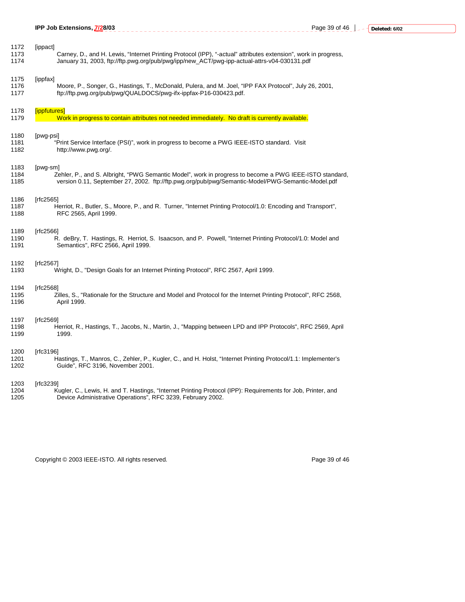|                      | IPP Job Extensions, 7/28/03<br>___________________________________                                                                                                                                                         |  |
|----------------------|----------------------------------------------------------------------------------------------------------------------------------------------------------------------------------------------------------------------------|--|
| 1172<br>1173<br>1174 | [ippact]<br>Carney, D., and H. Lewis, "Internet Printing Protocol (IPP), "-actual" attributes extension", work in progress,<br>January 31, 2003, ftp://ftp.pwg.org/pub/pwg/ipp/new_ACT/pwg-ipp-actual-attrs-v04-030131.pdf |  |
| 1175<br>1176<br>1177 | [ippfax]<br>Moore, P., Songer, G., Hastings, T., McDonald, Pulera, and M. Joel, "IPP FAX Protocol", July 26, 2001,<br>ftp://ftp.pwg.org/pub/pwg/QUALDOCS/pwg-ifx-ippfax-P16-030423.pdf.                                    |  |
| 1178                 | [ippfutures]                                                                                                                                                                                                               |  |
| 1179                 | Work in progress to contain attributes not needed immediately. No draft is currently available.                                                                                                                            |  |
| 1180<br>1181<br>1182 | [pwg-psi]<br>"Print Service Interface (PSI)", work in progress to become a PWG IEEE-ISTO standard. Visit<br>http://www.pwg.org/.                                                                                           |  |
| 1183<br>1184<br>1185 | [pwg-sm]<br>Zehler, P., and S. Albright, "PWG Semantic Model", work in progress to become a PWG IEEE-ISTO standard,<br>version 0.11, September 27, 2002. ftp://ftp.pwg.org/pub/pwg/Semantic-Model/PWG-Semantic-Model.pdf   |  |
| 1186<br>1187<br>1188 | [rfc2565]<br>Herriot, R., Butler, S., Moore, P., and R. Turner, "Internet Printing Protocol/1.0: Encoding and Transport",<br>RFC 2565, April 1999.                                                                         |  |
| 1189<br>1190<br>1191 | [rfc2566]<br>R. deBry, T. Hastings, R. Herriot, S. Isaacson, and P. Powell, "Internet Printing Protocol/1.0: Model and<br>Semantics", RFC 2566, April 1999.                                                                |  |
| 1192<br>1193         | [rfc2567]<br>Wright, D., "Design Goals for an Internet Printing Protocol", RFC 2567, April 1999.                                                                                                                           |  |
| 1194<br>1195<br>1196 | [rfc2568]<br>Zilles, S., "Rationale for the Structure and Model and Protocol for the Internet Printing Protocol", RFC 2568,<br>April 1999.                                                                                 |  |
| 1197<br>1198<br>1199 | [rfc2569]<br>Herriot, R., Hastings, T., Jacobs, N., Martin, J., "Mapping between LPD and IPP Protocols", RFC 2569, April<br>1999.                                                                                          |  |
| 1200<br>1201<br>1202 | [rfc3196]<br>Hastings, T., Manros, C., Zehler, P., Kugler, C., and H. Holst, "Internet Printing Protocol/1.1: Implementer's<br>Guide", RFC 3196, November 2001.                                                            |  |
| 1203<br>1204<br>1205 | [rfc3239]<br>Kugler, C., Lewis, H. and T. Hastings, "Internet Printing Protocol (IPP): Requirements for Job, Printer, and<br>Device Administrative Operations", RFC 3239, February 2002.                                   |  |

Copyright © 2003 IEEE-ISTO. All rights reserved. example 2003 2004 16 Page 39 of 46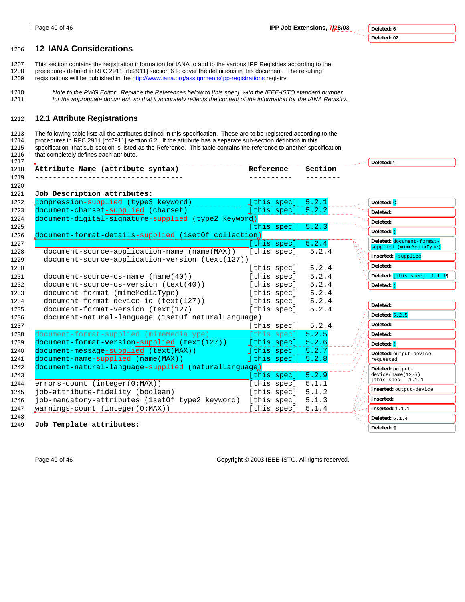1220

**Deleted: 6 Deleted: 02**

# 1206 **12 IANA Considerations**

1207 This section contains the registration information for IANA to add to the various IPP Registries according to the 1208 procedures defined in RFC 2911 [rfc2911] section 6 to cover the definitions in this document. The resulting

- 1209 registrations will be published in the http://www.iana.org/assignments/ipp-registrations registry.
- 1210 *Note to the PWG Editor: Replace the References below to [this spec] with the IEEE-ISTO standard number*  1211 *for the appropriate document, so that it accurately reflects the content of the information for the IANA Registry.*

# 1212 **12.1 Attribute Registrations**

1213 The following table lists all the attributes defined in this specification. These are to be registered according to the 1214 procedures in RFC 2911 [rfc2911] section 6.2. If the attribute has a separate sub-section definition in this 1215 specification, that sub-section is listed as the Reference. This table contains the reference to another specification 1216 | that completely defines each attribute. that completely defines each attribute.

| 1217 |                                                |       |       | eleted: |
|------|------------------------------------------------|-------|-------|---------|
| 1218 | Attribute<br>. .<br>Name<br>(attribute syntax) | ence  | 'tıon |         |
| 1219 |                                                | _ _ _ | ----- |         |

| compression-supplied (type3 keyword)<br>1222<br>5.2.1<br>[this spec]<br>Deleted: C<br>document-charset-supplied (charset)<br>[this spec]<br>1223<br>5.2.2<br>Deleted:<br>document-digital-signature-supplied (type2 keyword)<br>1224<br>Deleted:<br>[this spec]<br>5.2.3<br>1225<br>Deleted: )<br>document-format-details-supplied (1setOf collection)<br>1226<br>Deleted: document-format-<br>5.2.4<br>[this spec]<br>1227<br>$\Delta$<br>supplied (mimeMediaType)<br>document-source-application-name (name(MAX))<br>5.2.4<br>[this spec]<br>1228<br>Inserted: - supplied<br>document-source-application-version (text(127))<br>1229<br>Deleted:<br>5.2.4<br>1230<br>[this spec]<br>5.2.4<br>[this spec]<br>1231<br>$document-source-os-name (name(40))$<br>5.2.4<br>document-source-os-version (text(40))<br>[this spec]<br>1232<br>Deleted: )<br>5.2.4<br>document-format (mimeMediaType)<br>[this spec]<br>1233<br>document-format-device-id (text(127))<br>[this spec]<br>5.2.4<br>1234<br>Deleted:<br>document-format-version (text(127)<br>5.2.4<br>1235<br>[this spec]<br>Deleted: $5.2.5$<br>document-natural-language (1setOf naturalLanguage)<br>1236<br>Deleted:<br>5.2.4<br>1237<br>[this spec]<br>document-format-supplied (mimeMediaType)<br>1238<br>[this spec]<br>5.2.5<br>Deleted:<br>document-format-version-supplied (text(127))<br>1239<br>[this spec]<br>5.2.6<br>Deleted: )<br>document-message-supplied (text(MAX))<br>[this spec]<br>1240<br>5.2.7<br>Deleted: output-device-<br>1241<br>document-name-supplied (name(MAX))<br>$[$ this spec]<br>5.2.8<br>requested<br>document-natural-language-supplied (naturalLanguage)<br>1242<br>Deleted: output-<br>5.2.9<br>device(name(127))<br>1243<br>[this spec]<br>[this spec] $1.1.1$<br>errors-count (integer(0:MAX))<br>[this spec]<br>5.1.1<br>1244<br>Inserted: output-device<br>[this spec]<br>5.1.2<br>job-attribute-fidelity (boolean)<br>1245<br>Inserted:<br>job-mandatory-attributes (1setOf type2 keyword)<br>[this spec]<br>5.1.3<br>1246<br>1247<br>$warmings-count (integer(0:MAX))$<br>[this spec]<br>5.1.4<br>Inserted: $1.1.1$<br>1248<br>Deleted: 5.1.4<br>1249<br>Job Template attributes:<br>Deleted: ¶ | 1221 | Job Description attributes: |  |  |                             |
|-----------------------------------------------------------------------------------------------------------------------------------------------------------------------------------------------------------------------------------------------------------------------------------------------------------------------------------------------------------------------------------------------------------------------------------------------------------------------------------------------------------------------------------------------------------------------------------------------------------------------------------------------------------------------------------------------------------------------------------------------------------------------------------------------------------------------------------------------------------------------------------------------------------------------------------------------------------------------------------------------------------------------------------------------------------------------------------------------------------------------------------------------------------------------------------------------------------------------------------------------------------------------------------------------------------------------------------------------------------------------------------------------------------------------------------------------------------------------------------------------------------------------------------------------------------------------------------------------------------------------------------------------------------------------------------------------------------------------------------------------------------------------------------------------------------------------------------------------------------------------------------------------------------------------------------------------------------------------------------------------------------------------------------------------------------------------------------------------------------------------------------------------------------------------------------------------------|------|-----------------------------|--|--|-----------------------------|
|                                                                                                                                                                                                                                                                                                                                                                                                                                                                                                                                                                                                                                                                                                                                                                                                                                                                                                                                                                                                                                                                                                                                                                                                                                                                                                                                                                                                                                                                                                                                                                                                                                                                                                                                                                                                                                                                                                                                                                                                                                                                                                                                                                                                     |      |                             |  |  |                             |
|                                                                                                                                                                                                                                                                                                                                                                                                                                                                                                                                                                                                                                                                                                                                                                                                                                                                                                                                                                                                                                                                                                                                                                                                                                                                                                                                                                                                                                                                                                                                                                                                                                                                                                                                                                                                                                                                                                                                                                                                                                                                                                                                                                                                     |      |                             |  |  |                             |
|                                                                                                                                                                                                                                                                                                                                                                                                                                                                                                                                                                                                                                                                                                                                                                                                                                                                                                                                                                                                                                                                                                                                                                                                                                                                                                                                                                                                                                                                                                                                                                                                                                                                                                                                                                                                                                                                                                                                                                                                                                                                                                                                                                                                     |      |                             |  |  |                             |
|                                                                                                                                                                                                                                                                                                                                                                                                                                                                                                                                                                                                                                                                                                                                                                                                                                                                                                                                                                                                                                                                                                                                                                                                                                                                                                                                                                                                                                                                                                                                                                                                                                                                                                                                                                                                                                                                                                                                                                                                                                                                                                                                                                                                     |      |                             |  |  |                             |
|                                                                                                                                                                                                                                                                                                                                                                                                                                                                                                                                                                                                                                                                                                                                                                                                                                                                                                                                                                                                                                                                                                                                                                                                                                                                                                                                                                                                                                                                                                                                                                                                                                                                                                                                                                                                                                                                                                                                                                                                                                                                                                                                                                                                     |      |                             |  |  |                             |
|                                                                                                                                                                                                                                                                                                                                                                                                                                                                                                                                                                                                                                                                                                                                                                                                                                                                                                                                                                                                                                                                                                                                                                                                                                                                                                                                                                                                                                                                                                                                                                                                                                                                                                                                                                                                                                                                                                                                                                                                                                                                                                                                                                                                     |      |                             |  |  |                             |
|                                                                                                                                                                                                                                                                                                                                                                                                                                                                                                                                                                                                                                                                                                                                                                                                                                                                                                                                                                                                                                                                                                                                                                                                                                                                                                                                                                                                                                                                                                                                                                                                                                                                                                                                                                                                                                                                                                                                                                                                                                                                                                                                                                                                     |      |                             |  |  |                             |
|                                                                                                                                                                                                                                                                                                                                                                                                                                                                                                                                                                                                                                                                                                                                                                                                                                                                                                                                                                                                                                                                                                                                                                                                                                                                                                                                                                                                                                                                                                                                                                                                                                                                                                                                                                                                                                                                                                                                                                                                                                                                                                                                                                                                     |      |                             |  |  |                             |
|                                                                                                                                                                                                                                                                                                                                                                                                                                                                                                                                                                                                                                                                                                                                                                                                                                                                                                                                                                                                                                                                                                                                                                                                                                                                                                                                                                                                                                                                                                                                                                                                                                                                                                                                                                                                                                                                                                                                                                                                                                                                                                                                                                                                     |      |                             |  |  |                             |
|                                                                                                                                                                                                                                                                                                                                                                                                                                                                                                                                                                                                                                                                                                                                                                                                                                                                                                                                                                                                                                                                                                                                                                                                                                                                                                                                                                                                                                                                                                                                                                                                                                                                                                                                                                                                                                                                                                                                                                                                                                                                                                                                                                                                     |      |                             |  |  | Deleted: [this spec] 1.1.19 |
|                                                                                                                                                                                                                                                                                                                                                                                                                                                                                                                                                                                                                                                                                                                                                                                                                                                                                                                                                                                                                                                                                                                                                                                                                                                                                                                                                                                                                                                                                                                                                                                                                                                                                                                                                                                                                                                                                                                                                                                                                                                                                                                                                                                                     |      |                             |  |  |                             |
|                                                                                                                                                                                                                                                                                                                                                                                                                                                                                                                                                                                                                                                                                                                                                                                                                                                                                                                                                                                                                                                                                                                                                                                                                                                                                                                                                                                                                                                                                                                                                                                                                                                                                                                                                                                                                                                                                                                                                                                                                                                                                                                                                                                                     |      |                             |  |  |                             |
|                                                                                                                                                                                                                                                                                                                                                                                                                                                                                                                                                                                                                                                                                                                                                                                                                                                                                                                                                                                                                                                                                                                                                                                                                                                                                                                                                                                                                                                                                                                                                                                                                                                                                                                                                                                                                                                                                                                                                                                                                                                                                                                                                                                                     |      |                             |  |  |                             |
|                                                                                                                                                                                                                                                                                                                                                                                                                                                                                                                                                                                                                                                                                                                                                                                                                                                                                                                                                                                                                                                                                                                                                                                                                                                                                                                                                                                                                                                                                                                                                                                                                                                                                                                                                                                                                                                                                                                                                                                                                                                                                                                                                                                                     |      |                             |  |  |                             |
|                                                                                                                                                                                                                                                                                                                                                                                                                                                                                                                                                                                                                                                                                                                                                                                                                                                                                                                                                                                                                                                                                                                                                                                                                                                                                                                                                                                                                                                                                                                                                                                                                                                                                                                                                                                                                                                                                                                                                                                                                                                                                                                                                                                                     |      |                             |  |  |                             |
|                                                                                                                                                                                                                                                                                                                                                                                                                                                                                                                                                                                                                                                                                                                                                                                                                                                                                                                                                                                                                                                                                                                                                                                                                                                                                                                                                                                                                                                                                                                                                                                                                                                                                                                                                                                                                                                                                                                                                                                                                                                                                                                                                                                                     |      |                             |  |  |                             |
|                                                                                                                                                                                                                                                                                                                                                                                                                                                                                                                                                                                                                                                                                                                                                                                                                                                                                                                                                                                                                                                                                                                                                                                                                                                                                                                                                                                                                                                                                                                                                                                                                                                                                                                                                                                                                                                                                                                                                                                                                                                                                                                                                                                                     |      |                             |  |  |                             |
|                                                                                                                                                                                                                                                                                                                                                                                                                                                                                                                                                                                                                                                                                                                                                                                                                                                                                                                                                                                                                                                                                                                                                                                                                                                                                                                                                                                                                                                                                                                                                                                                                                                                                                                                                                                                                                                                                                                                                                                                                                                                                                                                                                                                     |      |                             |  |  |                             |
|                                                                                                                                                                                                                                                                                                                                                                                                                                                                                                                                                                                                                                                                                                                                                                                                                                                                                                                                                                                                                                                                                                                                                                                                                                                                                                                                                                                                                                                                                                                                                                                                                                                                                                                                                                                                                                                                                                                                                                                                                                                                                                                                                                                                     |      |                             |  |  |                             |
|                                                                                                                                                                                                                                                                                                                                                                                                                                                                                                                                                                                                                                                                                                                                                                                                                                                                                                                                                                                                                                                                                                                                                                                                                                                                                                                                                                                                                                                                                                                                                                                                                                                                                                                                                                                                                                                                                                                                                                                                                                                                                                                                                                                                     |      |                             |  |  |                             |
|                                                                                                                                                                                                                                                                                                                                                                                                                                                                                                                                                                                                                                                                                                                                                                                                                                                                                                                                                                                                                                                                                                                                                                                                                                                                                                                                                                                                                                                                                                                                                                                                                                                                                                                                                                                                                                                                                                                                                                                                                                                                                                                                                                                                     |      |                             |  |  |                             |
|                                                                                                                                                                                                                                                                                                                                                                                                                                                                                                                                                                                                                                                                                                                                                                                                                                                                                                                                                                                                                                                                                                                                                                                                                                                                                                                                                                                                                                                                                                                                                                                                                                                                                                                                                                                                                                                                                                                                                                                                                                                                                                                                                                                                     |      |                             |  |  |                             |
|                                                                                                                                                                                                                                                                                                                                                                                                                                                                                                                                                                                                                                                                                                                                                                                                                                                                                                                                                                                                                                                                                                                                                                                                                                                                                                                                                                                                                                                                                                                                                                                                                                                                                                                                                                                                                                                                                                                                                                                                                                                                                                                                                                                                     |      |                             |  |  |                             |
|                                                                                                                                                                                                                                                                                                                                                                                                                                                                                                                                                                                                                                                                                                                                                                                                                                                                                                                                                                                                                                                                                                                                                                                                                                                                                                                                                                                                                                                                                                                                                                                                                                                                                                                                                                                                                                                                                                                                                                                                                                                                                                                                                                                                     |      |                             |  |  |                             |
|                                                                                                                                                                                                                                                                                                                                                                                                                                                                                                                                                                                                                                                                                                                                                                                                                                                                                                                                                                                                                                                                                                                                                                                                                                                                                                                                                                                                                                                                                                                                                                                                                                                                                                                                                                                                                                                                                                                                                                                                                                                                                                                                                                                                     |      |                             |  |  |                             |
|                                                                                                                                                                                                                                                                                                                                                                                                                                                                                                                                                                                                                                                                                                                                                                                                                                                                                                                                                                                                                                                                                                                                                                                                                                                                                                                                                                                                                                                                                                                                                                                                                                                                                                                                                                                                                                                                                                                                                                                                                                                                                                                                                                                                     |      |                             |  |  |                             |
|                                                                                                                                                                                                                                                                                                                                                                                                                                                                                                                                                                                                                                                                                                                                                                                                                                                                                                                                                                                                                                                                                                                                                                                                                                                                                                                                                                                                                                                                                                                                                                                                                                                                                                                                                                                                                                                                                                                                                                                                                                                                                                                                                                                                     |      |                             |  |  |                             |
|                                                                                                                                                                                                                                                                                                                                                                                                                                                                                                                                                                                                                                                                                                                                                                                                                                                                                                                                                                                                                                                                                                                                                                                                                                                                                                                                                                                                                                                                                                                                                                                                                                                                                                                                                                                                                                                                                                                                                                                                                                                                                                                                                                                                     |      |                             |  |  |                             |

Page 40 of 46 Copyright © 2003 IEEE-ISTO. All rights reserved.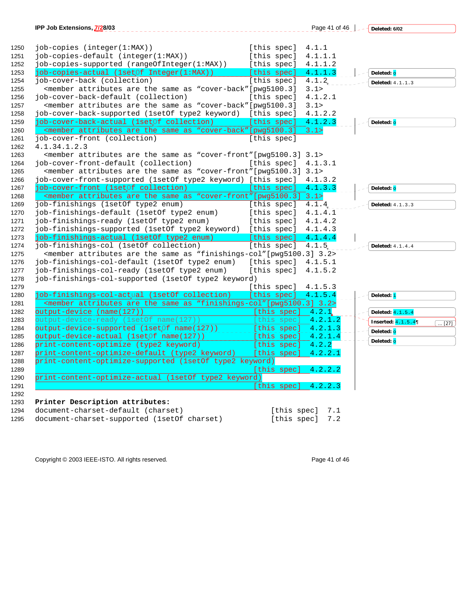| IPP Job Extensions, 7/28/03                                                                                                         |             | Page 41 of 46 | Deleted: 6/02       |
|-------------------------------------------------------------------------------------------------------------------------------------|-------------|---------------|---------------------|
|                                                                                                                                     |             |               |                     |
| job-copies (integer(1:MAX))                                                                                                         | [this spec] | 4.1.1         |                     |
| job-copies-default (integer(1:MAX))                                                                                                 | [this spec] | 4.1.1.1       |                     |
| job-copies-supported (rangeOfInteger(1:MAX))                                                                                        | [this spec] | 4.1.1.2       |                     |
| job-copies-actual (1setOf Integer(1:MAX))                                                                                           | [this spec] | 4.1.1.3       | Deleted: o          |
| job-cover-back (collection)                                                                                                         | [this spec] | 4.1.2         | Deleted: 4.1.1.3    |
| <member "cover-back"="" [pwg5100.3]<="" are="" as="" attributes="" same="" td="" the=""><td></td><td>3.1&gt;</td><td></td></member> |             | 3.1>          |                     |
| job-cover-back-default (collection)                                                                                                 | [this spec] | 4.1.2.1       |                     |
| <member "cover-back"[pwg5100.3]<="" are="" as="" attributes="" same="" td="" the=""><td></td><td>3.1&gt;</td><td></td></member>     |             | 3.1>          |                     |
| job-cover-back-supported (1setOf type2 keyword) [this spec]                                                                         |             | 4.1.2.2       |                     |
| job-cover-back-actual (1setOf collection)                                                                                           | [this spec] | 4.1.2.3       | Deleted: o          |
| <member "cover-back"="" [pwg5100.3]<="" are="" as="" attributes="" same="" td="" the=""><td></td><td>3.1</td><td></td></member>     |             | 3.1           |                     |
| job-cover-front (collection)                                                                                                        | [this spec] |               |                     |
| 4.1.34.1.2.3                                                                                                                        |             |               |                     |
| <member "cover-front"[pwg5100.3]="" 3.1="" are="" as="" attributes="" same="" the=""></member>                                      |             |               |                     |
| job-cover-front-default (collection)                                                                                                | [this spec] | 4.1.3.1       |                     |
| <member "cover-front"[pwg5100.3]="" 3.1="" are="" as="" attributes="" same="" the=""></member>                                      |             |               |                     |
| job-cover-front-supported (1setOf type2 keyword) [this spec]                                                                        |             | 4.1.3.2       |                     |
| job-cover-front (1setOf collection)                                                                                                 | [this spec] | 4.1.3.3       | Deleted: o          |
| <member "cover-front"[pwg5100.3]="" 3.1="" are="" as="" attributes="" same="" the=""></member>                                      |             |               |                     |
| job-finishings (1setOf type2 enum)                                                                                                  | [this spec] | 4.1.4         | Deleted: 4.1.3.3    |
| job-finishings-default (1setOf type2 enum)                                                                                          | [this spec] | 4.1.4.1       |                     |
| job-finishings-ready (1setOf type2 enum)                                                                                            | [this spec] | 4.1.4.2       |                     |
| job-finishings-supported (1setOf type2 keyword)                                                                                     | [this spec] | 4.1.4.3       |                     |
| job-finishings-actual (1setOf type2 enum)                                                                                           | [this spec] | 4.1.4.4       |                     |
| job-finishings-col (1setOf collection)                                                                                              | [this spec] | 4.1.5         | Deleted: 4.1.4.4    |
| <member "finishings-col"="" 3.2="" [pwg5100.3]="" are="" as="" attributes="" same="" the=""></member>                               |             |               |                     |
| job-finishings-col-default (1setOf type2 enum)                                                                                      | [this spec] | 4.1.5.1       |                     |
| job-finishings-col-ready (1setOf type2 enum)                                                                                        | [this spec] | 4.1.5.2       |                     |
| job-finishings-col-supported (1setOf type2 keyword)                                                                                 |             |               |                     |
|                                                                                                                                     | [this spec] | 4.1.5.3       |                     |
| job-finishings-col-actual (1setOf collection)                                                                                       | [this spec] | 4.1.5.4       | Deleted: i          |
| <member "finishings-col"="" 3.2="" [pwg5100.3]="" are="" as="" attributes="" same="" the=""></member>                               |             |               |                     |
| output-device (name(127))                                                                                                           | this spec]  | 4.2.1         | Deleted: 4.1.5.4    |
| output-device-ready (1setOf name(127))                                                                                              | this specl  | 4.2.1.2       | Inserted: $4.1.5.4$ |
| output-device-supported (lsetOf name(127))                                                                                          | this spec]  | 4.2.1.3       | Deleted: o          |
| output-device-actual (1setOf name(127))                                                                                             | [this spec] | 4.2.1.4       | Deleted: o          |
| print-content-optimize (type2 keyword)                                                                                              | [this spec] | 4.2.2         |                     |
| print-content-optimize-default (type2 keyword)                                                                                      | [this spec] | 4.2.2.1       |                     |
| print-content-optimize-supported (lsetOf type2 keyword)                                                                             |             |               |                     |
|                                                                                                                                     | [this spec] | 4.2.2.2       |                     |
| print-content-optimize-actual (1setOf type2 keyword)                                                                                |             |               |                     |
|                                                                                                                                     | [this spec] | 4.2.2.3       |                     |
|                                                                                                                                     |             |               |                     |
| Printer Description attributes:                                                                                                     |             |               |                     |
| document-charset-default (charset)                                                                                                  | [this spec] | 7.1           |                     |
| document-charset-supported (1set0f charset)                                                                                         | [this spec] | $7.2\,$       |                     |

Copyright © 2003 IEEE-ISTO. All rights reserved. expansion of 46 Page 41 of 46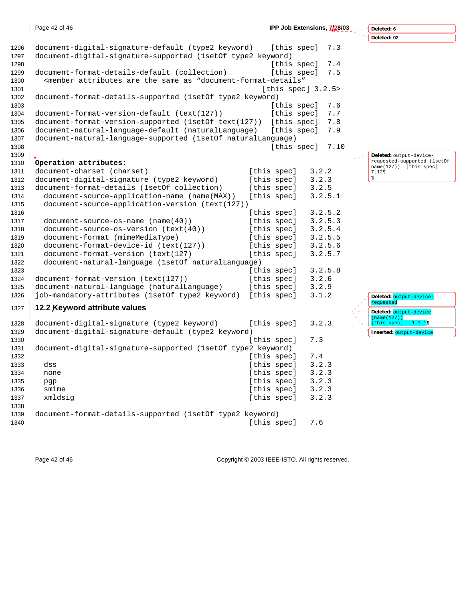|      | Page 42 of 46                                                                                                              |                     | IPP Job Extensions, 7/28/03 | Deleted: 6                                            |
|------|----------------------------------------------------------------------------------------------------------------------------|---------------------|-----------------------------|-------------------------------------------------------|
|      |                                                                                                                            |                     |                             | Deleted: 02                                           |
| 1296 | document-digital-signature-default (type2 keyword)                                                                         | [this spec]         | 7.3                         |                                                       |
| 1297 | document-digital-signature-supported (1setOf type2 keyword)                                                                |                     |                             |                                                       |
| 1298 |                                                                                                                            | [this spec]         | 7.4                         |                                                       |
| 1299 | document-format-details-default (collection)                                                                               | [this spec]         | 7.5                         |                                                       |
| 1300 | <member "document-format-details"<="" are="" as="" attributes="" same="" td="" the=""><td></td><td></td><td></td></member> |                     |                             |                                                       |
| 1301 |                                                                                                                            | [this spec] $3.2.5$ |                             |                                                       |
| 1302 | document-format-details-supported (1setOf type2 keyword)                                                                   |                     |                             |                                                       |
| 1303 |                                                                                                                            | [this spec]         | 7.6                         |                                                       |
| 1304 | document-format-version-default (text(127))                                                                                | [this spec]         | 7.7                         |                                                       |
| 1305 | document-format-version-supported (1setOf text(127)) [this spec]                                                           |                     | 7.8                         |                                                       |
| 1306 | document-natural-language-default (naturalLanguage)                                                                        | [this spec]         | 7.9                         |                                                       |
| 1307 | document-natural-language-supported (1setOf naturalLanguage)                                                               |                     |                             |                                                       |
| 1308 |                                                                                                                            | [this spec]         | 7.10                        |                                                       |
| 1309 |                                                                                                                            |                     |                             | Deleted: output-device-                               |
| 1310 | Operation attributes:                                                                                                      |                     |                             | requested-supported (lsetOf<br>name(127)) [this spec] |
| 1311 | document-charset (charset)                                                                                                 | [this spec]         | 3.2.2                       | 7.12                                                  |
| 1312 | document-digital-signature (type2 keyword)                                                                                 | [this spec]         | 3.2.3                       | $\blacksquare$                                        |
| 1313 | document-format-details (1setOf collection)                                                                                | [this spec]         | 3.2.5                       |                                                       |
| 1314 | document-source-application-name (name(MAX))                                                                               | [this spec]         | 3.2.5.1                     |                                                       |
| 1315 | document-source-application-version (text(127))                                                                            |                     |                             |                                                       |
| 1316 |                                                                                                                            | [this spec]         | 3.2.5.2                     |                                                       |
| 1317 | document-source-os-name (name(40))                                                                                         | [this spec]         | 3.2.5.3                     |                                                       |
| 1318 | document-source-os-version (text(40))                                                                                      | [this spec]         | 3.2.5.4                     |                                                       |
| 1319 | document-format (mimeMediaType)                                                                                            | [this spec]         | 3.2.5.5                     |                                                       |
| 1320 | document-format-device-id (text(127))                                                                                      | [this spec]         | 3.2.5.6                     |                                                       |
| 1321 | document-format-version (text(127)                                                                                         | [this spec]         | 3.2.5.7                     |                                                       |
| 1322 | document-natural-language (1setOf naturalLanguage)                                                                         |                     |                             |                                                       |
| 1323 |                                                                                                                            | [this spec]         | 3.2.5.8                     |                                                       |
| 1324 | document-format-version (text(127))                                                                                        | [this spec]         | 3.2.6                       |                                                       |
| 1325 | document-natural-language (naturalLanguage)                                                                                | [this spec]         | 3.2.9                       |                                                       |
| 1326 | job-mandatory-attributes (1setOf type2 keyword)                                                                            | [this spec]         | 3.1.2                       | Deleted: output-device-                               |
| 1327 | 12.2 Keyword attribute values                                                                                              |                     |                             | requested                                             |
|      |                                                                                                                            |                     |                             | Deleted: output-device<br>(name(127))                 |
| 1328 | document-digital-signature (type2 keyword)                                                                                 | [this spec]         | 3.2.3                       | [this spec]<br>1.1.1                                  |
| 1329 | document-digital-signature-default (type2 keyword)                                                                         |                     |                             | Inserted: output-device                               |
| 1330 |                                                                                                                            | [this spec]         | 7.3                         |                                                       |
| 1331 | document-digital-signature-supported (1setOf type2 keyword)                                                                |                     |                             |                                                       |
| 1332 |                                                                                                                            | [this spec]         | 7.4                         |                                                       |
| 1333 | dss                                                                                                                        | [this spec]         | 3.2.3                       |                                                       |
| 1334 | none                                                                                                                       | [this spec]         | 3.2.3                       |                                                       |
| 1335 | pgp                                                                                                                        | [this spec]         | 3.2.3                       |                                                       |
| 1336 | smime                                                                                                                      | [this spec]         | 3.2.3                       |                                                       |
| 1337 | xmldsig                                                                                                                    | [this spec]         | 3.2.3                       |                                                       |
| 1338 |                                                                                                                            |                     |                             |                                                       |
| 1339 | document-format-details-supported (1setOf type2 keyword)                                                                   |                     |                             |                                                       |
| 1340 |                                                                                                                            | [this spec]         | 7.6                         |                                                       |
|      |                                                                                                                            |                     |                             |                                                       |

Page 42 of 46 Copyright © 2003 IEEE-ISTO. All rights reserved.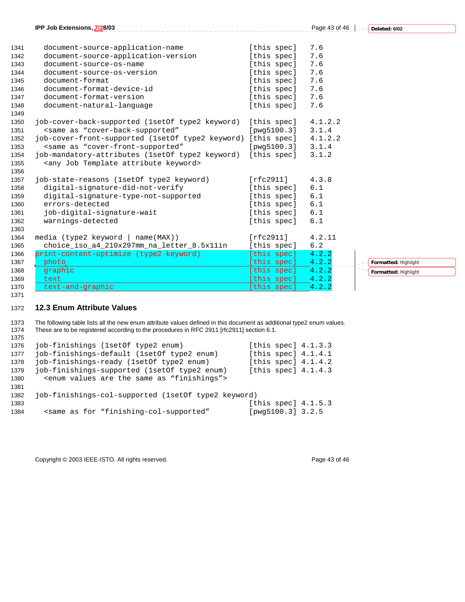|      | IPP Job Extensions, 7/28/03                                                                      |             | Page 43 of 46 | Deleted: 6/02        |
|------|--------------------------------------------------------------------------------------------------|-------------|---------------|----------------------|
|      |                                                                                                  |             |               |                      |
| 1341 | document-source-application-name                                                                 | [this spec] | 7.6           |                      |
| 1342 | document-source-application-version                                                              | [this spec] | 7.6           |                      |
| 1343 | document-source-os-name                                                                          | [this spec] | 7.6           |                      |
| 1344 | document-source-os-version                                                                       | [this spec] | 7.6           |                      |
| 1345 | document-format                                                                                  | [this spec] | 7.6           |                      |
| 1346 | document-format-device-id                                                                        | [this spec] | 7.6           |                      |
| 1347 | document-format-version                                                                          | [this spec] | 7.6           |                      |
| 1348 | document-natural-language                                                                        | [this spec] | 7.6           |                      |
| 1349 |                                                                                                  |             |               |                      |
| 1350 | job-cover-back-supported (1setOf type2 keyword)                                                  | [this spec] | 4.1.2.2       |                      |
| 1351 | <same "cover-back-supported"<="" as="" td=""><td>[pwg5100.3]</td><td>3.1.4</td><td></td></same>  | [pwg5100.3] | 3.1.4         |                      |
| 1352 | job-cover-front-supported (1setOf type2 keyword)                                                 | [this spec] | 4.1.2.2       |                      |
| 1353 | <same "cover-front-supported"<="" as="" td=""><td>[pwg5100.3]</td><td>3.1.4</td><td></td></same> | [pwg5100.3] | 3.1.4         |                      |
| 1354 | job-mandatory-attributes (1setOf type2 keyword)                                                  | [this spec] | 3.1.2         |                      |
| 1355 | <any attribute="" job="" keyword="" template=""></any>                                           |             |               |                      |
| 1356 |                                                                                                  |             |               |                      |
| 1357 | job-state-reasons (1setOf type2 keyword)                                                         | [rfc2911]   | 4.3.8         |                      |
| 1358 | digital-signature-did-not-verify                                                                 | [this spec] | 6.1           |                      |
| 1359 | digital-signature-type-not-supported                                                             | [this spec] | 6.1           |                      |
| 1360 | errors-detected                                                                                  | [this spec] | 6.1           |                      |
| 1361 | job-digital-signature-wait                                                                       | [this spec] | 6.1           |                      |
| 1362 | warnings-detected                                                                                | [this spec] | 6.1           |                      |
| 1363 |                                                                                                  |             |               |                      |
| 1364 | media (type2 keyword   name(MAX))                                                                | [rfc2911]   | 4.2.11        |                      |
| 1365 | choice_iso_a4_210x297mm_na_letter_8.5x11in                                                       | [this spec] | 6.2           |                      |
| 1366 | print-content-optimize (type2 keyword)                                                           | [this spec] | 4.2.2         |                      |
| 1367 | photo.                                                                                           | this spec]  | 4.2.2         | Formatted: Highlight |
| 1368 | graphic                                                                                          | [this spec] | 4.2.2         | Formatted: Highlight |
| 1369 | text                                                                                             | this specl  | 4.2.2         |                      |
| 1370 | text-and-graphic                                                                                 | this specl  | 4.2.2         |                      |

### **12.3 Enum Attribute Values**

1373 The following table lists all the new enum attribute values defined in this document as additional type2 enum values. 1374 These are to be registered according to the procedures in RFC 2911 [rfc2911] section 6.1. 

| 1376 | job-finishings (1set 0f type 2 enum)                                                     | [this spec] $4.1.3.3$ |
|------|------------------------------------------------------------------------------------------|-----------------------|
| 1377 | job-finishings-default (1setOf type2 enum)                                               | [this spec] $4.1.4.1$ |
| 1378 | job-finishings-ready (1setOf type2 enum)                                                 | [this spec] $4.1.4.2$ |
| 1379 | job-finishings-supported (1set of type2 enum)                                            | [this spec] $4.1.4.3$ |
| 1380 | <enum "finishings"="" are="" as="" same="" the="" values=""></enum>                      |                       |
| 1381 |                                                                                          |                       |
| 1382 | job-finishings-col-supported (1set of type2 keyword)                                     |                       |
| 1383 |                                                                                          | [this spec] $4.1.5.3$ |
| 1384 | <same "finishing-col-supported"<="" as="" for="" td=""><td>[pwg5100.3] 3.2.5</td></same> | [pwg5100.3] 3.2.5     |

Copyright © 2003 IEEE-ISTO. All rights reserved. expansion of the extendio of 46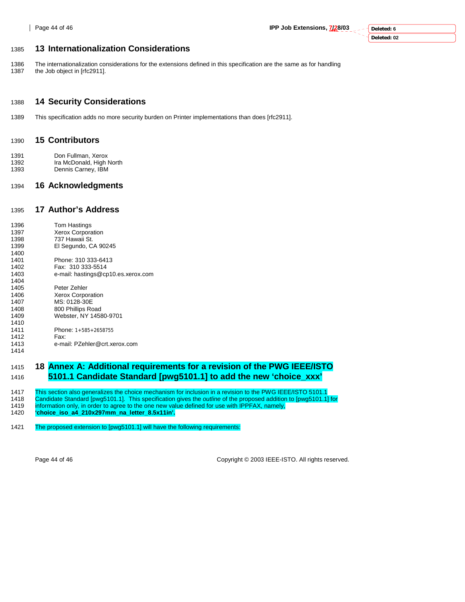**Deleted: 6 Deleted: 02**

# 1385 **13 Internationalization Considerations**

1386 The internationalization considerations for the extensions defined in this specification are the same as for handling 1387 the Job object in [rfc2911].

# 1388 **14 Security Considerations**

1389 This specification adds no more security burden on Printer implementations than does [rfc2911].

#### 1390 **15 Contributors**

- 1391 Don Fullman, Xerox<br>1392 Ira McDonald, High I
- Ira McDonald, High North
- 1393 Dennis Carney, IBM

# 1394 **16 Acknowledgments**

# 1395 **17 Author's Address**

| 1396 | Tom Hastings                       |
|------|------------------------------------|
| 1397 | <b>Xerox Corporation</b>           |
| 1398 | 737 Hawaii St.                     |
| 1399 | El Segundo, CA 90245               |
| 1400 |                                    |
| 1401 | Phone: 310 333-6413                |
| 1402 | Fax: 310 333-5514                  |
| 1403 | e-mail: hastings@cp10.es.xerox.com |
| 1404 |                                    |
| 1405 | Peter Zehler                       |
| 1406 | <b>Xerox Corporation</b>           |
| 1407 | MS: 0128-30E                       |
| 1408 | 800 Phillips Road                  |
| 1409 | Webster, NY 14580-9701             |
| 1410 |                                    |
| 1411 | Phone: 1+585+2658755               |
| 1412 | Fax:                               |
| 1413 | e-mail: PZehler@crt.xerox.com      |
| 1414 |                                    |

# 1415 **18 Annex A: Additional requirements for a revision of the PWG IEEE/ISTO**  1416 **5101.1 Candidate Standard [pwg5101.1] to add the new 'choice\_xxx'**

1417 This section also generalizes the choice mechanism for inclusion in a revision to the PWG IEEE/ISTO 5101.1

1418 Candidate Standard [pwg5101.1]. This specification gives the *outline* of the proposed addition to [pwg5101.1] for

- information only, in order to agree to the one new value defined for use with IPPFAX, namely,
- 1420 **'choice\_iso\_a4\_210x297mm\_na\_letter\_8.5x11in'.**

#### 1421 The proposed extension to [pwg5101.1] will have the following requirements:

Page 44 of 46 Copyright © 2003 IEEE-ISTO. All rights reserved.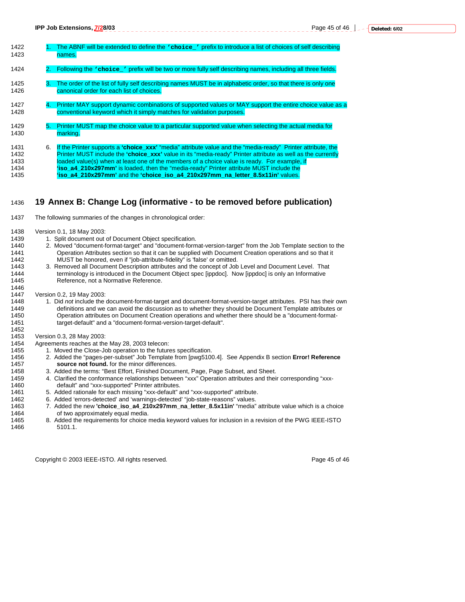| 1422<br>1423                         |    | The ABNF will be extended to define the various of prefix to introduce a list of choices of self describing<br>names.                                                                                                                                                                                                                                                                                                                                                                                    |
|--------------------------------------|----|----------------------------------------------------------------------------------------------------------------------------------------------------------------------------------------------------------------------------------------------------------------------------------------------------------------------------------------------------------------------------------------------------------------------------------------------------------------------------------------------------------|
| 1424                                 |    | Following the verticle reads will be two or more fully self describing names, including all three fields.                                                                                                                                                                                                                                                                                                                                                                                                |
| 1425<br>1426                         | З. | The order of the list of fully self describing names MUST be in alphabetic order, so that there is only one<br>canonical order for each list of choices.                                                                                                                                                                                                                                                                                                                                                 |
| 1427<br>1428                         | 4. | Printer MAY support dynamic combinations of supported values or MAY support the entire choice value as a<br>conventional keyword which it simply matches for validation purposes.                                                                                                                                                                                                                                                                                                                        |
| 1429<br>1430                         | 5. | Printer MUST map the choice value to a particular supported value when selecting the actual media for<br>marking.                                                                                                                                                                                                                                                                                                                                                                                        |
| 1431<br>1432<br>1433<br>1434<br>1435 | 6. | If the Printer supports a 'choice xxx' "media" attribute value and the "media-ready" Printer attribute, the<br>Printer MUST include the 'choice xxx' value in its "media-ready" Printer attribute as well as the currently<br>loaded value(s) when at least one of the members of a choice value is ready. For example, if<br>'iso a4 210x297mm' is loaded, then the "media-ready" Printer attribute MUST include the<br>'iso a4 210x297mm' and the 'choice iso a4 210x297mm na letter 8.5x11in' values. |

# 1436 **19 Annex B: Change Log (informative - to be removed before publication)**

1437 The following summaries of the changes in chronological order:

- 1438 Version 0.1, 18 May 2003:
- 1439 1. Split document out of Document Object specification.<br>1440 2. Moved "document-format-target" and "document-form
- 2. Moved "document-format-target" and "document-format-version-target" from the Job Template section to the 1441 Operation Attributes section so that it can be supplied with Document Creation operations and so that it<br>1442 MUST be honored, even if "job-attribute-fidelity" is 'false' or omitted. 1442 MUST be honored, even if "job-attribute-fidelity" is 'false' or omitted.
- 3. Removed all Document Description attributes and the concept of Job Level and Document Level. That 1444 terminology is introduced in the Document Object spec [ippdoc]. Now [ippdoc] is only an Informative 1445 Reference, not a Normative Reference.
- 1447 Version 0.2, 19 May 2003:<br>1448 1. Did *not* include the

1446

- 1. Did not include the document-format-target and document-format-version-target attributes. PSI has their own 1449 definitions and we can avoid the discussion as to whether they should be Document Template attributes or Operation attributes on Document Creation operations and whether there should be a "document-format-1451 target-default" and a "document-format-version-target-default". 1452
- 
- 1453 Version 0.3, 28 May 2003:<br>1454 Agreements reaches at the Agreements reaches at the May 28, 2003 telecon:
- 1455 1. Moved the Close-Job operation to the futures specification.
- 1456 2. Added the "pages-per-subset" Job Template from [pwg5100.4]. See Appendix B section **Error! Reference**  1457 **source not found.** for the minor differences.
	- 3. Added the terms: "Best Effort, Finished Document, Page, Page Subset, and Sheet.
- 1459 4. Clarified the conformance relationships between "xxx" Operation attributes and their corresponding "xxx-1460 default" and "xxx-supported" Printer attributes.
	- 5. Added rationale for each missing "xxx-default" and "xxx-supported" attribute.
- 1462 6. Added 'errors-detected' and 'warnings-detected' "job-state-reasons" values.<br>1463 7. Added the new **'choice iso a4 210x297mm na letter 8.5x11in'** "media" 1463 7. Added the new **'choice\_iso\_a4\_210x297mm\_na\_letter\_8.5x11in'** "media" attribute value which is a choice
	- of two approximately equal media.
- 1465 8. Added the requirements for choice media keyword values for inclusion in a revision of the PWG IEEE-ISTO 1466 5101.1.

Copyright © 2003 IEEE-ISTO. All rights reserved. Copyright C 2003 IEEE-ISTO. All rights reserved.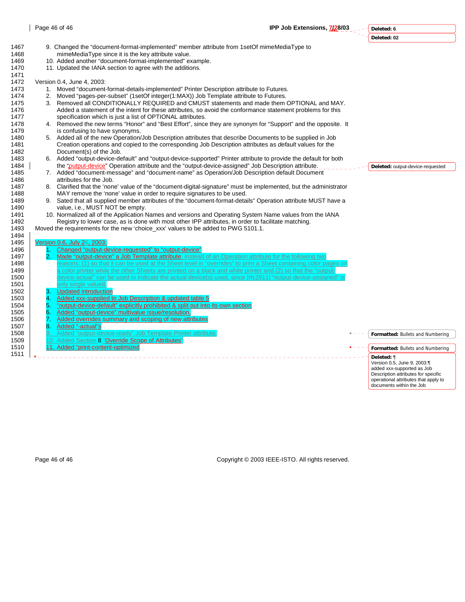**Deleted: 6**

|      |                |                                                                                                                   | Deleted: 02                                                       |
|------|----------------|-------------------------------------------------------------------------------------------------------------------|-------------------------------------------------------------------|
| 1467 |                | 9. Changed the "document-format-implemented" member attribute from 1setOf mimeMediaType to                        |                                                                   |
| 1468 |                | mimeMediaType since it is the key attribute value.                                                                |                                                                   |
| 1469 |                | 10. Added another "document-format-implemented" example.                                                          |                                                                   |
| 1470 |                | 11. Updated the IANA section to agree with the additions.                                                         |                                                                   |
| 1471 |                |                                                                                                                   |                                                                   |
| 1472 |                | Version 0.4, June 4, 2003:                                                                                        |                                                                   |
| 1473 |                | 1. Moved "document-format-details-implemented" Printer Description attribute to Futures.                          |                                                                   |
| 1474 |                | 2. Moved "pages-per-subset" (1setOf integer(1:MAX)) Job Template attribute to Futures.                            |                                                                   |
| 1475 |                | 3. Removed all CONDITIONALLY REQUIRED and CMUST statements and made them OPTIONAL and MAY.                        |                                                                   |
| 1476 |                | Added a statement of the intent for these attributes, so avoid the conformance statement problems for this        |                                                                   |
| 1477 |                | specification which is just a list of OPTIONAL attributes.                                                        |                                                                   |
| 1478 |                | 4. Removed the new terms "Honor" and "Best Effort", since they are synonym for "Support" and the opposite. It     |                                                                   |
| 1479 |                | is confusing to have synonyms.                                                                                    |                                                                   |
| 1480 |                | 5. Added all of the new Operation/Job Description attributes that describe Documents to be supplied in Job        |                                                                   |
| 1481 |                | Creation operations and copied to the corresponding Job Description attributes as <i>default</i> values for the   |                                                                   |
| 1482 |                | Document(s) of the Job.                                                                                           |                                                                   |
| 1483 |                | 6. Added "output-device-default" and "output-device-supported" Printer attribute to provide the default for both  |                                                                   |
| 1484 |                | the "output-device" Operation attribute and the "output-device-assigned" Job Description attribute.               | Deleted: output-device-requested                                  |
| 1485 |                | 7. Added "document-message" and "document-name" as Operation/Job Description default Document                     |                                                                   |
| 1486 |                | attributes for the Job.                                                                                           |                                                                   |
| 1487 |                | 8. Clarified that the 'none' value of the "document-digital-signature" must be implemented, but the administrator |                                                                   |
| 1488 |                | MAY remove the 'none' value in order to require signatures to be used.                                            |                                                                   |
| 1489 |                | 9. Sated that all supplied member attributes of the "document-format-details" Operation attribute MUST have a     |                                                                   |
| 1490 |                | value, i.e., MUST NOT be empty.                                                                                   |                                                                   |
| 1491 |                | 10. Normalized all of the Application Names and versions and Operating System Name values from the IANA           |                                                                   |
| 1492 |                | Registry to lower case, as is done with most other IPP attributes, in order to facilitate matching.               |                                                                   |
| 1493 |                | Moved the requirements for the new 'choice_xxx' values to be added to PWG 5101.1.                                 |                                                                   |
| 1494 |                |                                                                                                                   |                                                                   |
| 1495 |                | Version 0.6, July 26, 2003:                                                                                       |                                                                   |
| 1496 | 1 <sub>1</sub> | Changed "output-device-requested" to "output-device"                                                              |                                                                   |
| 1497 | 2.             | Made "output-device" a Job Template attribute, instead of an Operation attribute for the following two            |                                                                   |
| 1498 |                | reasons: (1) so that it can be used at the Sheet level in "overrides" to print a Sheet containing color pages or  |                                                                   |
| 1499 |                | a color printer while the other Sheets are printed on a black and white printer and (2) so that the "output-      |                                                                   |
| 1500 |                | device-actual" can be used to indicate the actual device(s) used, since [rfc2911] "output-device-assigned" is     |                                                                   |
| 1501 |                | only single valued.                                                                                               |                                                                   |
| 1502 | З.             | <b>Updated introduction</b>                                                                                       |                                                                   |
| 1503 |                | Added xxx-supplied to Job Description & updated table 5                                                           |                                                                   |
| 1504 | 5.             | "output-device-default" explicitly prohibited & split out into its own section                                    |                                                                   |
| 1505 | 6.             | Added "output-device" multivalue issue/resolution.                                                                |                                                                   |
| 1506 | $\bullet$      | Added overrides summary and scoping of new attributes                                                             |                                                                   |
| 1507 | 8.             | Added "-actual"s                                                                                                  |                                                                   |
| 1508 |                | Added "output-device-ready" Job Template Printer attribute.                                                       | Formatted: Bullets and Numbering                                  |
| 1509 |                | 10. Added Section 8 "Override Scope of Attributes"                                                                |                                                                   |
| 1510 |                | 11. Added "print-content-optimized                                                                                | Formatted: Bullets and Numbering                                  |
| 1511 |                |                                                                                                                   | Deleted: ¶                                                        |
|      |                |                                                                                                                   | Version 0.5, June 9, 2003:¶                                       |
|      |                |                                                                                                                   | added xxx-supported as Job<br>Description attributes for specific |
|      |                |                                                                                                                   | operational attributes that apply to                              |
|      |                |                                                                                                                   | documents within the Job                                          |

Page 46 of 46 Copyright © 2003 IEEE-ISTO. All rights reserved.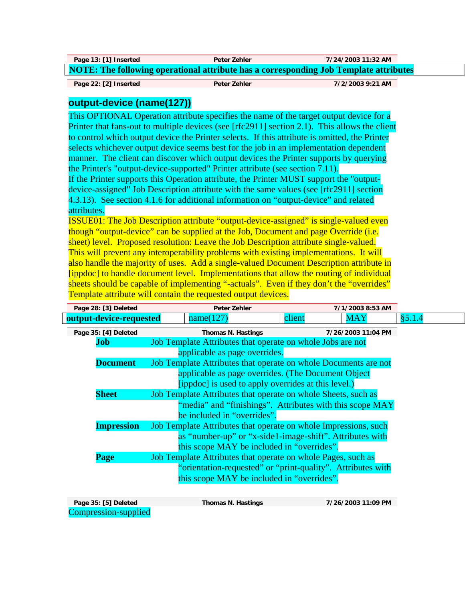| Page 13: [1] Inserted                                                                        | Peter Zehler | 7/24/2003 11:32 AM |  |  |  |
|----------------------------------------------------------------------------------------------|--------------|--------------------|--|--|--|
| <b>NOTE: The following operational attribute has a corresponding Job Template attributes</b> |              |                    |  |  |  |

**Page 22: [2] Inserted Peter Zehler 7/2/2003 9:21 AM** 

# **output-device (name(127))**

This OPTIONAL Operation attribute specifies the name of the target output device for a Printer that fans-out to multiple devices (see [rfc2911] section 2.1). This allows the client to control which output device the Printer selects. If this attribute is omitted, the Printer selects whichever output device seems best for the job in an implementation dependent manner. The client can discover which output devices the Printer supports by querying the Printer's "output-device-supported" Printer attribute (see section 7.11).

If the Printer supports this Operation attribute, the Printer MUST support the "outputdevice-assigned" Job Description attribute with the same values (see [rfc2911] section 4.3.13). See section 4.1.6 for additional information on "output-device" and related attributes.

ISSUE01: The Job Description attribute "output-device-assigned" is single-valued even though "output-device" can be supplied at the Job, Document and page Override (i.e. sheet) level. Proposed resolution: Leave the Job Description attribute single-valued. This will prevent any interoperability problems with existing implementations. It will also handle the majority of uses. Add a single-valued Document Description attribute in [ippdoc] to handle document level. Implementations that allow the routing of individual sheets should be capable of implementing "-actuals". Even if they don't the "overrides" Template attribute will contain the requested output devices.

|                                                             | Page 28: [3] Deleted                                                                 | Peter Zehler                                                    |        | 7/1/2003 8:53 AM   |         |
|-------------------------------------------------------------|--------------------------------------------------------------------------------------|-----------------------------------------------------------------|--------|--------------------|---------|
|                                                             | output-device-requested                                                              | name(127)                                                       | client | <b>MAY</b>         | § 5.1.4 |
|                                                             | Page 35: [4] Deleted                                                                 | Thomas N. Hastings                                              |        | 7/26/2003 11:04 PM |         |
| Job                                                         |                                                                                      | Job Template Attributes that operate on whole Jobs are not      |        |                    |         |
|                                                             | applicable as page overrides.                                                        |                                                                 |        |                    |         |
|                                                             | <b>Document</b>                                                                      | Job Template Attributes that operate on whole Documents are not |        |                    |         |
|                                                             | applicable as page overrides. (The Document Object                                   |                                                                 |        |                    |         |
| [ippdoc] is used to apply overrides at this level.)         |                                                                                      |                                                                 |        |                    |         |
|                                                             | <b>Sheet</b>                                                                         | Job Template Attributes that operate on whole Sheets, such as   |        |                    |         |
|                                                             |                                                                                      | "media" and "finishings". Attributes with this scope MAY        |        |                    |         |
|                                                             |                                                                                      | be included in "overrides".                                     |        |                    |         |
|                                                             | Job Template Attributes that operate on whole Impressions, such<br><b>Impression</b> |                                                                 |        |                    |         |
|                                                             | as "number-up" or "x-side1-image-shift". Attributes with                             |                                                                 |        |                    |         |
|                                                             | this scope MAY be included in "overrides".                                           |                                                                 |        |                    |         |
|                                                             | Page                                                                                 | Job Template Attributes that operate on whole Pages, such as    |        |                    |         |
| "orientation-requested" or "print-quality". Attributes with |                                                                                      |                                                                 |        |                    |         |
| this scope MAY be included in "overrides".                  |                                                                                      |                                                                 |        |                    |         |
|                                                             |                                                                                      |                                                                 |        |                    |         |

| Page 35: [5] Deleted | Thomas N. Hastings | 7/26/2003 11:09 PM |
|----------------------|--------------------|--------------------|
| Compression-supplied |                    |                    |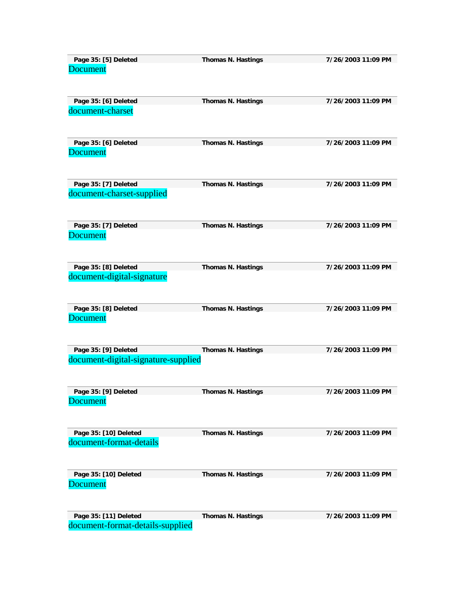| Page 35: [5] Deleted                    | Thomas N. Hastings | 7/26/2003 11:09 PM |
|-----------------------------------------|--------------------|--------------------|
| <b>Document</b>                         |                    |                    |
| Page 35: [6] Deleted                    | Thomas N. Hastings | 7/26/2003 11:09 PM |
| document-charset                        |                    |                    |
| Page 35: [6] Deleted                    | Thomas N. Hastings | 7/26/2003 11:09 PM |
| <b>Document</b>                         |                    |                    |
| Page 35: [7] Deleted                    | Thomas N. Hastings | 7/26/2003 11:09 PM |
| document-charset-supplied               |                    |                    |
| Page 35: [7] Deleted<br><b>Document</b> | Thomas N. Hastings | 7/26/2003 11:09 PM |
| Page 35: [8] Deleted                    | Thomas N. Hastings | 7/26/2003 11:09 PM |
| document-digital-signature              |                    |                    |
| Page 35: [8] Deleted<br><b>Document</b> | Thomas N. Hastings | 7/26/2003 11:09 PM |
| Page 35: [9] Deleted                    | Thomas N. Hastings | 7/26/2003 11:09 PM |
| document-digital-signature-supplied     |                    |                    |
| Page 35: [9] Deleted                    | Thomas N. Hastings | 7/26/2003 11:09 PM |
| <b>Document</b>                         |                    |                    |
| Page 35: [10] Deleted                   | Thomas N. Hastings | 7/26/2003 11:09 PM |
| document-format-details                 |                    |                    |
| Page 35: [10] Deleted                   | Thomas N. Hastings | 7/26/2003 11:09 PM |
| Document                                |                    |                    |
| Page 35: [11] Deleted                   | Thomas N. Hastings | 7/26/2003 11:09 PM |
| document-format-details-supplied        |                    |                    |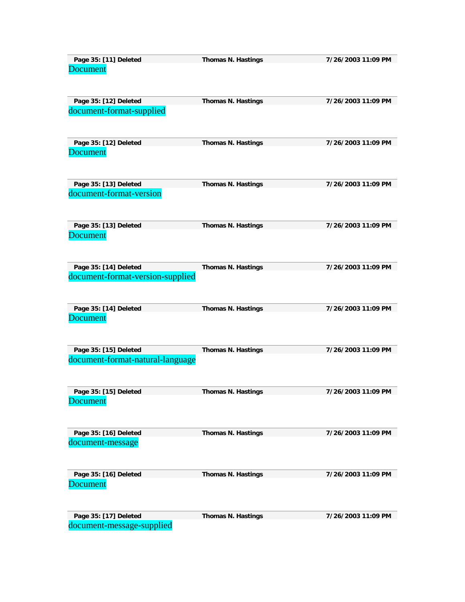| Page 35: [11] Deleted                                     | Thomas N. Hastings | 7/26/2003 11:09 PM |
|-----------------------------------------------------------|--------------------|--------------------|
| <b>Document</b>                                           |                    |                    |
| Page 35: [12] Deleted<br>document-format-supplied         | Thomas N. Hastings | 7/26/2003 11:09 PM |
| Page 35: [12] Deleted<br><b>Document</b>                  | Thomas N. Hastings | 7/26/2003 11:09 PM |
| Page 35: [13] Deleted                                     | Thomas N. Hastings | 7/26/2003 11:09 PM |
| document-format-version                                   |                    |                    |
| Page 35: [13] Deleted<br><b>Document</b>                  | Thomas N. Hastings | 7/26/2003 11:09 PM |
| Page 35: [14] Deleted<br>document-format-version-supplied | Thomas N. Hastings | 7/26/2003 11:09 PM |
| Page 35: [14] Deleted<br><b>Document</b>                  | Thomas N. Hastings | 7/26/2003 11:09 PM |
| Page 35: [15] Deleted                                     | Thomas N. Hastings | 7/26/2003 11:09 PM |
| document-format-natural-language                          |                    |                    |
| Page 35: [15] Deleted                                     | Thomas N. Hastings | 7/26/2003 11:09 PM |
| Document                                                  |                    |                    |
| Page 35: [16] Deleted<br>document-message                 | Thomas N. Hastings | 7/26/2003 11:09 PM |
| Page 35: [16] Deleted<br><b>Document</b>                  | Thomas N. Hastings | 7/26/2003 11:09 PM |
| Page 35: [17] Deleted<br>document-message-supplied        | Thomas N. Hastings | 7/26/2003 11:09 PM |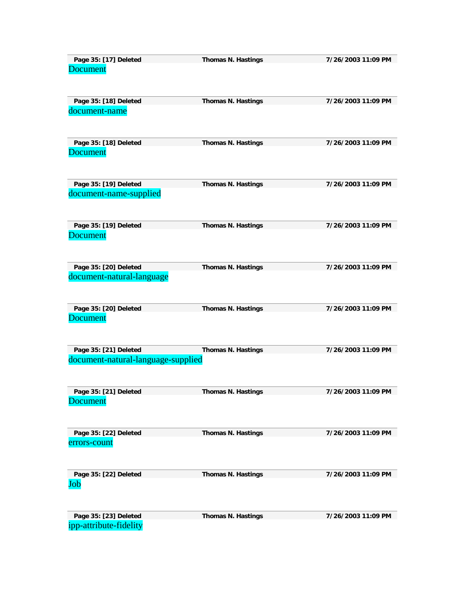| Page 35: [17] Deleted                    | Thomas N. Hastings | 7/26/2003 11:09 PM |
|------------------------------------------|--------------------|--------------------|
| Document                                 |                    |                    |
| Page 35: [18] Deleted                    | Thomas N. Hastings | 7/26/2003 11:09 PM |
| document-name                            |                    |                    |
| Page 35: [18] Deleted<br><b>Document</b> | Thomas N. Hastings | 7/26/2003 11:09 PM |
|                                          |                    |                    |
| Page 35: [19] Deleted                    | Thomas N. Hastings | 7/26/2003 11:09 PM |
| document-name-supplied                   |                    |                    |
| Page 35: [19] Deleted<br><b>Document</b> | Thomas N. Hastings | 7/26/2003 11:09 PM |
|                                          |                    |                    |
| Page 35: [20] Deleted                    | Thomas N. Hastings | 7/26/2003 11:09 PM |
| document-natural-language                |                    |                    |
| Page 35: [20] Deleted<br><b>Document</b> | Thomas N. Hastings | 7/26/2003 11:09 PM |
|                                          |                    |                    |
| Page 35: [21] Deleted                    | Thomas N. Hastings | 7/26/2003 11:09 PM |
| document-natural-language-supplied       |                    |                    |
| Page 35: [21] Deleted                    | Thomas N. Hastings | 7/26/2003 11:09 PM |
| Document                                 |                    |                    |
| Page 35: [22] Deleted                    | Thomas N. Hastings | 7/26/2003 11:09 PM |
| errors-count                             |                    |                    |
| Page 35: [22] Deleted                    | Thomas N. Hastings | 7/26/2003 11:09 PM |
| Job                                      |                    |                    |
| Page 35: [23] Deleted                    | Thomas N. Hastings | 7/26/2003 11:09 PM |
| ipp-attribute-fidelity                   |                    |                    |